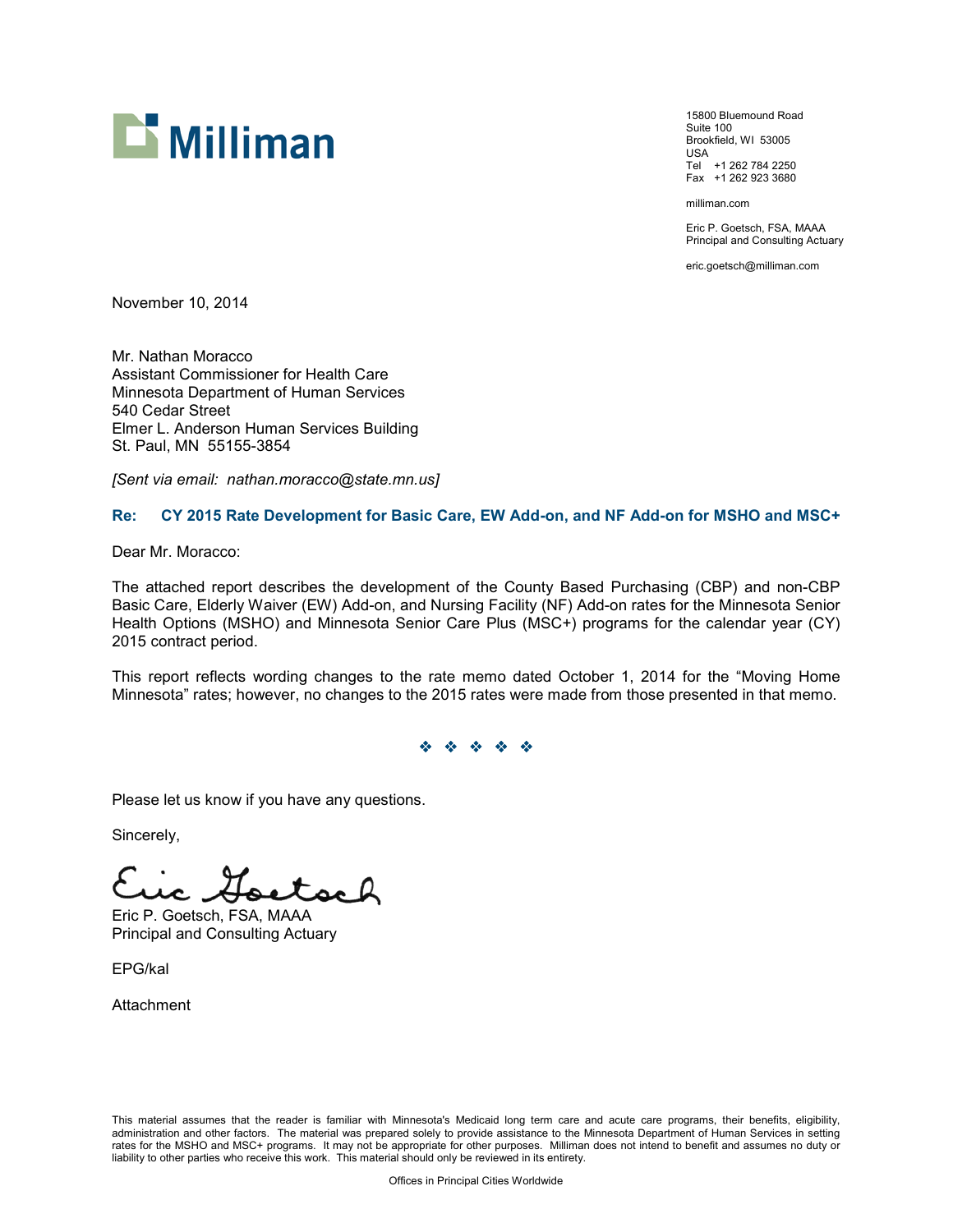

15800 Bluemound Road Suite 100 Brookfield, WI 53005 USA Tel +1 262 784 2250 Fax +1 262 923 3680

milliman.com

Eric P. Goetsch, FSA, MAAA Principal and Consulting Actuary

eric.goetsch@milliman.com

November 10, 2014

Mr. Nathan Moracco Assistant Commissioner for Health Care Minnesota Department of Human Services 540 Cedar Street Elmer L. Anderson Human Services Building St. Paul, MN 55155-3854

*[Sent via email: nathan.moracco@state.mn.us]*

## **Re: CY 2015 Rate Development for Basic Care, EW Add-on, and NF Add-on for MSHO and MSC+**

Dear Mr. Moracco:

The attached report describes the development of the County Based Purchasing (CBP) and non-CBP Basic Care, Elderly Waiver (EW) Add-on, and Nursing Facility (NF) Add-on rates for the Minnesota Senior Health Options (MSHO) and Minnesota Senior Care Plus (MSC+) programs for the calendar year (CY) 2015 contract period.

This report reflects wording changes to the rate memo dated October 1, 2014 for the "Moving Home Minnesota" rates; however, no changes to the 2015 rates were made from those presented in that memo.

#### YYYYY

Please let us know if you have any questions.

Sincerely,

Eric P. Goetsch, FSA, MAAA Principal and Consulting Actuary

EPG/kal

Attachment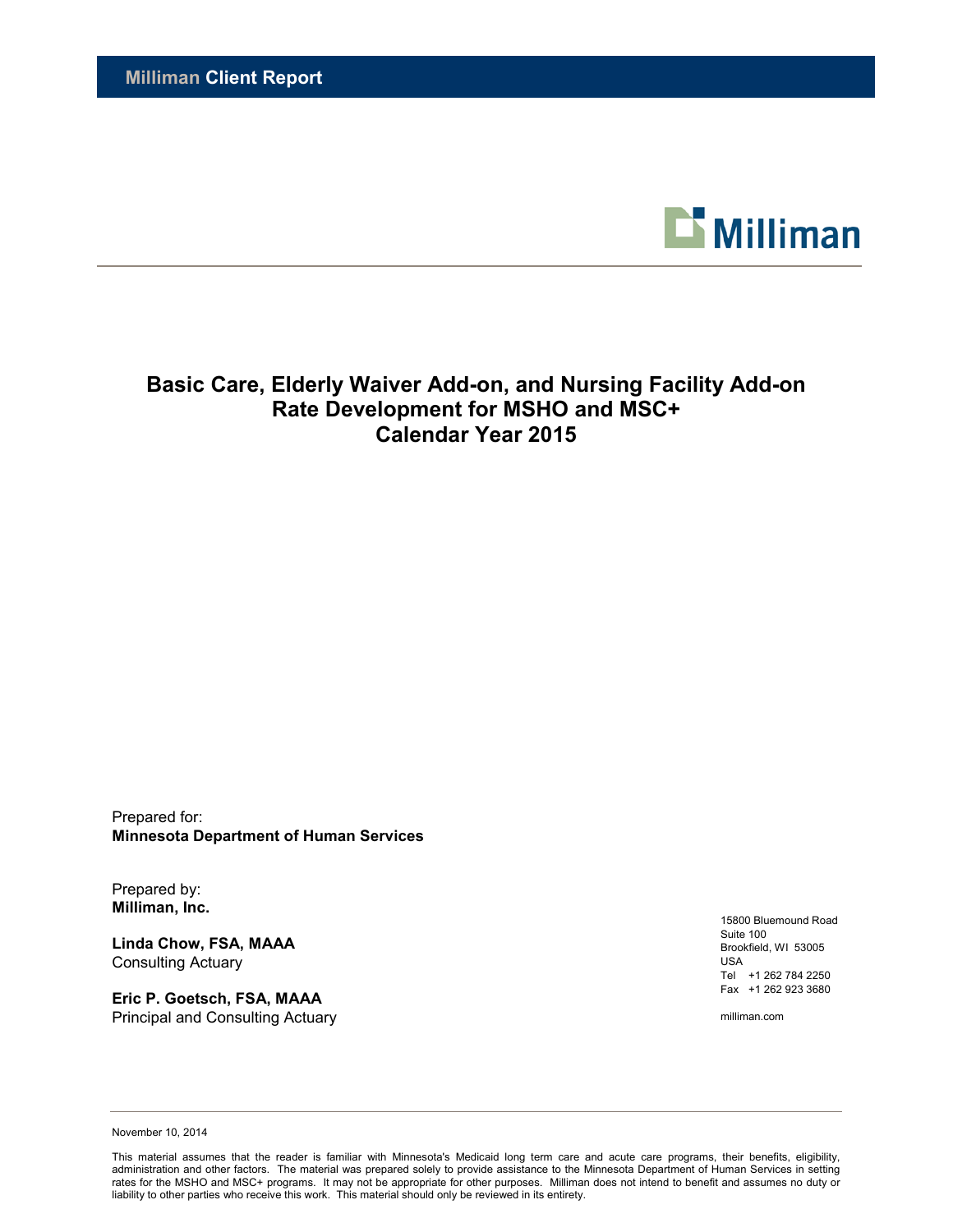

# **Basic Care, Elderly Waiver Add-on, and Nursing Facility Add-on Rate Development for MSHO and MSC+ Calendar Year 2015**

Prepared for: **Minnesota Department of Human Services**

Prepared by: **Milliman, Inc.**

**Linda Chow, FSA, MAAA** Consulting Actuary

**Eric P. Goetsch, FSA, MAAA** Principal and Consulting Actuary

15800 Bluemound Road Suite 100 Brookfield, WI 53005 USA Tel +1 262 784 2250 Fax +1 262 923 3680

milliman.com

November 10, 2014

This material assumes that the reader is familiar with Minnesota's Medicaid long term care and acute care programs, their benefits, eligibility, administration and other factors. The material was prepared solely to provide assistance to the Minnesota Department of Human Services in setting rates for the MSHO and MSC+ programs. It may not be appropriate for other purposes. Milliman does not intend to benefit and assumes no duty or liability to other parties who receive this work. This material should only be reviewed in its entirety.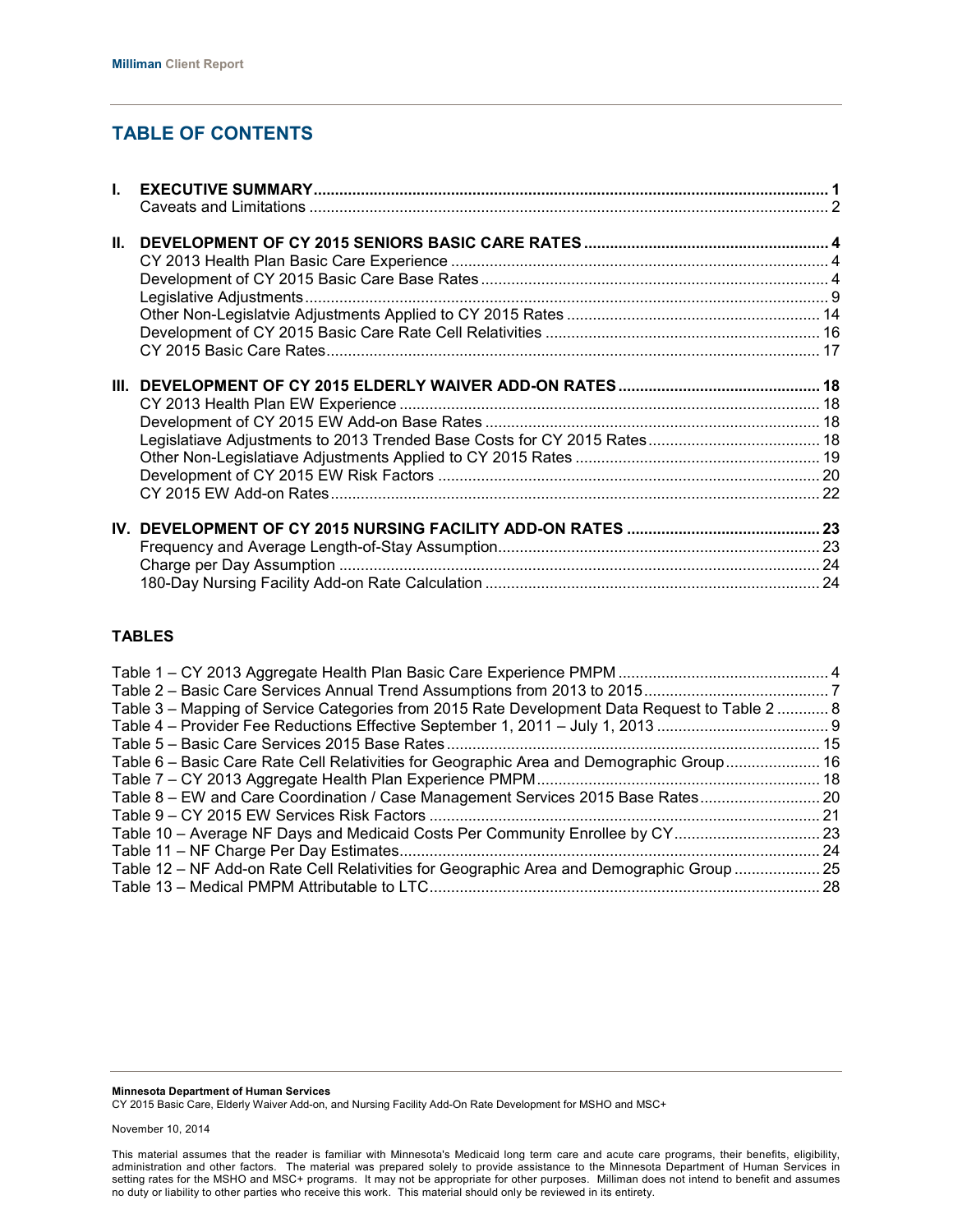# **TABLE OF CONTENTS**

## **TABLES**

| Table 3 – Mapping of Service Categories from 2015 Rate Development Data Request to Table 2  8 |      |
|-----------------------------------------------------------------------------------------------|------|
|                                                                                               |      |
|                                                                                               |      |
| Table 6 - Basic Care Rate Cell Relativities for Geographic Area and Demographic Group 16      |      |
|                                                                                               |      |
| Table 8 – EW and Care Coordination / Case Management Services 2015 Base Rates 20              |      |
|                                                                                               |      |
| Table 10 - Average NF Days and Medicaid Costs Per Community Enrollee by CY 23                 |      |
|                                                                                               | . 24 |
| Table 12 – NF Add-on Rate Cell Relativities for Geographic Area and Demographic Group  25     |      |
|                                                                                               |      |
|                                                                                               |      |

**Minnesota Department of Human Services**

CY 2015 Basic Care, Elderly Waiver Add-on, and Nursing Facility Add-On Rate Development for MSHO and MSC+

November 10, 2014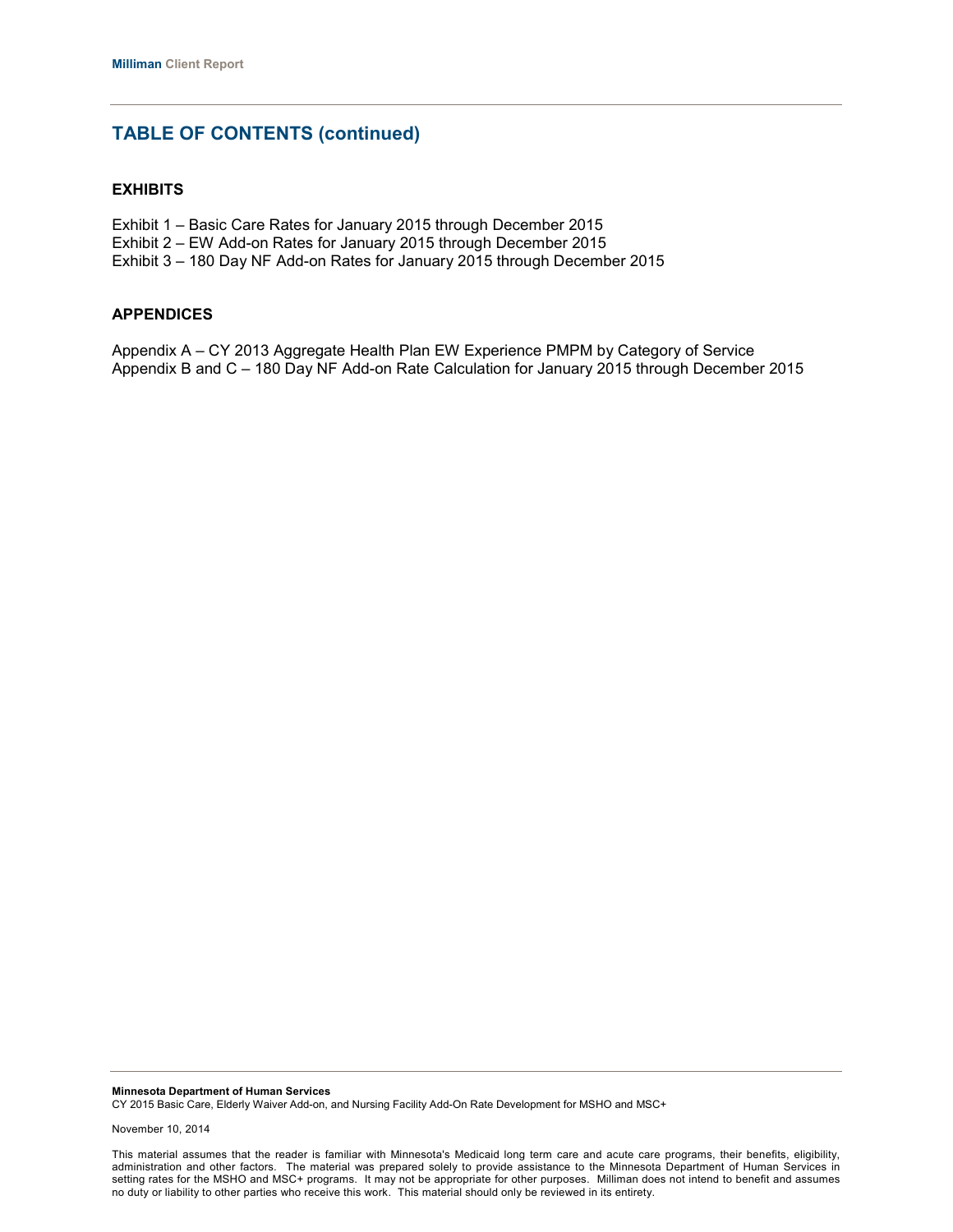# **TABLE OF CONTENTS (continued)**

## **EXHIBITS**

- Exhibit 1 Basic Care Rates for January 2015 through December 2015
- Exhibit 2 EW Add-on Rates for January 2015 through December 2015
- Exhibit 3 180 Day NF Add-on Rates for January 2015 through December 2015

#### **APPENDICES**

Appendix A – CY 2013 Aggregate Health Plan EW Experience PMPM by Category of Service Appendix B and C – 180 Day NF Add-on Rate Calculation for January 2015 through December 2015

**Minnesota Department of Human Services** CY 2015 Basic Care, Elderly Waiver Add-on, and Nursing Facility Add-On Rate Development for MSHO and MSC+

This material assumes that the reader is familiar with Minnesota's Medicaid long term care and acute care programs, their benefits, eligibility, administration and other factors. The material was prepared solely to provide assistance to the Minnesota Department of Human Services in setting rates for the MSHO and MSC+ programs. It may not be appropriate for other purposes. Milliman does not intend to benefit and assumes no duty or liability to other parties who receive this work. This material should only be reviewed in its entirety.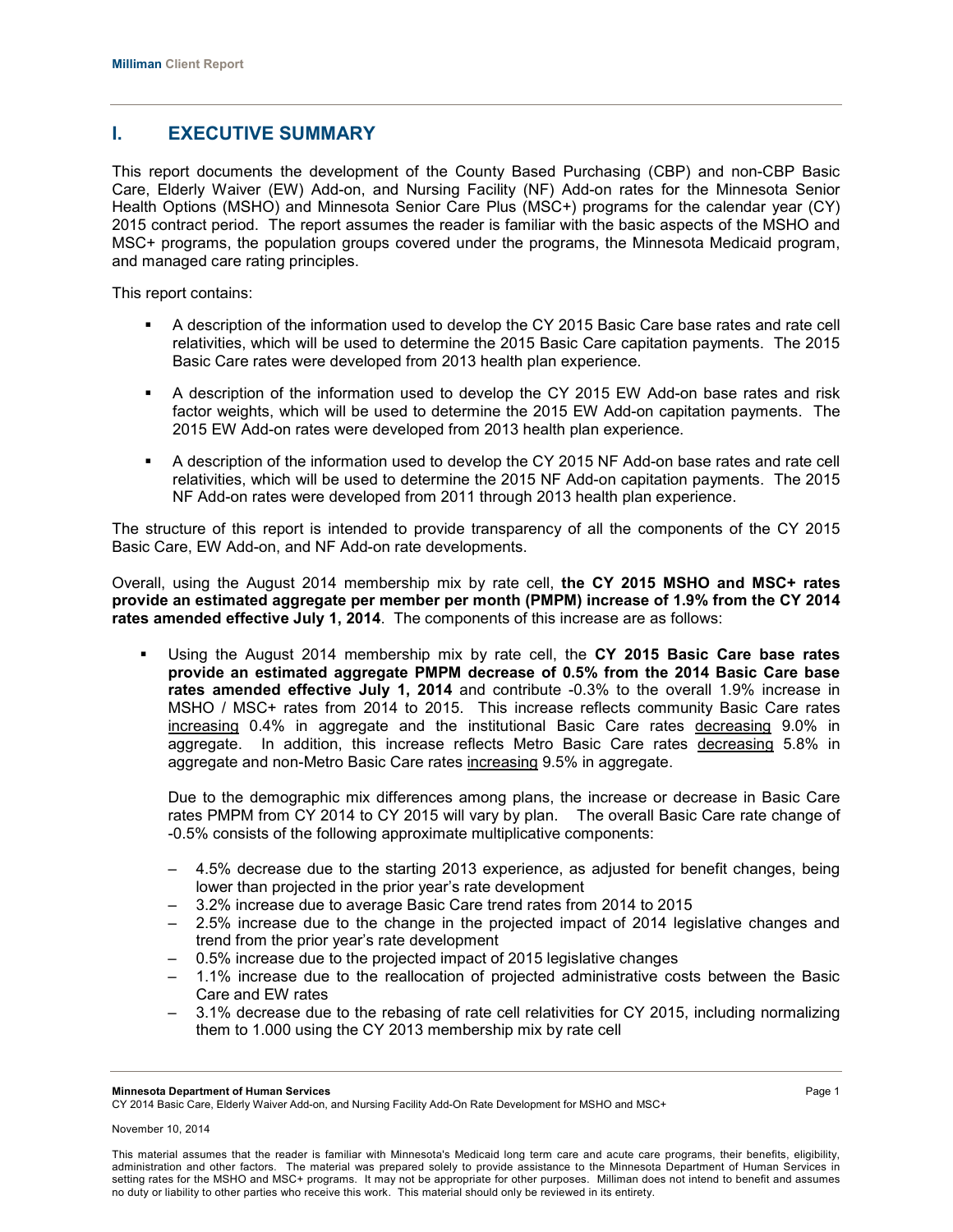# **I. EXECUTIVE SUMMARY**

This report documents the development of the County Based Purchasing (CBP) and non-CBP Basic Care, Elderly Waiver (EW) Add-on, and Nursing Facility (NF) Add-on rates for the Minnesota Senior Health Options (MSHO) and Minnesota Senior Care Plus (MSC+) programs for the calendar year (CY) 2015 contract period. The report assumes the reader is familiar with the basic aspects of the MSHO and MSC+ programs, the population groups covered under the programs, the Minnesota Medicaid program, and managed care rating principles.

This report contains:

- A description of the information used to develop the CY 2015 Basic Care base rates and rate cell relativities, which will be used to determine the 2015 Basic Care capitation payments. The 2015 Basic Care rates were developed from 2013 health plan experience.
- A description of the information used to develop the CY 2015 EW Add-on base rates and risk factor weights, which will be used to determine the 2015 EW Add-on capitation payments. The 2015 EW Add-on rates were developed from 2013 health plan experience.
- A description of the information used to develop the CY 2015 NF Add-on base rates and rate cell relativities, which will be used to determine the 2015 NF Add-on capitation payments. The 2015 NF Add-on rates were developed from 2011 through 2013 health plan experience.

The structure of this report is intended to provide transparency of all the components of the CY 2015 Basic Care, EW Add-on, and NF Add-on rate developments.

Overall, using the August 2014 membership mix by rate cell, **the CY 2015 MSHO and MSC+ rates provide an estimated aggregate per member per month (PMPM) increase of 1.9% from the CY 2014 rates amended effective July 1, 2014**. The components of this increase are as follows:

 Using the August 2014 membership mix by rate cell, the **CY 2015 Basic Care base rates provide an estimated aggregate PMPM decrease of 0.5% from the 2014 Basic Care base rates amended effective July 1, 2014** and contribute -0.3% to the overall 1.9% increase in MSHO / MSC+ rates from 2014 to 2015. This increase reflects community Basic Care rates increasing 0.4% in aggregate and the institutional Basic Care rates decreasing 9.0% in aggregate. In addition, this increase reflects Metro Basic Care rates decreasing 5.8% in aggregate and non-Metro Basic Care rates increasing 9.5% in aggregate.

Due to the demographic mix differences among plans, the increase or decrease in Basic Care rates PMPM from CY 2014 to CY 2015 will vary by plan. The overall Basic Care rate change of -0.5% consists of the following approximate multiplicative components:

- ‒ 4.5% decrease due to the starting 2013 experience, as adjusted for benefit changes, being lower than projected in the prior year's rate development
- ‒ 3.2% increase due to average Basic Care trend rates from 2014 to 2015
- ‒ 2.5% increase due to the change in the projected impact of 2014 legislative changes and trend from the prior year's rate development
- ‒ 0.5% increase due to the projected impact of 2015 legislative changes
- ‒ 1.1% increase due to the reallocation of projected administrative costs between the Basic Care and EW rates
- ‒ 3.1% decrease due to the rebasing of rate cell relativities for CY 2015, including normalizing them to 1.000 using the CY 2013 membership mix by rate cell

CY 2014 Basic Care, Elderly Waiver Add-on, and Nursing Facility Add-On Rate Development for MSHO and MSC+

**Minnesota Department of Human Services** Page 1

November 10, 2014

This material assumes that the reader is familiar with Minnesota's Medicaid long term care and acute care programs, their benefits, eligibility, administration and other factors. The material was prepared solely to provide assistance to the Minnesota Department of Human Services in setting rates for the MSHO and MSC+ programs. It may not be appropriate for other purposes. Milliman does not intend to benefit and assumes no duty or liability to other parties who receive this work. This material should only be reviewed in its entirety.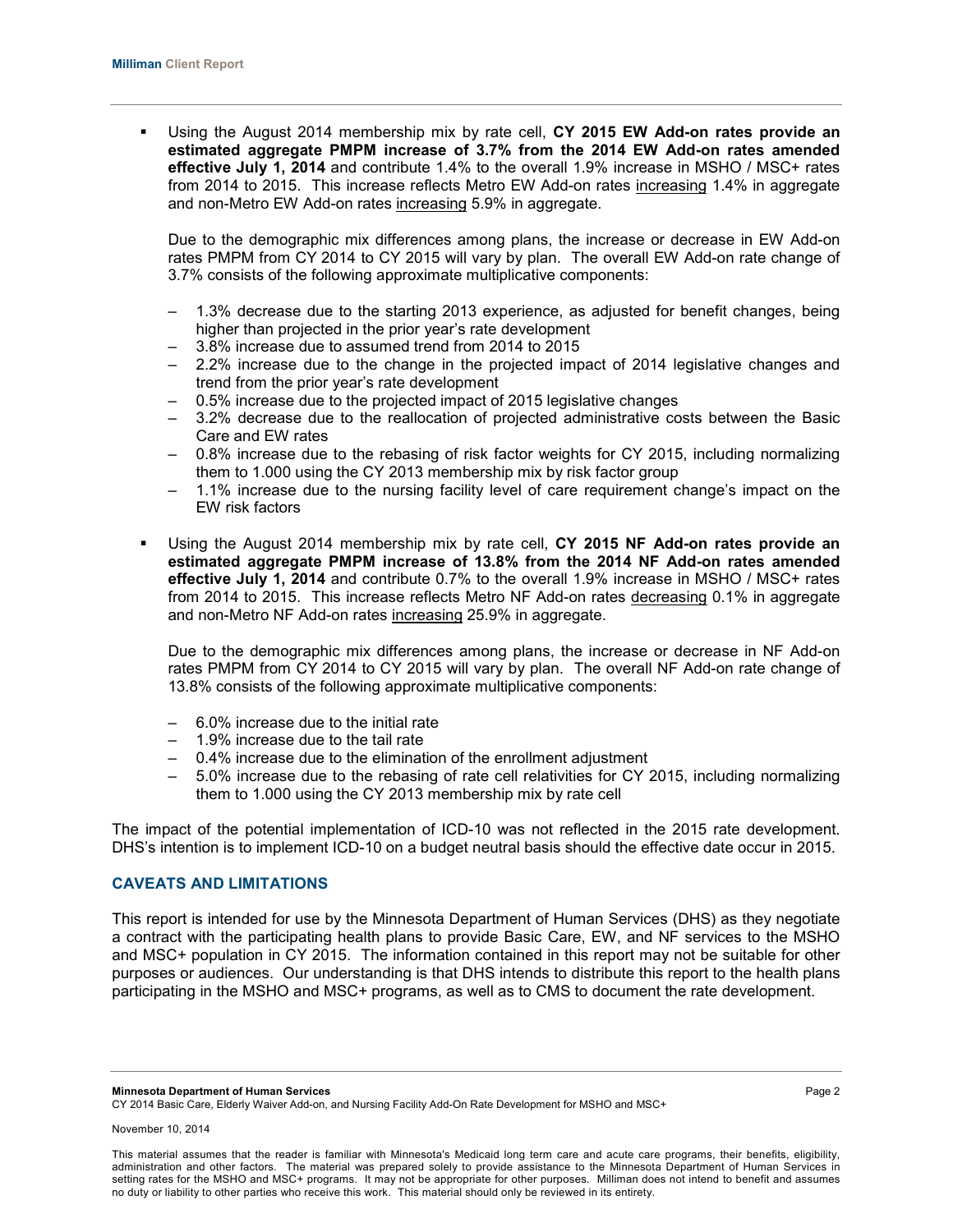Using the August 2014 membership mix by rate cell, **CY 2015 EW Add-on rates provide an estimated aggregate PMPM increase of 3.7% from the 2014 EW Add-on rates amended effective July 1, 2014** and contribute 1.4% to the overall 1.9% increase in MSHO / MSC+ rates from 2014 to 2015. This increase reflects Metro EW Add-on rates increasing 1.4% in aggregate and non-Metro EW Add-on rates increasing 5.9% in aggregate.

Due to the demographic mix differences among plans, the increase or decrease in EW Add-on rates PMPM from CY 2014 to CY 2015 will vary by plan. The overall EW Add-on rate change of 3.7% consists of the following approximate multiplicative components:

- ‒ 1.3% decrease due to the starting 2013 experience, as adjusted for benefit changes, being higher than projected in the prior year's rate development
- ‒ 3.8% increase due to assumed trend from 2014 to 2015
- ‒ 2.2% increase due to the change in the projected impact of 2014 legislative changes and trend from the prior year's rate development
- ‒ 0.5% increase due to the projected impact of 2015 legislative changes
- ‒ 3.2% decrease due to the reallocation of projected administrative costs between the Basic Care and EW rates
- ‒ 0.8% increase due to the rebasing of risk factor weights for CY 2015, including normalizing them to 1.000 using the CY 2013 membership mix by risk factor group
- ‒ 1.1% increase due to the nursing facility level of care requirement change's impact on the EW risk factors
- Using the August 2014 membership mix by rate cell, **CY 2015 NF Add-on rates provide an estimated aggregate PMPM increase of 13.8% from the 2014 NF Add-on rates amended effective July 1, 2014** and contribute 0.7% to the overall 1.9% increase in MSHO / MSC+ rates from 2014 to 2015. This increase reflects Metro NF Add-on rates decreasing 0.1% in aggregate and non-Metro NF Add-on rates increasing 25.9% in aggregate.

Due to the demographic mix differences among plans, the increase or decrease in NF Add-on rates PMPM from CY 2014 to CY 2015 will vary by plan. The overall NF Add-on rate change of 13.8% consists of the following approximate multiplicative components:

- ‒ 6.0% increase due to the initial rate
- ‒ 1.9% increase due to the tail rate
- ‒ 0.4% increase due to the elimination of the enrollment adjustment
- ‒ 5.0% increase due to the rebasing of rate cell relativities for CY 2015, including normalizing them to 1.000 using the CY 2013 membership mix by rate cell

The impact of the potential implementation of ICD-10 was not reflected in the 2015 rate development. DHS's intention is to implement ICD-10 on a budget neutral basis should the effective date occur in 2015.

## **CAVEATS AND LIMITATIONS**

This report is intended for use by the Minnesota Department of Human Services (DHS) as they negotiate a contract with the participating health plans to provide Basic Care, EW, and NF services to the MSHO and MSC+ population in CY 2015. The information contained in this report may not be suitable for other purposes or audiences. Our understanding is that DHS intends to distribute this report to the health plans participating in the MSHO and MSC+ programs, as well as to CMS to document the rate development.

**Minnesota Department of Human Services** Page 2

CY 2014 Basic Care, Elderly Waiver Add-on, and Nursing Facility Add-On Rate Development for MSHO and MSC+

This material assumes that the reader is familiar with Minnesota's Medicaid long term care and acute care programs, their benefits, eligibility, administration and other factors. The material was prepared solely to provide assistance to the Minnesota Department of Human Services in setting rates for the MSHO and MSC+ programs. It may not be appropriate for other purposes. Milliman does not intend to benefit and assumes no duty or liability to other parties who receive this work. This material should only be reviewed in its entirety.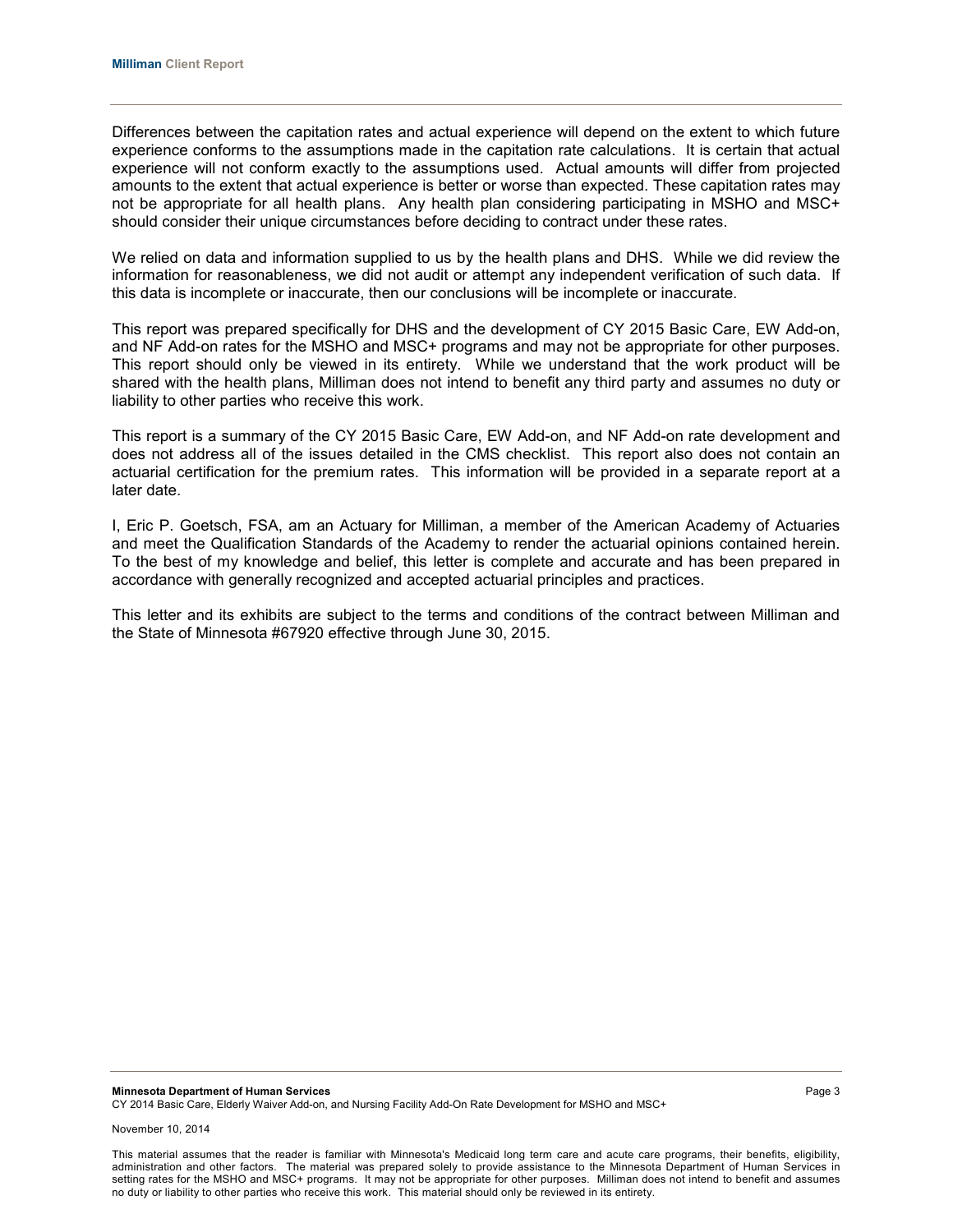Differences between the capitation rates and actual experience will depend on the extent to which future experience conforms to the assumptions made in the capitation rate calculations. It is certain that actual experience will not conform exactly to the assumptions used. Actual amounts will differ from projected amounts to the extent that actual experience is better or worse than expected. These capitation rates may not be appropriate for all health plans. Any health plan considering participating in MSHO and MSC+ should consider their unique circumstances before deciding to contract under these rates.

We relied on data and information supplied to us by the health plans and DHS. While we did review the information for reasonableness, we did not audit or attempt any independent verification of such data. If this data is incomplete or inaccurate, then our conclusions will be incomplete or inaccurate.

This report was prepared specifically for DHS and the development of CY 2015 Basic Care, EW Add-on, and NF Add-on rates for the MSHO and MSC+ programs and may not be appropriate for other purposes. This report should only be viewed in its entirety. While we understand that the work product will be shared with the health plans, Milliman does not intend to benefit any third party and assumes no duty or liability to other parties who receive this work.

This report is a summary of the CY 2015 Basic Care, EW Add-on, and NF Add-on rate development and does not address all of the issues detailed in the CMS checklist. This report also does not contain an actuarial certification for the premium rates. This information will be provided in a separate report at a later date.

I, Eric P. Goetsch, FSA, am an Actuary for Milliman, a member of the American Academy of Actuaries and meet the Qualification Standards of the Academy to render the actuarial opinions contained herein. To the best of my knowledge and belief, this letter is complete and accurate and has been prepared in accordance with generally recognized and accepted actuarial principles and practices.

This letter and its exhibits are subject to the terms and conditions of the contract between Milliman and the State of Minnesota #67920 effective through June 30, 2015.

This material assumes that the reader is familiar with Minnesota's Medicaid long term care and acute care programs, their benefits, eligibility, administration and other factors. The material was prepared solely to provide assistance to the Minnesota Department of Human Services in setting rates for the MSHO and MSC+ programs. It may not be appropriate for other purposes. Milliman does not intend to benefit and assumes no duty or liability to other parties who receive this work. This material should only be reviewed in its entirety.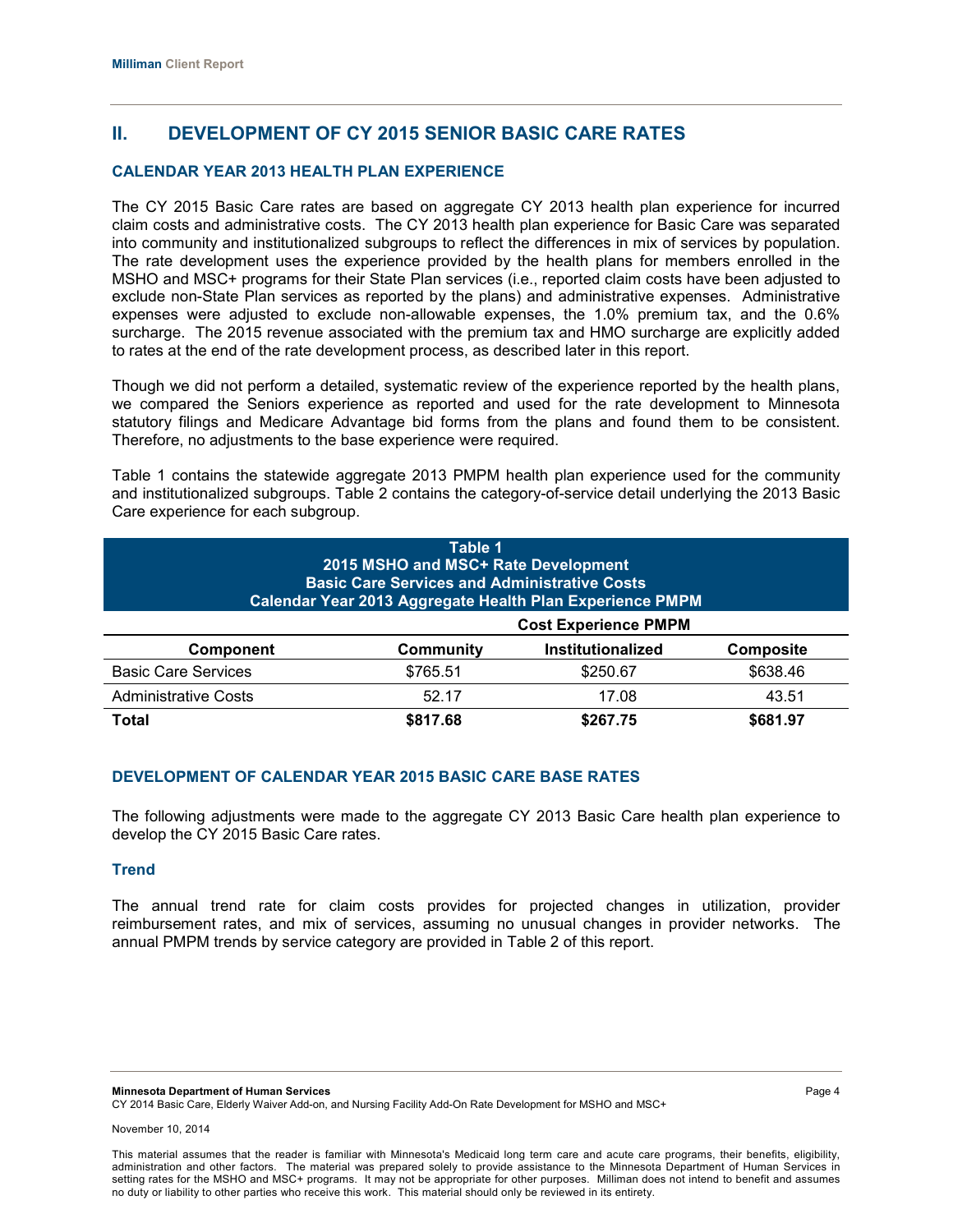# **II. DEVELOPMENT OF CY 2015 SENIOR BASIC CARE RATES**

## **CALENDAR YEAR 2013 HEALTH PLAN EXPERIENCE**

The CY 2015 Basic Care rates are based on aggregate CY 2013 health plan experience for incurred claim costs and administrative costs. The CY 2013 health plan experience for Basic Care was separated into community and institutionalized subgroups to reflect the differences in mix of services by population. The rate development uses the experience provided by the health plans for members enrolled in the MSHO and MSC+ programs for their State Plan services (i.e., reported claim costs have been adjusted to exclude non-State Plan services as reported by the plans) and administrative expenses. Administrative expenses were adjusted to exclude non-allowable expenses, the 1.0% premium tax, and the 0.6% surcharge. The 2015 revenue associated with the premium tax and HMO surcharge are explicitly added to rates at the end of the rate development process, as described later in this report.

Though we did not perform a detailed, systematic review of the experience reported by the health plans, we compared the Seniors experience as reported and used for the rate development to Minnesota statutory filings and Medicare Advantage bid forms from the plans and found them to be consistent. Therefore, no adjustments to the base experience were required.

Table 1 contains the statewide aggregate 2013 PMPM health plan experience used for the community and institutionalized subgroups. Table 2 contains the category-of-service detail underlying the 2013 Basic Care experience for each subgroup.

| Table 1<br>2015 MSHO and MSC+ Rate Development<br><b>Basic Care Services and Administrative Costs</b><br>Calendar Year 2013 Aggregate Health Plan Experience PMPM |                             |                          |                  |  |
|-------------------------------------------------------------------------------------------------------------------------------------------------------------------|-----------------------------|--------------------------|------------------|--|
|                                                                                                                                                                   | <b>Cost Experience PMPM</b> |                          |                  |  |
| <b>Component</b>                                                                                                                                                  | Community                   | <b>Institutionalized</b> | <b>Composite</b> |  |
| <b>Basic Care Services</b>                                                                                                                                        | \$765.51                    | \$250.67                 | \$638.46         |  |
| <b>Administrative Costs</b>                                                                                                                                       | 52.17                       | 17.08                    | 43.51            |  |
| <b>Total</b>                                                                                                                                                      | \$817.68                    | \$267.75                 | \$681.97         |  |

## **DEVELOPMENT OF CALENDAR YEAR 2015 BASIC CARE BASE RATES**

The following adjustments were made to the aggregate CY 2013 Basic Care health plan experience to develop the CY 2015 Basic Care rates.

## **Trend**

The annual trend rate for claim costs provides for projected changes in utilization, provider reimbursement rates, and mix of services, assuming no unusual changes in provider networks. The annual PMPM trends by service category are provided in Table 2 of this report.

**Minnesota Department of Human Services** Page 4 CY 2014 Basic Care, Elderly Waiver Add-on, and Nursing Facility Add-On Rate Development for MSHO and MSC+

November 10, 2014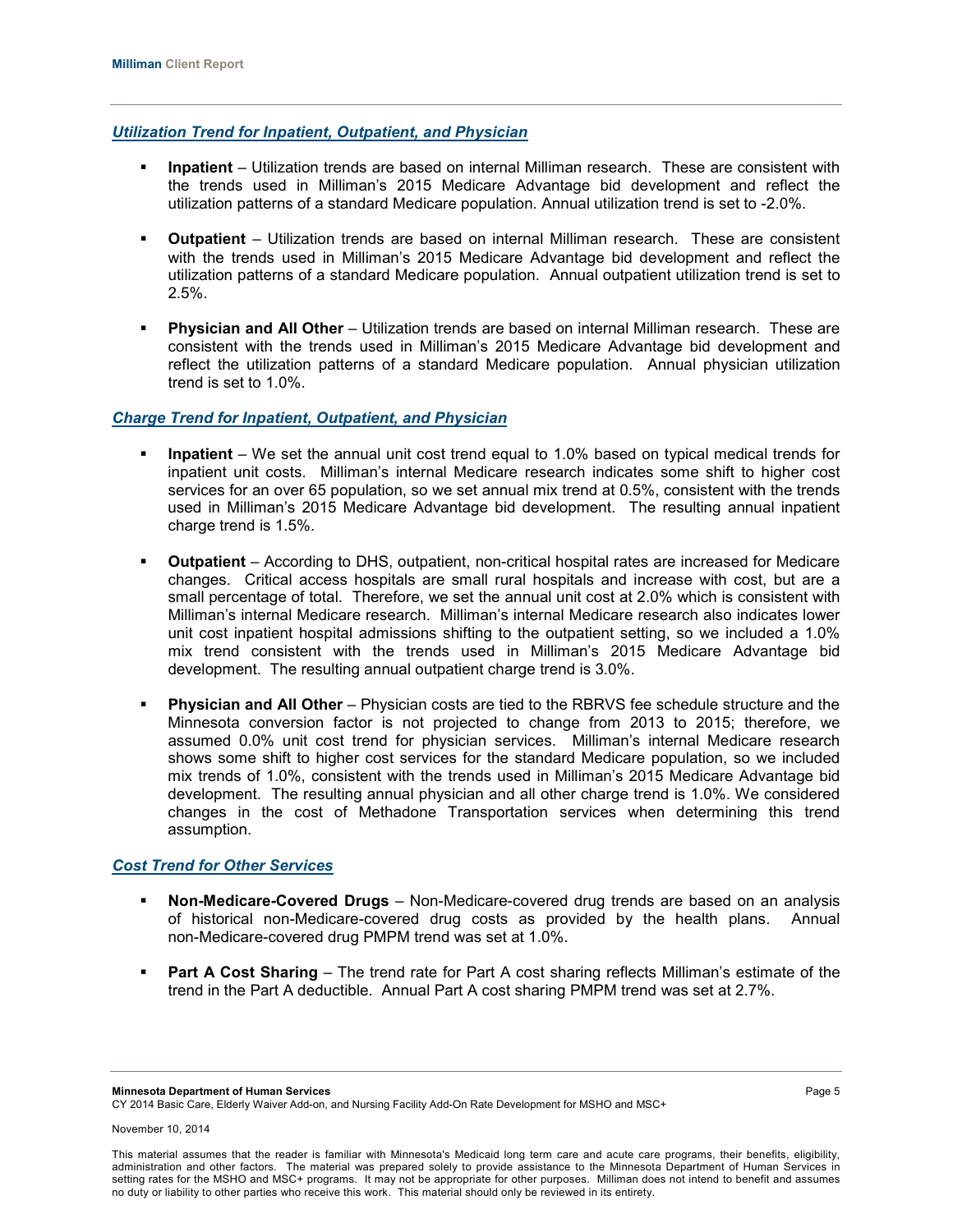## *Utilization Trend for Inpatient, Outpatient, and Physician*

- **Inpatient** Utilization trends are based on internal Milliman research. These are consistent with the trends used in Milliman's 2015 Medicare Advantage bid development and reflect the utilization patterns of a standard Medicare population. Annual utilization trend is set to -2.0%.
- **-** Outpatient Utilization trends are based on internal Milliman research. These are consistent with the trends used in Milliman's 2015 Medicare Advantage bid development and reflect the utilization patterns of a standard Medicare population. Annual outpatient utilization trend is set to 2.5%.
- **Physician and All Other** Utilization trends are based on internal Milliman research. These are consistent with the trends used in Milliman's 2015 Medicare Advantage bid development and reflect the utilization patterns of a standard Medicare population. Annual physician utilization trend is set to 1.0%.

## *Charge Trend for Inpatient, Outpatient, and Physician*

- **Inpatient**  We set the annual unit cost trend equal to 1.0% based on typical medical trends for inpatient unit costs. Milliman's internal Medicare research indicates some shift to higher cost services for an over 65 population, so we set annual mix trend at 0.5%, consistent with the trends used in Milliman's 2015 Medicare Advantage bid development. The resulting annual inpatient charge trend is 1.5%.
- **Outpatient**  According to DHS, outpatient, non-critical hospital rates are increased for Medicare changes. Critical access hospitals are small rural hospitals and increase with cost, but are a small percentage of total. Therefore, we set the annual unit cost at 2.0% which is consistent with Milliman's internal Medicare research. Milliman's internal Medicare research also indicates lower unit cost inpatient hospital admissions shifting to the outpatient setting, so we included a 1.0% mix trend consistent with the trends used in Milliman's 2015 Medicare Advantage bid development. The resulting annual outpatient charge trend is 3.0%.
- **Physician and All Other** Physician costs are tied to the RBRVS fee schedule structure and the Minnesota conversion factor is not projected to change from 2013 to 2015; therefore, we assumed 0.0% unit cost trend for physician services. Milliman's internal Medicare research shows some shift to higher cost services for the standard Medicare population, so we included mix trends of 1.0%, consistent with the trends used in Milliman's 2015 Medicare Advantage bid development. The resulting annual physician and all other charge trend is 1.0%. We considered changes in the cost of Methadone Transportation services when determining this trend assumption.

## *Cost Trend for Other Services*

- **Non-Medicare-Covered Drugs** Non-Medicare-covered drug trends are based on an analysis of historical non-Medicare-covered drug costs as provided by the health plans. Annual non-Medicare-covered drug PMPM trend was set at 1.0%.
- **Part A Cost Sharing** The trend rate for Part A cost sharing reflects Milliman's estimate of the trend in the Part A deductible. Annual Part A cost sharing PMPM trend was set at 2.7%.

**Minnesota Department of Human Services** Page 5

CY 2014 Basic Care, Elderly Waiver Add-on, and Nursing Facility Add-On Rate Development for MSHO and MSC+

This material assumes that the reader is familiar with Minnesota's Medicaid long term care and acute care programs, their benefits, eligibility, administration and other factors. The material was prepared solely to provide assistance to the Minnesota Department of Human Services in setting rates for the MSHO and MSC+ programs. It may not be appropriate for other purposes. Milliman does not intend to benefit and assumes no duty or liability to other parties who receive this work. This material should only be reviewed in its entirety.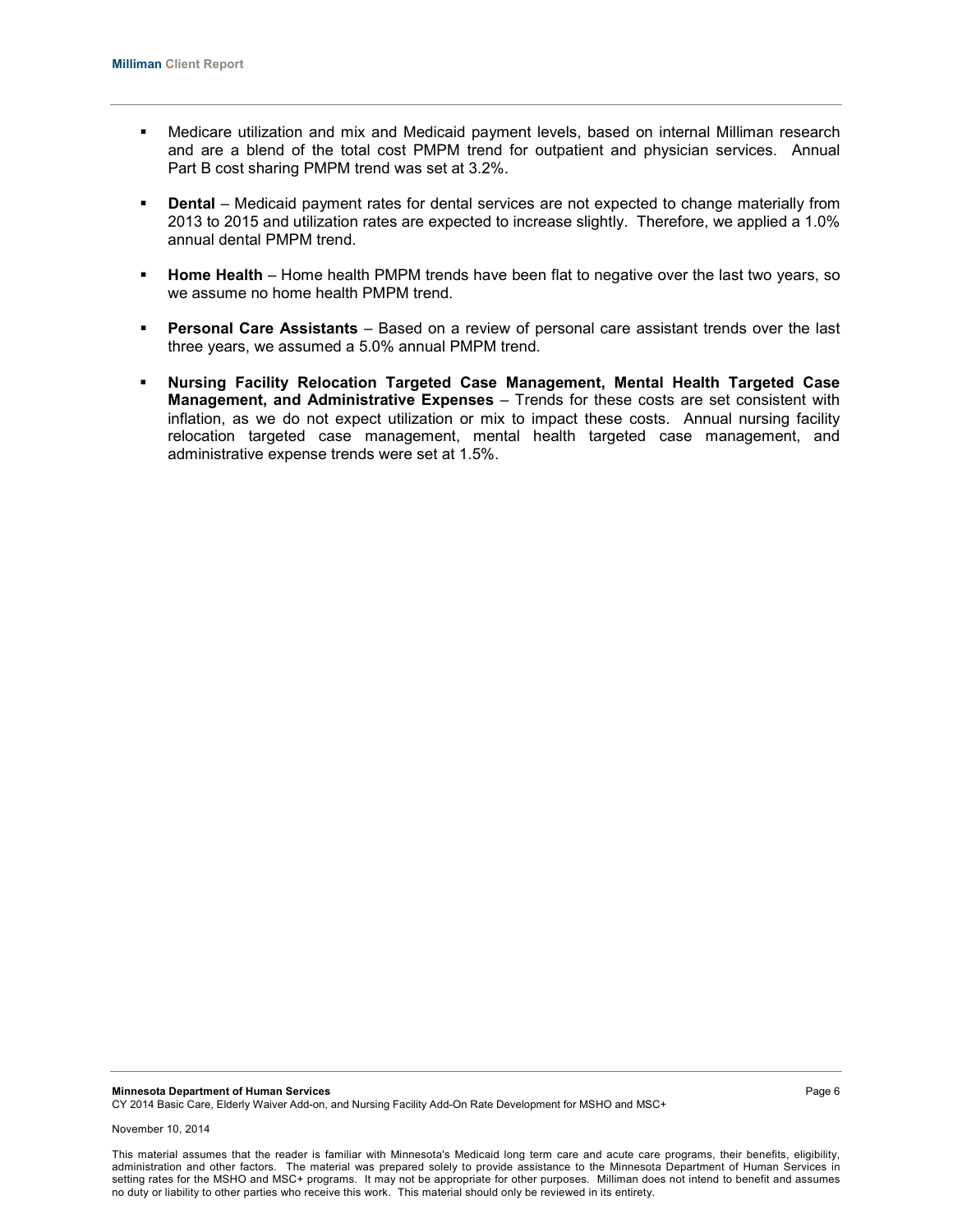- Medicare utilization and mix and Medicaid payment levels, based on internal Milliman research and are a blend of the total cost PMPM trend for outpatient and physician services. Annual Part B cost sharing PMPM trend was set at 3.2%.
- **Dental** Medicaid payment rates for dental services are not expected to change materially from 2013 to 2015 and utilization rates are expected to increase slightly. Therefore, we applied a 1.0% annual dental PMPM trend.
- **Home Health** Home health PMPM trends have been flat to negative over the last two years, so we assume no home health PMPM trend.
- **Personal Care Assistants** Based on a review of personal care assistant trends over the last three years, we assumed a 5.0% annual PMPM trend.
- **Nursing Facility Relocation Targeted Case Management, Mental Health Targeted Case Management, and Administrative Expenses** – Trends for these costs are set consistent with inflation, as we do not expect utilization or mix to impact these costs. Annual nursing facility relocation targeted case management, mental health targeted case management, and administrative expense trends were set at 1.5%.

November 10, 2014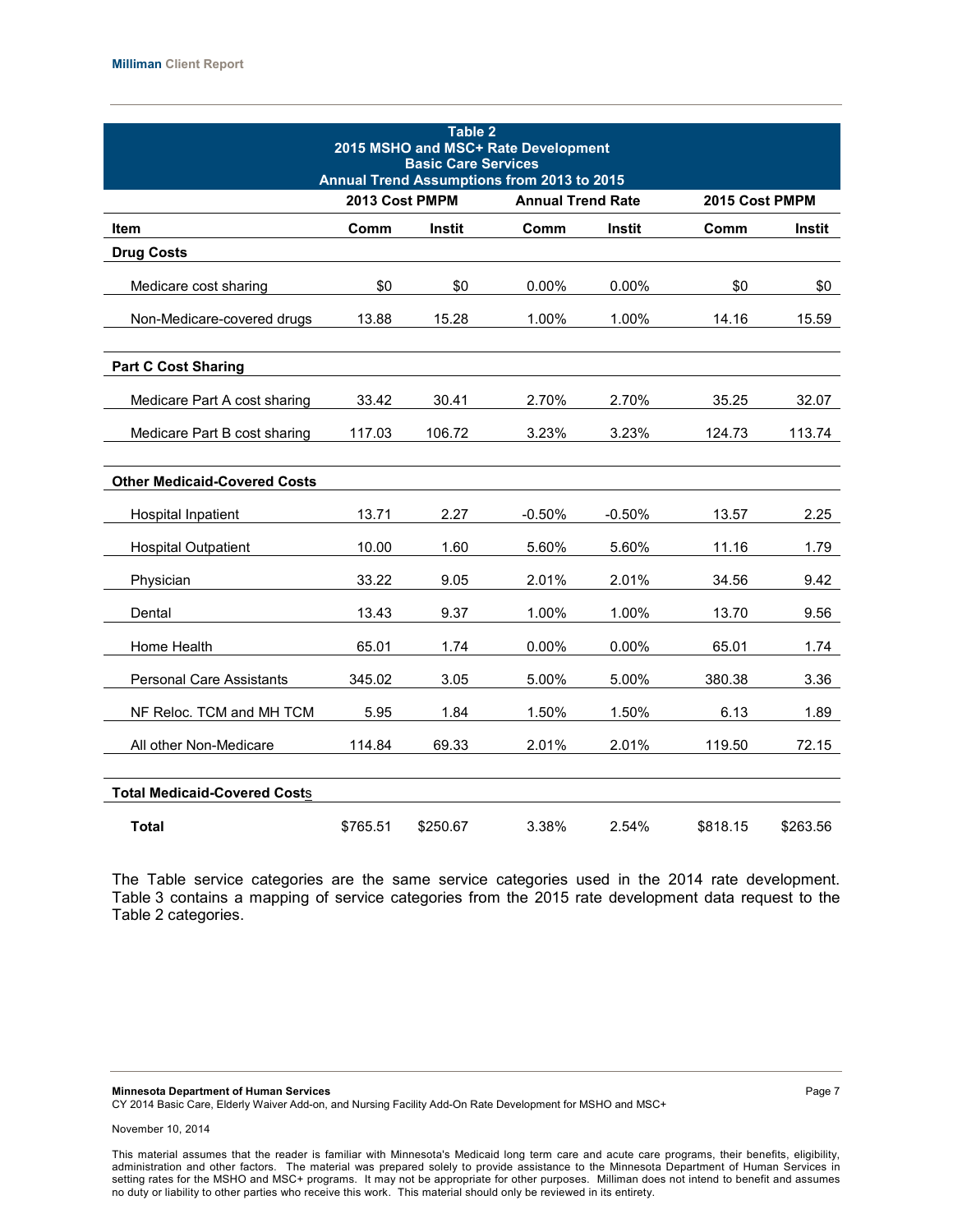| Table 2<br>2015 MSHO and MSC+ Rate Development<br><b>Basic Care Services</b><br>Annual Trend Assumptions from 2013 to 2015 |                                            |               |                |               |          |          |
|----------------------------------------------------------------------------------------------------------------------------|--------------------------------------------|---------------|----------------|---------------|----------|----------|
|                                                                                                                            | 2013 Cost PMPM<br><b>Annual Trend Rate</b> |               | 2015 Cost PMPM |               |          |          |
| Item                                                                                                                       | Comm                                       | <b>Instit</b> | Comm           | <b>Instit</b> | Comm     | Instit   |
| <b>Drug Costs</b>                                                                                                          |                                            |               |                |               |          |          |
| Medicare cost sharing                                                                                                      | \$0                                        | \$0           | 0.00%          | 0.00%         | \$0      | \$0      |
| Non-Medicare-covered drugs                                                                                                 | 13.88                                      | 15.28         | 1.00%          | 1.00%         | 14.16    | 15.59    |
| <b>Part C Cost Sharing</b>                                                                                                 |                                            |               |                |               |          |          |
| Medicare Part A cost sharing                                                                                               | 33.42                                      | 30.41         | 2.70%          | 2.70%         | 35.25    | 32.07    |
| Medicare Part B cost sharing                                                                                               | 117.03                                     | 106.72        | 3.23%          | 3.23%         | 124.73   | 113.74   |
| <b>Other Medicaid-Covered Costs</b>                                                                                        |                                            |               |                |               |          |          |
| Hospital Inpatient                                                                                                         | 13.71                                      | 2.27          | $-0.50%$       | $-0.50%$      | 13.57    | 2.25     |
| <b>Hospital Outpatient</b>                                                                                                 | 10.00                                      | 1.60          | 5.60%          | 5.60%         | 11.16    | 1.79     |
| Physician                                                                                                                  | 33.22                                      | 9.05          | 2.01%          | 2.01%         | 34.56    | 9.42     |
| Dental                                                                                                                     | 13.43                                      | 9.37          | 1.00%          | 1.00%         | 13.70    | 9.56     |
| Home Health                                                                                                                | 65.01                                      | 1.74          | 0.00%          | 0.00%         | 65.01    | 1.74     |
| <b>Personal Care Assistants</b>                                                                                            | 345.02                                     | 3.05          | 5.00%          | 5.00%         | 380.38   | 3.36     |
| NF Reloc. TCM and MH TCM                                                                                                   | 5.95                                       | 1.84          | 1.50%          | 1.50%         | 6.13     | 1.89     |
| All other Non-Medicare                                                                                                     | 114.84                                     | 69.33         | 2.01%          | 2.01%         | 119.50   | 72.15    |
| <b>Total Medicaid-Covered Costs</b>                                                                                        |                                            |               |                |               |          |          |
| <b>Total</b>                                                                                                               | \$765.51                                   | \$250.67      | 3.38%          | 2.54%         | \$818.15 | \$263.56 |

The Table service categories are the same service categories used in the 2014 rate development. Table 3 contains a mapping of service categories from the 2015 rate development data request to the Table 2 categories.

**Minnesota Department of Human Services** Page 7

CY 2014 Basic Care, Elderly Waiver Add-on, and Nursing Facility Add-On Rate Development for MSHO and MSC+

This material assumes that the reader is familiar with Minnesota's Medicaid long term care and acute care programs, their benefits, eligibility, administration and other factors. The material was prepared solely to provide assistance to the Minnesota Department of Human Services in setting rates for the MSHO and MSC+ programs. It may not be appropriate for other purposes. Milliman does not intend to benefit and assumes no duty or liability to other parties who receive this work. This material should only be reviewed in its entirety.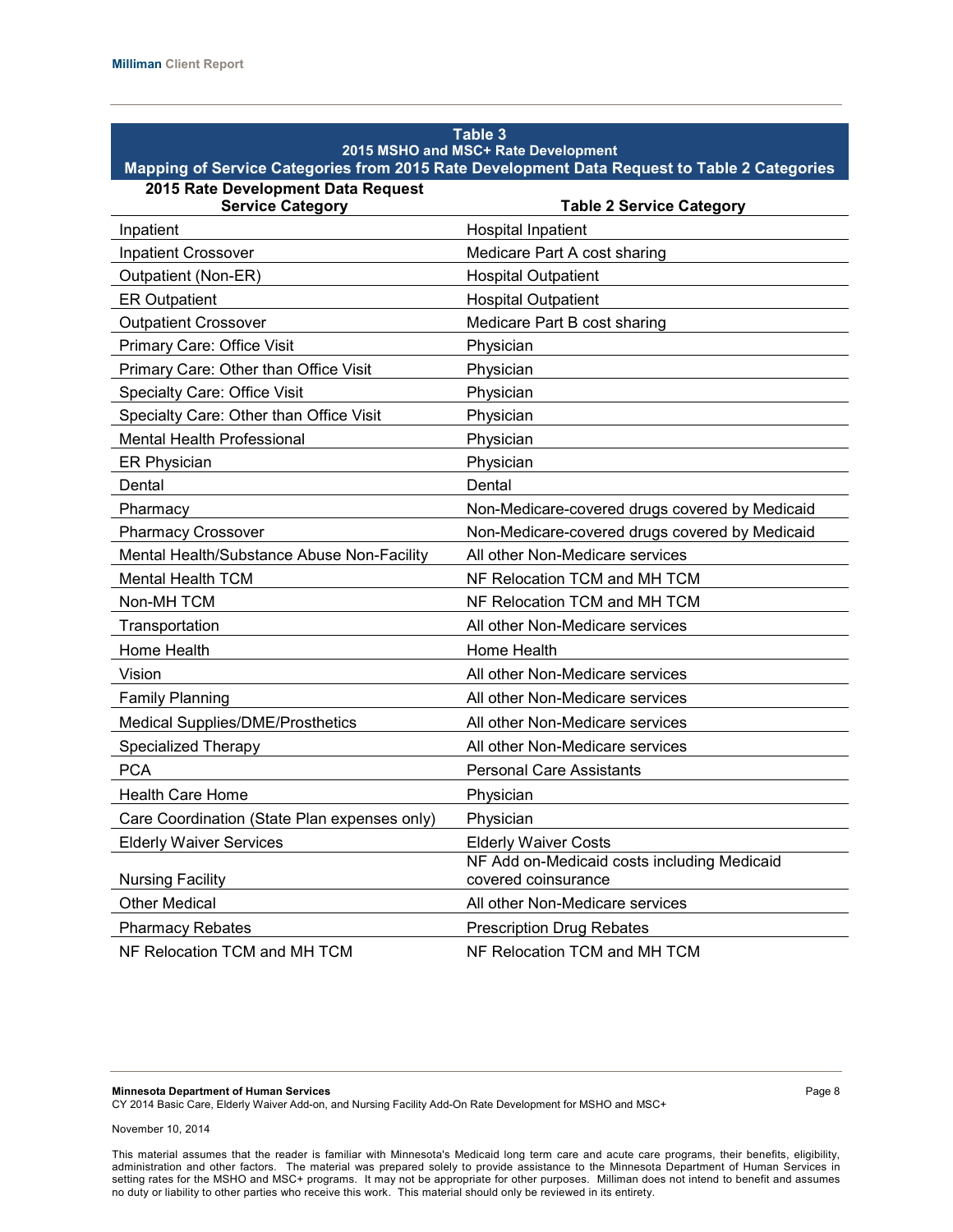| Table 3<br>2015 MSHO and MSC+ Rate Development<br>Mapping of Service Categories from 2015 Rate Development Data Request to Table 2 Categories |                                                                    |  |  |  |
|-----------------------------------------------------------------------------------------------------------------------------------------------|--------------------------------------------------------------------|--|--|--|
| 2015 Rate Development Data Request<br><b>Service Category</b>                                                                                 | <b>Table 2 Service Category</b>                                    |  |  |  |
| Inpatient                                                                                                                                     | <b>Hospital Inpatient</b>                                          |  |  |  |
| <b>Inpatient Crossover</b>                                                                                                                    | Medicare Part A cost sharing                                       |  |  |  |
| Outpatient (Non-ER)                                                                                                                           | <b>Hospital Outpatient</b>                                         |  |  |  |
| <b>ER Outpatient</b>                                                                                                                          | <b>Hospital Outpatient</b>                                         |  |  |  |
| <b>Outpatient Crossover</b>                                                                                                                   | Medicare Part B cost sharing                                       |  |  |  |
| Primary Care: Office Visit                                                                                                                    | Physician                                                          |  |  |  |
| Primary Care: Other than Office Visit                                                                                                         | Physician                                                          |  |  |  |
| <b>Specialty Care: Office Visit</b>                                                                                                           | Physician                                                          |  |  |  |
| Specialty Care: Other than Office Visit                                                                                                       | Physician                                                          |  |  |  |
| <b>Mental Health Professional</b>                                                                                                             | Physician                                                          |  |  |  |
| <b>ER Physician</b>                                                                                                                           | Physician                                                          |  |  |  |
| Dental                                                                                                                                        | Dental                                                             |  |  |  |
| Pharmacy                                                                                                                                      | Non-Medicare-covered drugs covered by Medicaid                     |  |  |  |
| <b>Pharmacy Crossover</b>                                                                                                                     | Non-Medicare-covered drugs covered by Medicaid                     |  |  |  |
| Mental Health/Substance Abuse Non-Facility                                                                                                    | All other Non-Medicare services                                    |  |  |  |
| <b>Mental Health TCM</b>                                                                                                                      | NF Relocation TCM and MH TCM                                       |  |  |  |
| Non-MH TCM                                                                                                                                    | NF Relocation TCM and MH TCM                                       |  |  |  |
| Transportation                                                                                                                                | All other Non-Medicare services                                    |  |  |  |
| Home Health                                                                                                                                   | Home Health                                                        |  |  |  |
| Vision                                                                                                                                        | All other Non-Medicare services                                    |  |  |  |
| <b>Family Planning</b>                                                                                                                        | All other Non-Medicare services                                    |  |  |  |
| Medical Supplies/DME/Prosthetics                                                                                                              | All other Non-Medicare services                                    |  |  |  |
| <b>Specialized Therapy</b>                                                                                                                    | All other Non-Medicare services                                    |  |  |  |
| <b>PCA</b>                                                                                                                                    | <b>Personal Care Assistants</b>                                    |  |  |  |
| <b>Health Care Home</b>                                                                                                                       | Physician                                                          |  |  |  |
| Care Coordination (State Plan expenses only)                                                                                                  | Physician                                                          |  |  |  |
| <b>Elderly Waiver Services</b>                                                                                                                | <b>Elderly Waiver Costs</b>                                        |  |  |  |
| <b>Nursing Facility</b>                                                                                                                       | NF Add on-Medicaid costs including Medicaid<br>covered coinsurance |  |  |  |
| <b>Other Medical</b>                                                                                                                          | All other Non-Medicare services                                    |  |  |  |
| <b>Pharmacy Rebates</b>                                                                                                                       | <b>Prescription Drug Rebates</b>                                   |  |  |  |
| NF Relocation TCM and MH TCM                                                                                                                  | NF Relocation TCM and MH TCM                                       |  |  |  |

**Minnesota Department of Human Services** Page 8

CY 2014 Basic Care, Elderly Waiver Add-on, and Nursing Facility Add-On Rate Development for MSHO and MSC+

November 10, 2014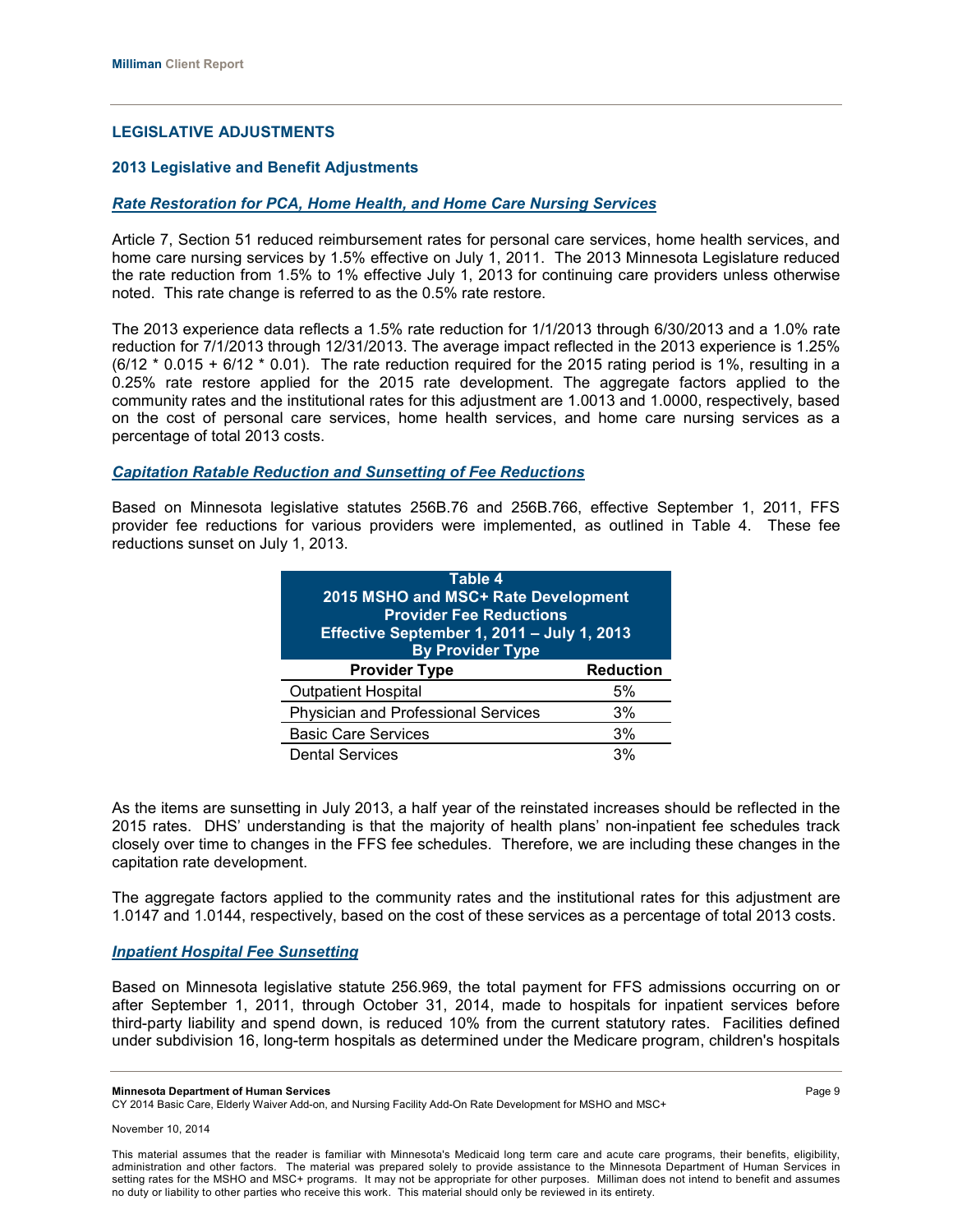## **LEGISLATIVE ADJUSTMENTS**

#### **2013 Legislative and Benefit Adjustments**

#### *Rate Restoration for PCA, Home Health, and Home Care Nursing Services*

Article 7, Section 51 reduced reimbursement rates for personal care services, home health services, and home care nursing services by 1.5% effective on July 1, 2011. The 2013 Minnesota Legislature reduced the rate reduction from 1.5% to 1% effective July 1, 2013 for continuing care providers unless otherwise noted. This rate change is referred to as the 0.5% rate restore.

The 2013 experience data reflects a 1.5% rate reduction for 1/1/2013 through 6/30/2013 and a 1.0% rate reduction for 7/1/2013 through 12/31/2013. The average impact reflected in the 2013 experience is 1.25%  $(6/12 * 0.015 + 6/12 * 0.01)$ . The rate reduction required for the 2015 rating period is 1%, resulting in a 0.25% rate restore applied for the 2015 rate development. The aggregate factors applied to the community rates and the institutional rates for this adjustment are 1.0013 and 1.0000, respectively, based on the cost of personal care services, home health services, and home care nursing services as a percentage of total 2013 costs.

#### *Capitation Ratable Reduction and Sunsetting of Fee Reductions*

Based on Minnesota legislative statutes 256B.76 and 256B.766, effective September 1, 2011, FFS provider fee reductions for various providers were implemented, as outlined in Table 4. These fee reductions sunset on July 1, 2013.

| Table 4<br>2015 MSHO and MSC+ Rate Development<br><b>Provider Fee Reductions</b><br>Effective September 1, 2011 - July 1, 2013<br><b>By Provider Type</b> |  |  |
|-----------------------------------------------------------------------------------------------------------------------------------------------------------|--|--|
| <b>Provider Type</b><br><b>Reduction</b>                                                                                                                  |  |  |
| <b>Outpatient Hospital</b><br>5%                                                                                                                          |  |  |
| Physician and Professional Services<br>3%                                                                                                                 |  |  |
| <b>Basic Care Services</b><br>3%                                                                                                                          |  |  |
| <b>Dental Services</b><br>3%                                                                                                                              |  |  |

As the items are sunsetting in July 2013, a half year of the reinstated increases should be reflected in the 2015 rates. DHS' understanding is that the majority of health plans' non-inpatient fee schedules track closely over time to changes in the FFS fee schedules. Therefore, we are including these changes in the capitation rate development.

The aggregate factors applied to the community rates and the institutional rates for this adjustment are 1.0147 and 1.0144, respectively, based on the cost of these services as a percentage of total 2013 costs.

#### *Inpatient Hospital Fee Sunsetting*

Based on Minnesota legislative statute 256.969, the total payment for FFS admissions occurring on or after September 1, 2011, through October 31, 2014, made to hospitals for inpatient services before third-party liability and spend down, is reduced 10% from the current statutory rates. Facilities defined under subdivision 16, long-term hospitals as determined under the Medicare program, children's hospitals

**Minnesota Department of Human Services** Page 9

CY 2014 Basic Care, Elderly Waiver Add-on, and Nursing Facility Add-On Rate Development for MSHO and MSC+

This material assumes that the reader is familiar with Minnesota's Medicaid long term care and acute care programs, their benefits, eligibility, administration and other factors. The material was prepared solely to provide assistance to the Minnesota Department of Human Services in setting rates for the MSHO and MSC+ programs. It may not be appropriate for other purposes. Milliman does not intend to benefit and assumes no duty or liability to other parties who receive this work. This material should only be reviewed in its entirety.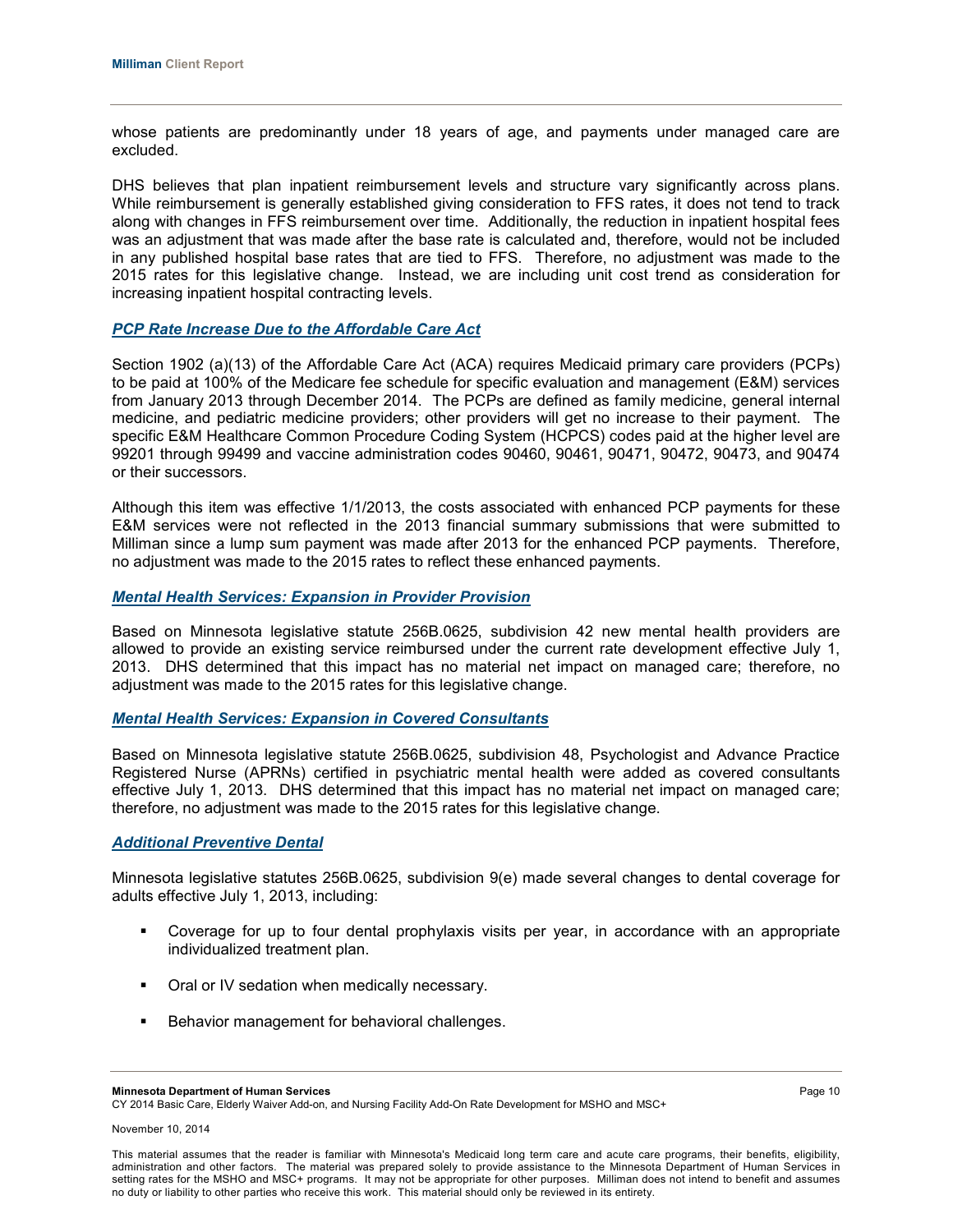whose patients are predominantly under 18 years of age, and payments under managed care are excluded.

DHS believes that plan inpatient reimbursement levels and structure vary significantly across plans. While reimbursement is generally established giving consideration to FFS rates, it does not tend to track along with changes in FFS reimbursement over time. Additionally, the reduction in inpatient hospital fees was an adjustment that was made after the base rate is calculated and, therefore, would not be included in any published hospital base rates that are tied to FFS. Therefore, no adjustment was made to the 2015 rates for this legislative change. Instead, we are including unit cost trend as consideration for increasing inpatient hospital contracting levels.

#### *PCP Rate Increase Due to the Affordable Care Act*

Section 1902 (a)(13) of the Affordable Care Act (ACA) requires Medicaid primary care providers (PCPs) to be paid at 100% of the Medicare fee schedule for specific evaluation and management (E&M) services from January 2013 through December 2014. The PCPs are defined as family medicine, general internal medicine, and pediatric medicine providers; other providers will get no increase to their payment. The specific E&M Healthcare Common Procedure Coding System (HCPCS) codes paid at the higher level are 99201 through 99499 and vaccine administration codes 90460, 90461, 90471, 90472, 90473, and 90474 or their successors.

Although this item was effective 1/1/2013, the costs associated with enhanced PCP payments for these E&M services were not reflected in the 2013 financial summary submissions that were submitted to Milliman since a lump sum payment was made after 2013 for the enhanced PCP payments. Therefore, no adjustment was made to the 2015 rates to reflect these enhanced payments.

#### *Mental Health Services: Expansion in Provider Provision*

Based on Minnesota legislative statute 256B.0625, subdivision 42 new mental health providers are allowed to provide an existing service reimbursed under the current rate development effective July 1, 2013. DHS determined that this impact has no material net impact on managed care; therefore, no adjustment was made to the 2015 rates for this legislative change.

## *Mental Health Services: Expansion in Covered Consultants*

Based on Minnesota legislative statute 256B.0625, subdivision 48, Psychologist and Advance Practice Registered Nurse (APRNs) certified in psychiatric mental health were added as covered consultants effective July 1, 2013. DHS determined that this impact has no material net impact on managed care; therefore, no adjustment was made to the 2015 rates for this legislative change.

#### *Additional Preventive Dental*

Minnesota legislative statutes 256B.0625, subdivision 9(e) made several changes to dental coverage for adults effective July 1, 2013, including:

- Coverage for up to four dental prophylaxis visits per year, in accordance with an appropriate individualized treatment plan.
- **Oral or IV sedation when medically necessary.**
- **Behavior management for behavioral challenges.**

CY 2014 Basic Care, Elderly Waiver Add-on, and Nursing Facility Add-On Rate Development for MSHO and MSC+

**Minnesota Department of Human Services** Page 10

This material assumes that the reader is familiar with Minnesota's Medicaid long term care and acute care programs, their benefits, eligibility, administration and other factors. The material was prepared solely to provide assistance to the Minnesota Department of Human Services in setting rates for the MSHO and MSC+ programs. It may not be appropriate for other purposes. Milliman does not intend to benefit and assumes no duty or liability to other parties who receive this work. This material should only be reviewed in its entirety.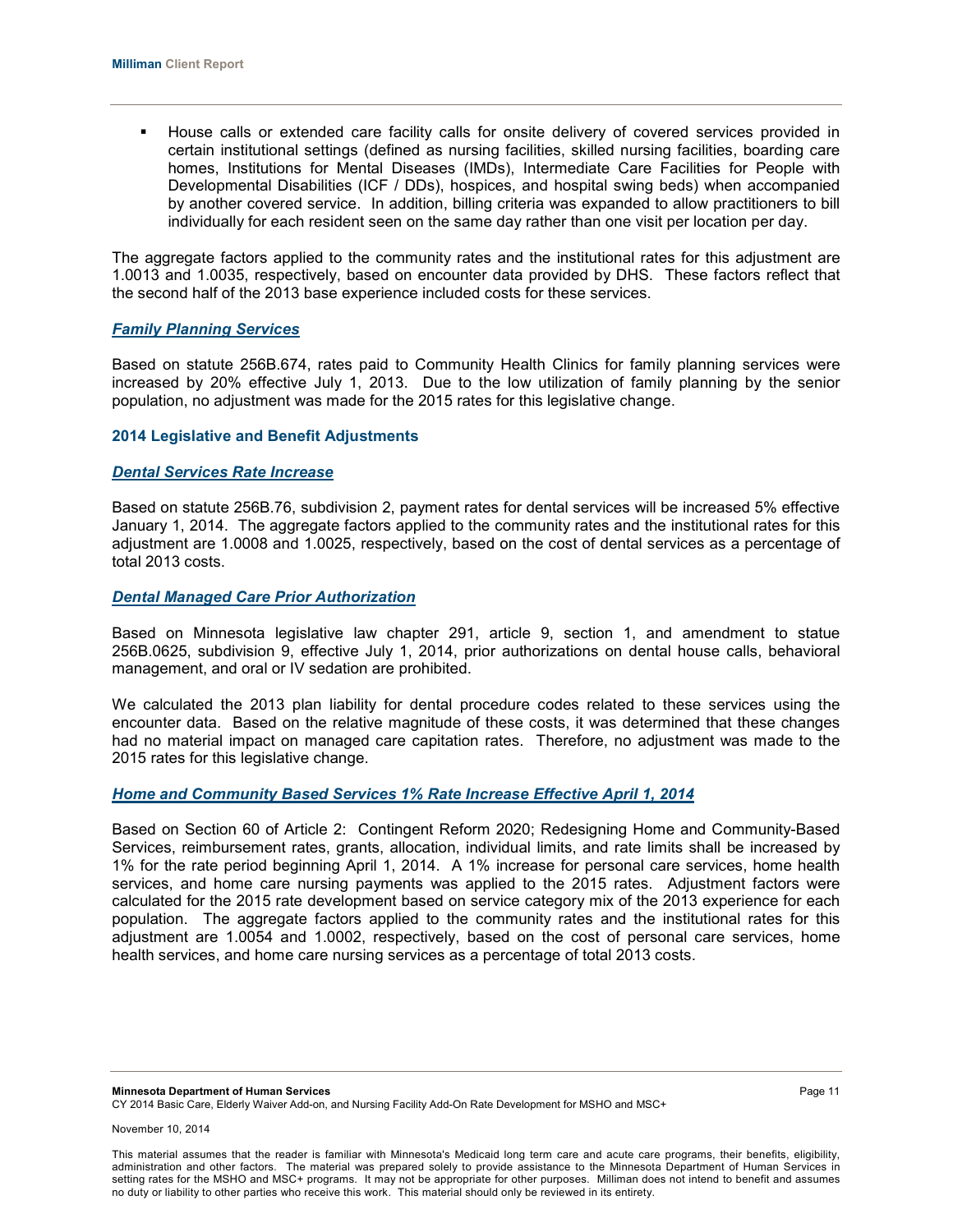House calls or extended care facility calls for onsite delivery of covered services provided in certain institutional settings (defined as nursing facilities, skilled nursing facilities, boarding care homes, Institutions for Mental Diseases (IMDs), Intermediate Care Facilities for People with Developmental Disabilities (ICF / DDs), hospices, and hospital swing beds) when accompanied by another covered service. In addition, billing criteria was expanded to allow practitioners to bill individually for each resident seen on the same day rather than one visit per location per day.

The aggregate factors applied to the community rates and the institutional rates for this adjustment are 1.0013 and 1.0035, respectively, based on encounter data provided by DHS. These factors reflect that the second half of the 2013 base experience included costs for these services.

#### *Family Planning Services*

Based on statute 256B.674, rates paid to Community Health Clinics for family planning services were increased by 20% effective July 1, 2013. Due to the low utilization of family planning by the senior population, no adjustment was made for the 2015 rates for this legislative change.

#### **2014 Legislative and Benefit Adjustments**

#### *Dental Services Rate Increase*

Based on statute 256B.76, subdivision 2, payment rates for dental services will be increased 5% effective January 1, 2014. The aggregate factors applied to the community rates and the institutional rates for this adjustment are 1.0008 and 1.0025, respectively, based on the cost of dental services as a percentage of total 2013 costs.

## *Dental Managed Care Prior Authorization*

Based on Minnesota legislative law chapter 291, article 9, section 1, and amendment to statue 256B.0625, subdivision 9, effective July 1, 2014, prior authorizations on dental house calls, behavioral management, and oral or IV sedation are prohibited.

We calculated the 2013 plan liability for dental procedure codes related to these services using the encounter data. Based on the relative magnitude of these costs, it was determined that these changes had no material impact on managed care capitation rates. Therefore, no adjustment was made to the 2015 rates for this legislative change.

## *Home and Community Based Services 1% Rate Increase Effective April 1, 2014*

Based on Section 60 of Article 2: Contingent Reform 2020; Redesigning Home and Community-Based Services, reimbursement rates, grants, allocation, individual limits, and rate limits shall be increased by 1% for the rate period beginning April 1, 2014. A 1% increase for personal care services, home health services, and home care nursing payments was applied to the 2015 rates. Adjustment factors were calculated for the 2015 rate development based on service category mix of the 2013 experience for each population. The aggregate factors applied to the community rates and the institutional rates for this adjustment are 1.0054 and 1.0002, respectively, based on the cost of personal care services, home health services, and home care nursing services as a percentage of total 2013 costs.

**Minnesota Department of Human Services** Page 11 CY 2014 Basic Care, Elderly Waiver Add-on, and Nursing Facility Add-On Rate Development for MSHO and MSC+

November 10, 2014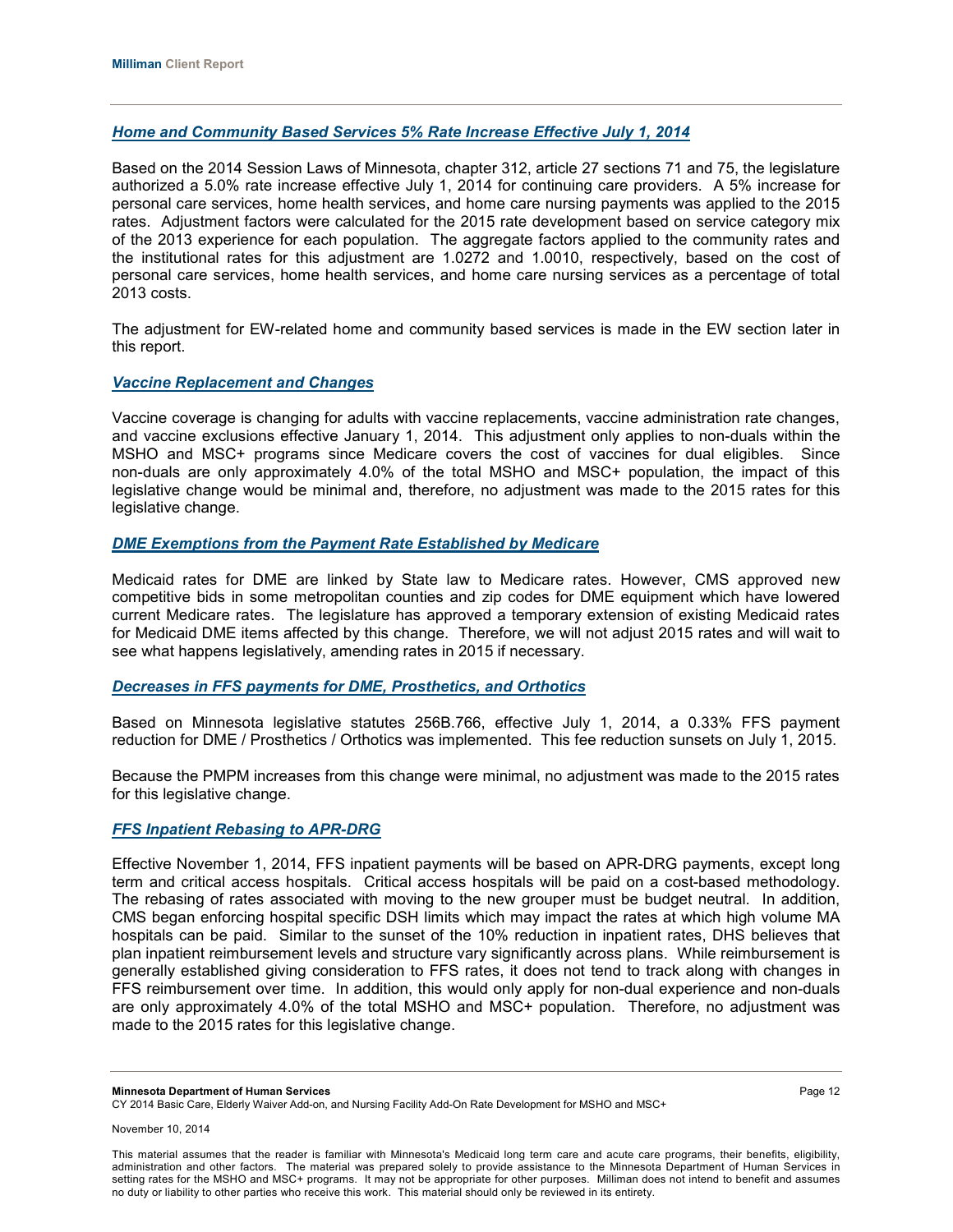## *Home and Community Based Services 5% Rate Increase Effective July 1, 2014*

Based on the 2014 Session Laws of Minnesota, chapter 312, article 27 sections 71 and 75, the legislature authorized a 5.0% rate increase effective July 1, 2014 for continuing care providers. A 5% increase for personal care services, home health services, and home care nursing payments was applied to the 2015 rates. Adjustment factors were calculated for the 2015 rate development based on service category mix of the 2013 experience for each population. The aggregate factors applied to the community rates and the institutional rates for this adjustment are 1.0272 and 1.0010, respectively, based on the cost of personal care services, home health services, and home care nursing services as a percentage of total 2013 costs.

The adjustment for EW-related home and community based services is made in the EW section later in this report.

### *Vaccine Replacement and Changes*

Vaccine coverage is changing for adults with vaccine replacements, vaccine administration rate changes, and vaccine exclusions effective January 1, 2014. This adjustment only applies to non-duals within the MSHO and MSC+ programs since Medicare covers the cost of vaccines for dual eligibles. Since non-duals are only approximately 4.0% of the total MSHO and MSC+ population, the impact of this legislative change would be minimal and, therefore, no adjustment was made to the 2015 rates for this legislative change.

## *DME Exemptions from the Payment Rate Established by Medicare*

Medicaid rates for DME are linked by State law to Medicare rates. However, CMS approved new competitive bids in some metropolitan counties and zip codes for DME equipment which have lowered current Medicare rates. The legislature has approved a temporary extension of existing Medicaid rates for Medicaid DME items affected by this change. Therefore, we will not adjust 2015 rates and will wait to see what happens legislatively, amending rates in 2015 if necessary.

#### *Decreases in FFS payments for DME, Prosthetics, and Orthotics*

Based on Minnesota legislative statutes 256B.766, effective July 1, 2014, a 0.33% FFS payment reduction for DME / Prosthetics / Orthotics was implemented. This fee reduction sunsets on July 1, 2015.

Because the PMPM increases from this change were minimal, no adjustment was made to the 2015 rates for this legislative change.

#### *FFS Inpatient Rebasing to APR-DRG*

Effective November 1, 2014, FFS inpatient payments will be based on APR-DRG payments, except long term and critical access hospitals. Critical access hospitals will be paid on a cost-based methodology. The rebasing of rates associated with moving to the new grouper must be budget neutral. In addition, CMS began enforcing hospital specific DSH limits which may impact the rates at which high volume MA hospitals can be paid. Similar to the sunset of the 10% reduction in inpatient rates, DHS believes that plan inpatient reimbursement levels and structure vary significantly across plans. While reimbursement is generally established giving consideration to FFS rates, it does not tend to track along with changes in FFS reimbursement over time. In addition, this would only apply for non-dual experience and non-duals are only approximately 4.0% of the total MSHO and MSC+ population. Therefore, no adjustment was made to the 2015 rates for this legislative change.

**Minnesota Department of Human Services** Page 12

CY 2014 Basic Care, Elderly Waiver Add-on, and Nursing Facility Add-On Rate Development for MSHO and MSC+

November 10, 2014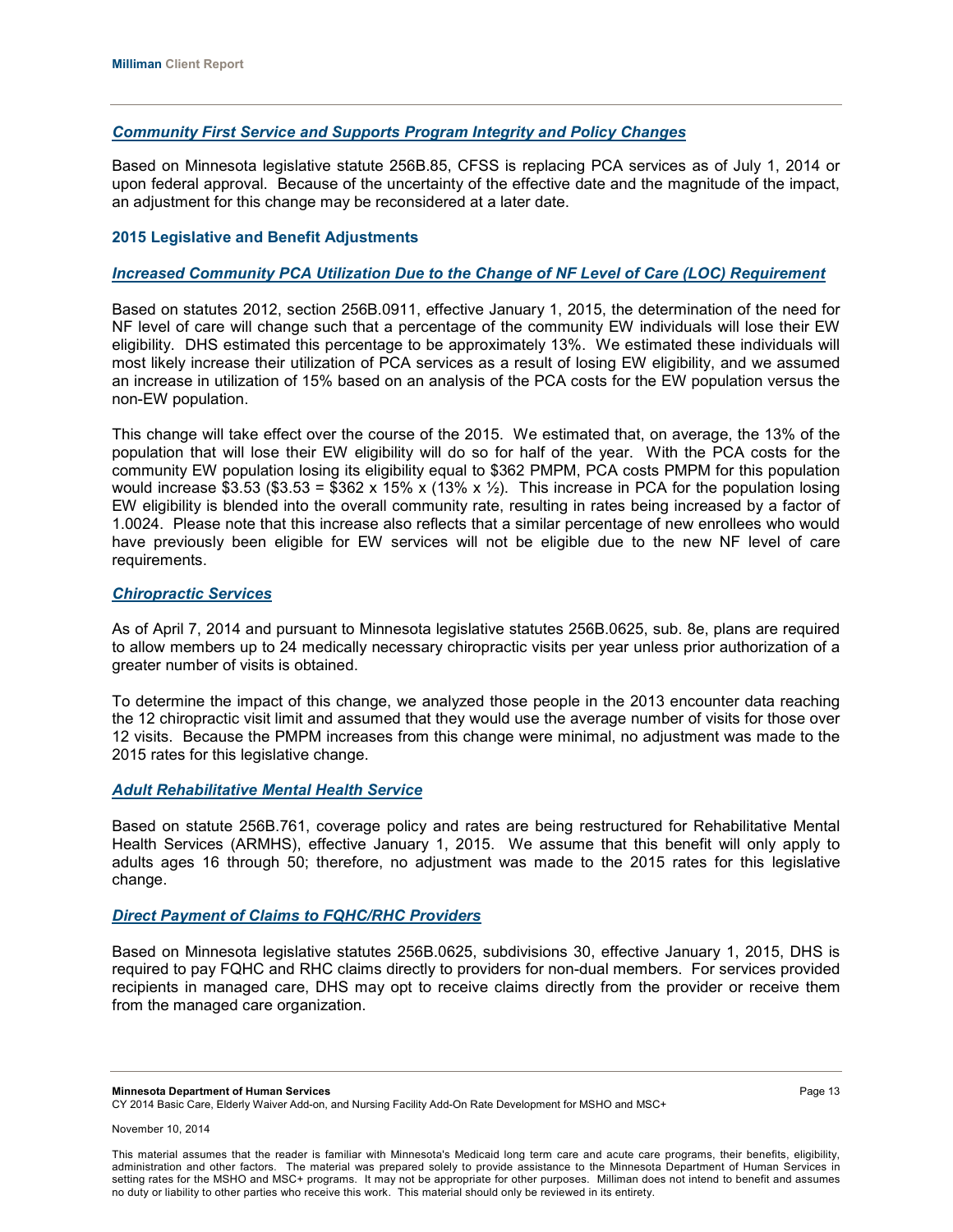## *Community First Service and Supports Program Integrity and Policy Changes*

Based on Minnesota legislative statute 256B.85, CFSS is replacing PCA services as of July 1, 2014 or upon federal approval. Because of the uncertainty of the effective date and the magnitude of the impact, an adjustment for this change may be reconsidered at a later date.

## **2015 Legislative and Benefit Adjustments**

## *Increased Community PCA Utilization Due to the Change of NF Level of Care (LOC) Requirement*

Based on statutes 2012, section 256B.0911, effective January 1, 2015, the determination of the need for NF level of care will change such that a percentage of the community EW individuals will lose their EW eligibility. DHS estimated this percentage to be approximately 13%. We estimated these individuals will most likely increase their utilization of PCA services as a result of losing EW eligibility, and we assumed an increase in utilization of 15% based on an analysis of the PCA costs for the EW population versus the non-EW population.

This change will take effect over the course of the 2015. We estimated that, on average, the 13% of the population that will lose their EW eligibility will do so for half of the year. With the PCA costs for the community EW population losing its eligibility equal to \$362 PMPM, PCA costs PMPM for this population would increase \$3.53 (\$3.53 = \$362 x 15% x (13% x  $\frac{1}{2}$ ). This increase in PCA for the population losing EW eligibility is blended into the overall community rate, resulting in rates being increased by a factor of 1.0024. Please note that this increase also reflects that a similar percentage of new enrollees who would have previously been eligible for EW services will not be eligible due to the new NF level of care requirements.

## *Chiropractic Services*

As of April 7, 2014 and pursuant to Minnesota legislative statutes 256B.0625, sub. 8e, plans are required to allow members up to 24 medically necessary chiropractic visits per year unless prior authorization of a greater number of visits is obtained.

To determine the impact of this change, we analyzed those people in the 2013 encounter data reaching the 12 chiropractic visit limit and assumed that they would use the average number of visits for those over 12 visits. Because the PMPM increases from this change were minimal, no adjustment was made to the 2015 rates for this legislative change.

#### *Adult Rehabilitative Mental Health Service*

Based on statute 256B.761, coverage policy and rates are being restructured for Rehabilitative Mental Health Services (ARMHS), effective January 1, 2015. We assume that this benefit will only apply to adults ages 16 through 50; therefore, no adjustment was made to the 2015 rates for this legislative change.

## *Direct Payment of Claims to FQHC/RHC Providers*

Based on Minnesota legislative statutes 256B.0625, subdivisions 30, effective January 1, 2015, DHS is required to pay FQHC and RHC claims directly to providers for non-dual members. For services provided recipients in managed care, DHS may opt to receive claims directly from the provider or receive them from the managed care organization.

**Minnesota Department of Human Services** Page 13

CY 2014 Basic Care, Elderly Waiver Add-on, and Nursing Facility Add-On Rate Development for MSHO and MSC+

This material assumes that the reader is familiar with Minnesota's Medicaid long term care and acute care programs, their benefits, eligibility, administration and other factors. The material was prepared solely to provide assistance to the Minnesota Department of Human Services in setting rates for the MSHO and MSC+ programs. It may not be appropriate for other purposes. Milliman does not intend to benefit and assumes no duty or liability to other parties who receive this work. This material should only be reviewed in its entirety.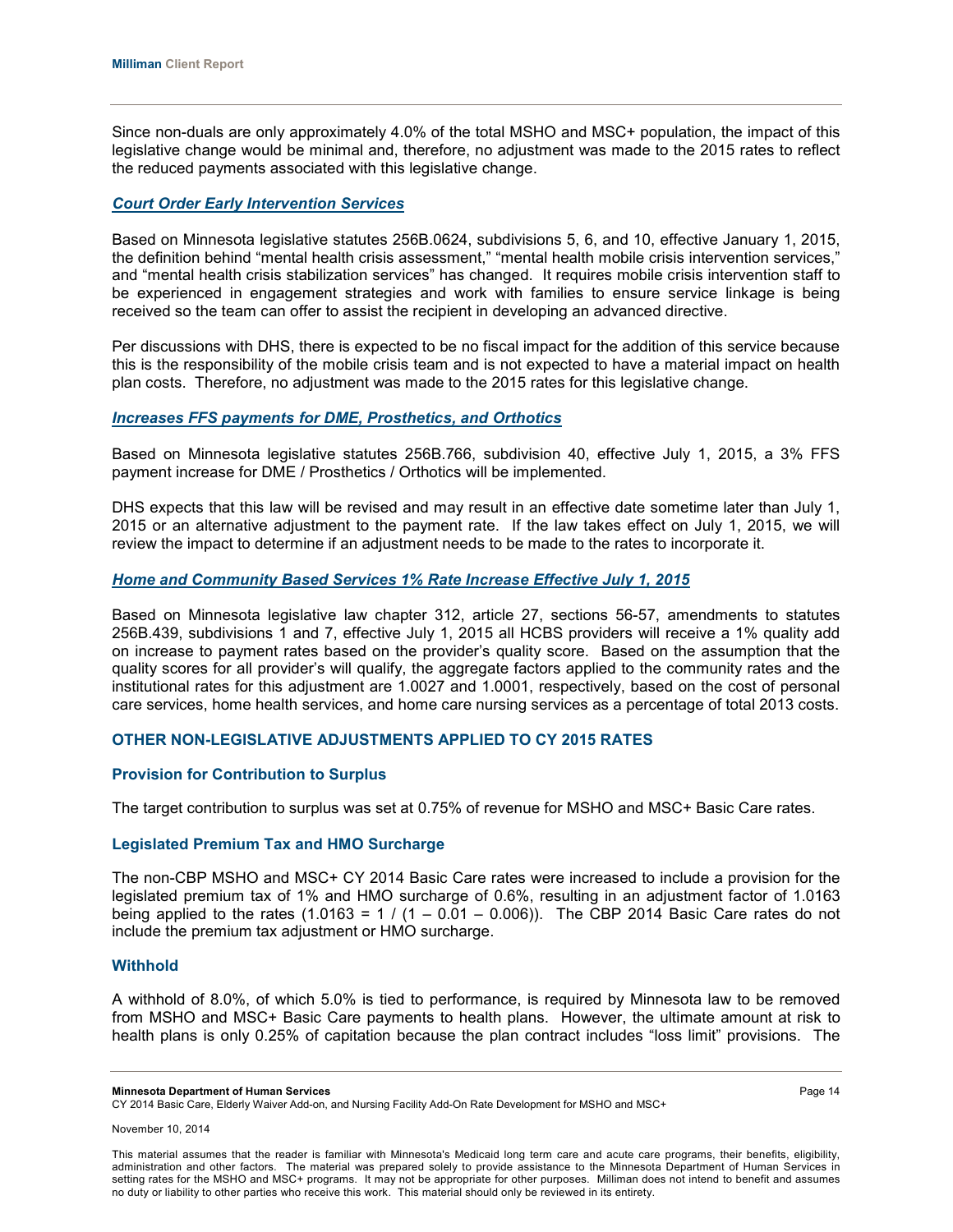Since non-duals are only approximately 4.0% of the total MSHO and MSC+ population, the impact of this legislative change would be minimal and, therefore, no adjustment was made to the 2015 rates to reflect the reduced payments associated with this legislative change.

#### *Court Order Early Intervention Services*

Based on Minnesota legislative statutes 256B.0624, subdivisions 5, 6, and 10, effective January 1, 2015, the definition behind "mental health crisis assessment," "mental health mobile crisis intervention services," and "mental health crisis stabilization services" has changed. It requires mobile crisis intervention staff to be experienced in engagement strategies and work with families to ensure service linkage is being received so the team can offer to assist the recipient in developing an advanced directive.

Per discussions with DHS, there is expected to be no fiscal impact for the addition of this service because this is the responsibility of the mobile crisis team and is not expected to have a material impact on health plan costs. Therefore, no adjustment was made to the 2015 rates for this legislative change.

### *Increases FFS payments for DME, Prosthetics, and Orthotics*

Based on Minnesota legislative statutes 256B.766, subdivision 40, effective July 1, 2015, a 3% FFS payment increase for DME / Prosthetics / Orthotics will be implemented.

DHS expects that this law will be revised and may result in an effective date sometime later than July 1, 2015 or an alternative adjustment to the payment rate. If the law takes effect on July 1, 2015, we will review the impact to determine if an adjustment needs to be made to the rates to incorporate it.

#### *Home and Community Based Services 1% Rate Increase Effective July 1, 2015*

Based on Minnesota legislative law chapter 312, article 27, sections 56-57, amendments to statutes 256B.439, subdivisions 1 and 7, effective July 1, 2015 all HCBS providers will receive a 1% quality add on increase to payment rates based on the provider's quality score. Based on the assumption that the quality scores for all provider's will qualify, the aggregate factors applied to the community rates and the institutional rates for this adjustment are 1.0027 and 1.0001, respectively, based on the cost of personal care services, home health services, and home care nursing services as a percentage of total 2013 costs.

#### **OTHER NON-LEGISLATIVE ADJUSTMENTS APPLIED TO CY 2015 RATES**

#### **Provision for Contribution to Surplus**

The target contribution to surplus was set at 0.75% of revenue for MSHO and MSC+ Basic Care rates.

#### **Legislated Premium Tax and HMO Surcharge**

The non-CBP MSHO and MSC+ CY 2014 Basic Care rates were increased to include a provision for the legislated premium tax of 1% and HMO surcharge of 0.6%, resulting in an adjustment factor of 1.0163 being applied to the rates  $(1.0163 = 1 / (1 - 0.01 - 0.006))$ . The CBP 2014 Basic Care rates do not include the premium tax adjustment or HMO surcharge.

#### **Withhold**

A withhold of 8.0%, of which 5.0% is tied to performance, is required by Minnesota law to be removed from MSHO and MSC+ Basic Care payments to health plans. However, the ultimate amount at risk to health plans is only 0.25% of capitation because the plan contract includes "loss limit" provisions. The

**Minnesota Department of Human Services** Page 14

CY 2014 Basic Care, Elderly Waiver Add-on, and Nursing Facility Add-On Rate Development for MSHO and MSC+

This material assumes that the reader is familiar with Minnesota's Medicaid long term care and acute care programs, their benefits, eligibility, administration and other factors. The material was prepared solely to provide assistance to the Minnesota Department of Human Services in setting rates for the MSHO and MSC+ programs. It may not be appropriate for other purposes. Milliman does not intend to benefit and assumes no duty or liability to other parties who receive this work. This material should only be reviewed in its entirety.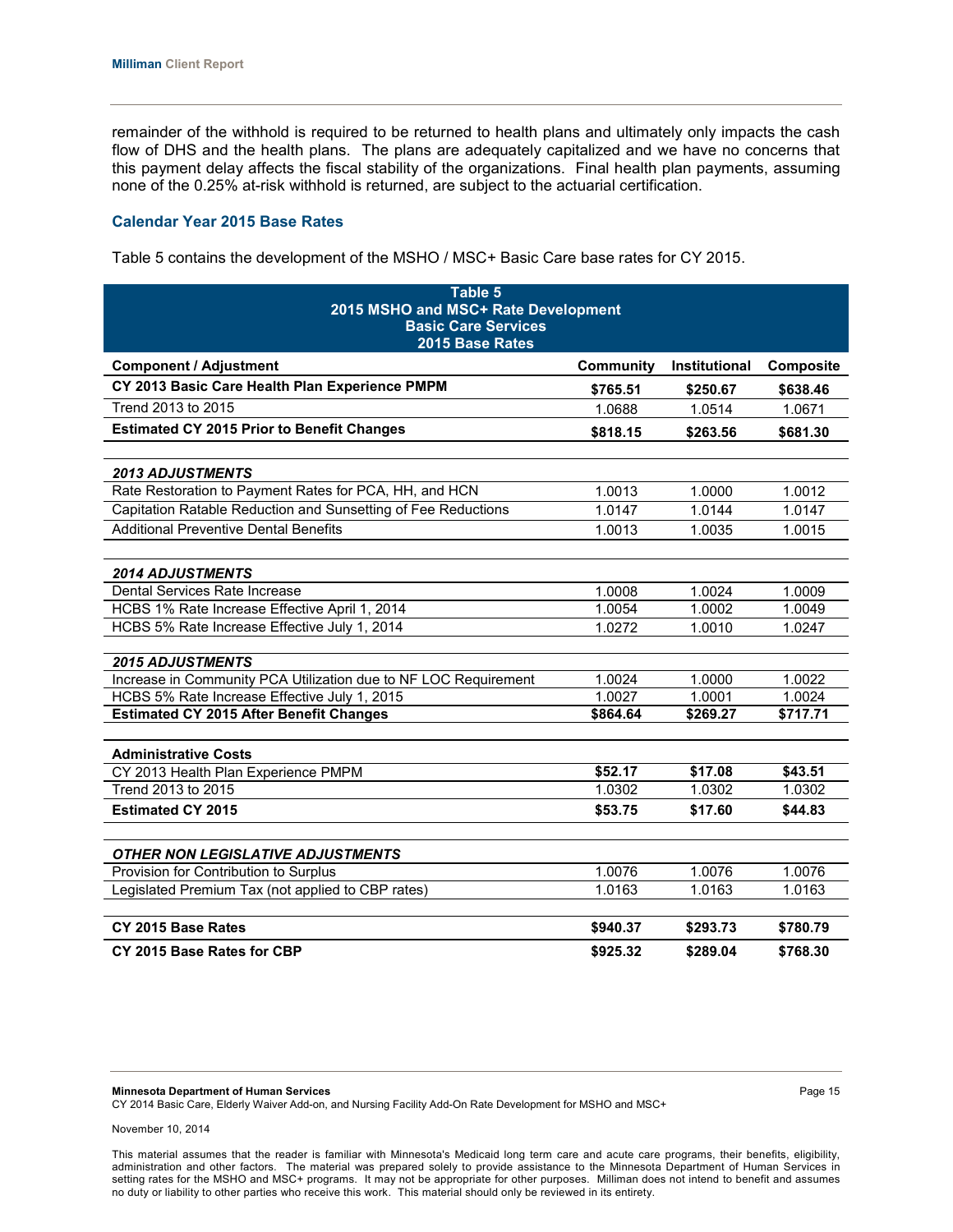remainder of the withhold is required to be returned to health plans and ultimately only impacts the cash flow of DHS and the health plans. The plans are adequately capitalized and we have no concerns that this payment delay affects the fiscal stability of the organizations. Final health plan payments, assuming none of the 0.25% at-risk withhold is returned, are subject to the actuarial certification.

#### **Calendar Year 2015 Base Rates**

Table 5 contains the development of the MSHO / MSC+ Basic Care base rates for CY 2015.

| Table 5<br>2015 MSHO and MSC+ Rate Development                  |           |               |           |  |
|-----------------------------------------------------------------|-----------|---------------|-----------|--|
| <b>Basic Care Services</b><br>2015 Base Rates                   |           |               |           |  |
| <b>Component / Adjustment</b>                                   | Community | Institutional | Composite |  |
| CY 2013 Basic Care Health Plan Experience PMPM                  | \$765.51  | \$250.67      | \$638.46  |  |
| Trend 2013 to 2015                                              | 1.0688    | 1.0514        | 1.0671    |  |
| <b>Estimated CY 2015 Prior to Benefit Changes</b>               | \$818.15  | \$263.56      | \$681.30  |  |
|                                                                 |           |               |           |  |
| <b>2013 ADJUSTMENTS</b>                                         |           |               |           |  |
| Rate Restoration to Payment Rates for PCA, HH, and HCN          | 1.0013    | 1.0000        | 1.0012    |  |
| Capitation Ratable Reduction and Sunsetting of Fee Reductions   | 1.0147    | 1.0144        | 1.0147    |  |
| <b>Additional Preventive Dental Benefits</b>                    | 1.0013    | 1.0035        | 1.0015    |  |
|                                                                 |           |               |           |  |
| <b>2014 ADJUSTMENTS</b>                                         |           |               |           |  |
| Dental Services Rate Increase                                   | 1.0008    | 1.0024        | 1.0009    |  |
| HCBS 1% Rate Increase Effective April 1, 2014                   | 1.0054    | 1.0002        | 1.0049    |  |
| HCBS 5% Rate Increase Effective July 1, 2014                    | 1.0272    | 1.0010        | 1.0247    |  |
| <b>2015 ADJUSTMENTS</b>                                         |           |               |           |  |
| Increase in Community PCA Utilization due to NF LOC Requirement | 1.0024    | 1.0000        | 1.0022    |  |
| HCBS 5% Rate Increase Effective July 1, 2015                    | 1.0027    | 1.0001        | 1.0024    |  |
| <b>Estimated CY 2015 After Benefit Changes</b>                  | \$864.64  | \$269.27      | \$717.71  |  |
|                                                                 |           |               |           |  |
| <b>Administrative Costs</b>                                     |           |               |           |  |
| CY 2013 Health Plan Experience PMPM                             | \$52.17   | \$17.08       | \$43.51   |  |
| Trend 2013 to 2015                                              | 1.0302    | 1.0302        | 1.0302    |  |
| <b>Estimated CY 2015</b>                                        | \$53.75   | \$17.60       | \$44.83   |  |
|                                                                 |           |               |           |  |
| <b>OTHER NON LEGISLATIVE ADJUSTMENTS</b>                        |           |               |           |  |
| Provision for Contribution to Surplus                           | 1.0076    | 1.0076        | 1.0076    |  |
| Legislated Premium Tax (not applied to CBP rates)               | 1.0163    | 1.0163        | 1.0163    |  |
|                                                                 |           |               |           |  |
| CY 2015 Base Rates                                              | \$940.37  | \$293.73      | \$780.79  |  |
| CY 2015 Base Rates for CBP                                      | \$925.32  | \$289.04      | \$768.30  |  |

**Minnesota Department of Human Services** Page 15

CY 2014 Basic Care, Elderly Waiver Add-on, and Nursing Facility Add-On Rate Development for MSHO and MSC+

November 10, 2014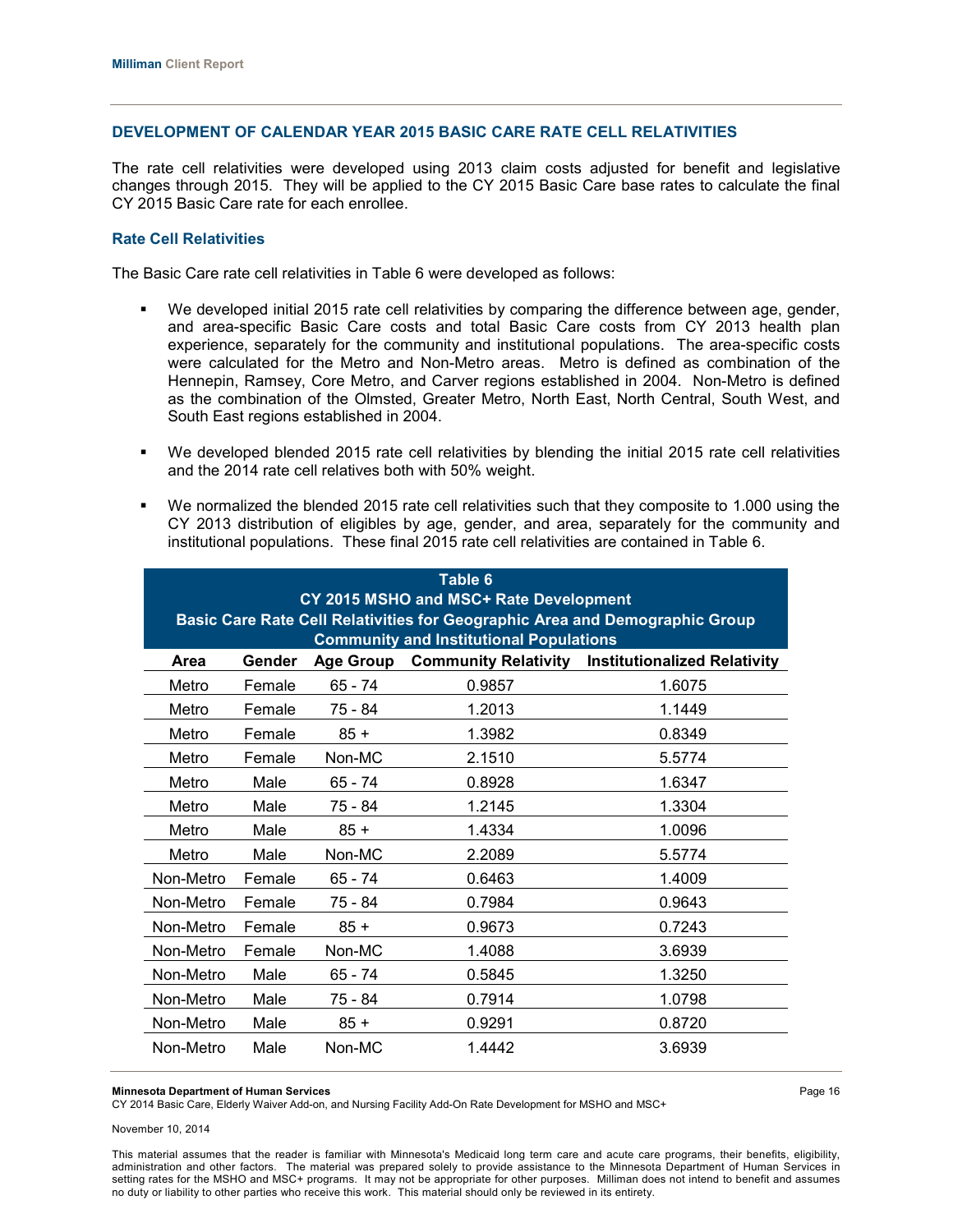## **DEVELOPMENT OF CALENDAR YEAR 2015 BASIC CARE RATE CELL RELATIVITIES**

The rate cell relativities were developed using 2013 claim costs adjusted for benefit and legislative changes through 2015. They will be applied to the CY 2015 Basic Care base rates to calculate the final CY 2015 Basic Care rate for each enrollee.

## **Rate Cell Relativities**

The Basic Care rate cell relativities in Table 6 were developed as follows:

- We developed initial 2015 rate cell relativities by comparing the difference between age, gender, and area-specific Basic Care costs and total Basic Care costs from CY 2013 health plan experience, separately for the community and institutional populations. The area-specific costs were calculated for the Metro and Non-Metro areas. Metro is defined as combination of the Hennepin, Ramsey, Core Metro, and Carver regions established in 2004. Non-Metro is defined as the combination of the Olmsted, Greater Metro, North East, North Central, South West, and South East regions established in 2004.
- We developed blended 2015 rate cell relativities by blending the initial 2015 rate cell relativities and the 2014 rate cell relatives both with 50% weight.
- We normalized the blended 2015 rate cell relativities such that they composite to 1.000 using the CY 2013 distribution of eligibles by age, gender, and area, separately for the community and institutional populations. These final 2015 rate cell relativities are contained in Table 6.

| Table 6<br>CY 2015 MSHO and MSC+ Rate Development                                                        |        |           |        |        |  |  |  |  |
|----------------------------------------------------------------------------------------------------------|--------|-----------|--------|--------|--|--|--|--|
| <b>Basic Care Rate Cell Relativities for Geographic Area and Demographic Group</b>                       |        |           |        |        |  |  |  |  |
| <b>Community and Institutional Populations</b>                                                           |        |           |        |        |  |  |  |  |
| Gender<br><b>Community Relativity</b><br><b>Institutionalized Relativity</b><br>Area<br><b>Age Group</b> |        |           |        |        |  |  |  |  |
| Metro                                                                                                    | Female | 65 - 74   | 0.9857 | 1.6075 |  |  |  |  |
| Metro                                                                                                    | Female | 75 - 84   | 1.2013 | 1.1449 |  |  |  |  |
| Metro                                                                                                    | Female | $85 +$    | 1.3982 | 0.8349 |  |  |  |  |
| Metro                                                                                                    | Female | Non-MC    | 2.1510 | 5.5774 |  |  |  |  |
| Metro                                                                                                    | Male   | 65 - 74   | 0.8928 | 1.6347 |  |  |  |  |
| Metro                                                                                                    | Male   | 75 - 84   | 1.2145 | 1.3304 |  |  |  |  |
| Metro                                                                                                    | Male   | $85 +$    | 1.4334 | 1.0096 |  |  |  |  |
| Metro                                                                                                    | Male   | Non-MC    | 2.2089 | 5.5774 |  |  |  |  |
| Non-Metro                                                                                                | Female | 65 - 74   | 0.6463 | 1.4009 |  |  |  |  |
| Non-Metro                                                                                                | Female | 75 - 84   | 0.7984 | 0.9643 |  |  |  |  |
| Non-Metro                                                                                                | Female | $85 +$    | 0.9673 | 0.7243 |  |  |  |  |
| Non-Metro                                                                                                | Female | Non-MC    | 1.4088 | 3.6939 |  |  |  |  |
| Non-Metro                                                                                                | Male   | $65 - 74$ | 0.5845 | 1.3250 |  |  |  |  |
| Non-Metro                                                                                                | Male   | 75 - 84   | 0.7914 | 1.0798 |  |  |  |  |
| Non-Metro                                                                                                | Male   | $85 +$    | 0.9291 | 0.8720 |  |  |  |  |
| Non-Metro                                                                                                | Male   | Non-MC    | 1.4442 | 3.6939 |  |  |  |  |

#### **Minnesota Department of Human Services** Page 16

CY 2014 Basic Care, Elderly Waiver Add-on, and Nursing Facility Add-On Rate Development for MSHO and MSC+

November 10, 2014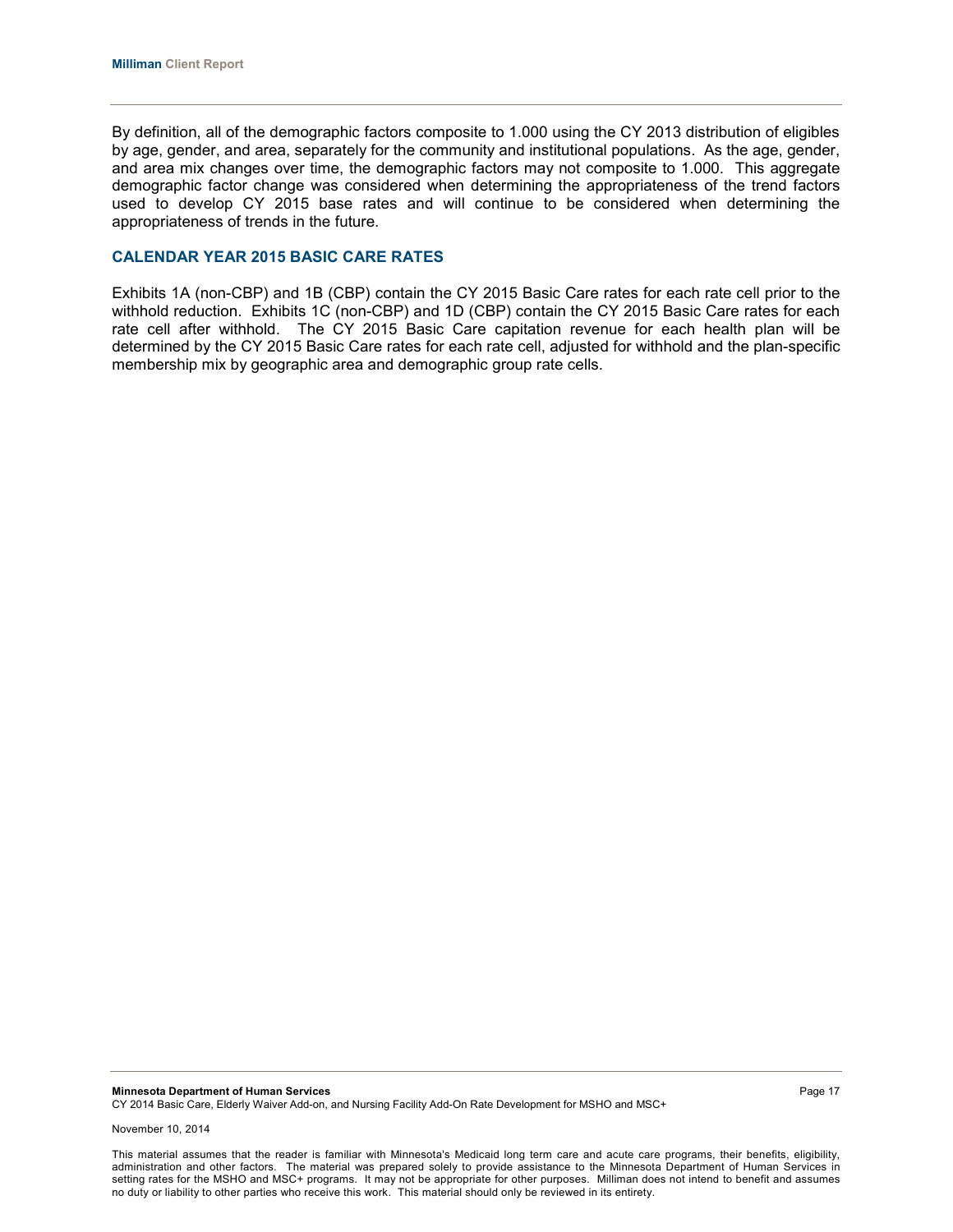By definition, all of the demographic factors composite to 1.000 using the CY 2013 distribution of eligibles by age, gender, and area, separately for the community and institutional populations. As the age, gender, and area mix changes over time, the demographic factors may not composite to 1.000. This aggregate demographic factor change was considered when determining the appropriateness of the trend factors used to develop CY 2015 base rates and will continue to be considered when determining the appropriateness of trends in the future.

## **CALENDAR YEAR 2015 BASIC CARE RATES**

Exhibits 1A (non-CBP) and 1B (CBP) contain the CY 2015 Basic Care rates for each rate cell prior to the withhold reduction. Exhibits 1C (non-CBP) and 1D (CBP) contain the CY 2015 Basic Care rates for each rate cell after withhold. The CY 2015 Basic Care capitation revenue for each health plan will be determined by the CY 2015 Basic Care rates for each rate cell, adjusted for withhold and the plan-specific membership mix by geographic area and demographic group rate cells.

**Minnesota Department of Human Services Page 17 Page 17 Page 17 Page 17** CY 2014 Basic Care, Elderly Waiver Add-on, and Nursing Facility Add-On Rate Development for MSHO and MSC+

November 10, 2014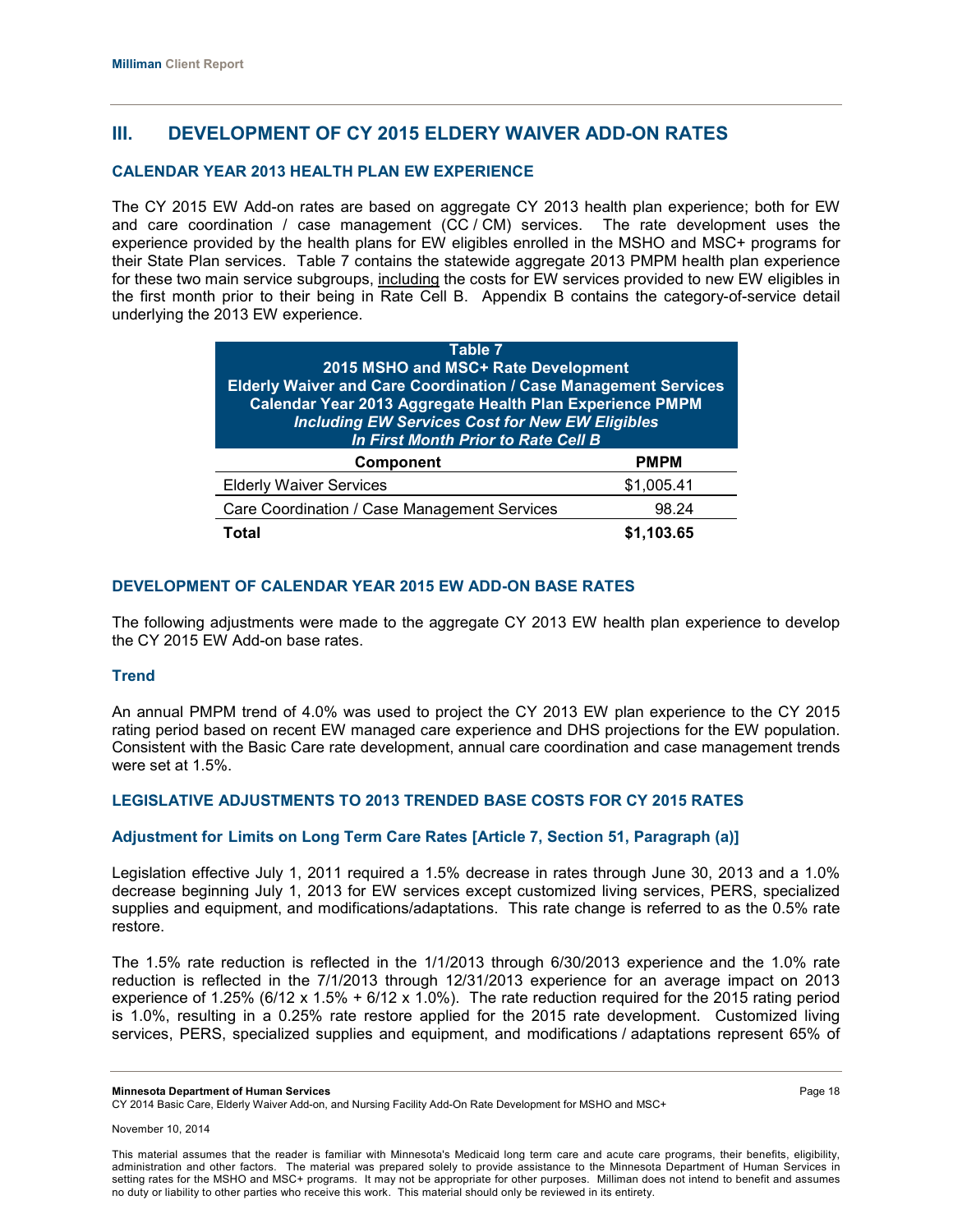# **III. DEVELOPMENT OF CY 2015 ELDERY WAIVER ADD-ON RATES**

## **CALENDAR YEAR 2013 HEALTH PLAN EW EXPERIENCE**

The CY 2015 EW Add-on rates are based on aggregate CY 2013 health plan experience; both for EW and care coordination / case management (CC / CM) services. The rate development uses the experience provided by the health plans for EW eligibles enrolled in the MSHO and MSC+ programs for their State Plan services. Table 7 contains the statewide aggregate 2013 PMPM health plan experience for these two main service subgroups, including the costs for EW services provided to new EW eligibles in the first month prior to their being in Rate Cell B. Appendix B contains the category-of-service detail underlying the 2013 EW experience.

| Table 7<br>2015 MSHO and MSC+ Rate Development<br><b>Elderly Waiver and Care Coordination / Case Management Services</b><br>Calendar Year 2013 Aggregate Health Plan Experience PMPM<br><b>Including EW Services Cost for New EW Eligibles</b><br>In First Month Prior to Rate Cell B |            |  |
|---------------------------------------------------------------------------------------------------------------------------------------------------------------------------------------------------------------------------------------------------------------------------------------|------------|--|
| <b>PMPM</b><br><b>Component</b>                                                                                                                                                                                                                                                       |            |  |
| <b>Elderly Waiver Services</b>                                                                                                                                                                                                                                                        | \$1,005.41 |  |
| Care Coordination / Case Management Services                                                                                                                                                                                                                                          | 98.24      |  |
| Total<br>.103.65                                                                                                                                                                                                                                                                      |            |  |

## **DEVELOPMENT OF CALENDAR YEAR 2015 EW ADD-ON BASE RATES**

The following adjustments were made to the aggregate CY 2013 EW health plan experience to develop the CY 2015 EW Add-on base rates.

## **Trend**

An annual PMPM trend of 4.0% was used to project the CY 2013 EW plan experience to the CY 2015 rating period based on recent EW managed care experience and DHS projections for the EW population. Consistent with the Basic Care rate development, annual care coordination and case management trends were set at 1.5%.

## **LEGISLATIVE ADJUSTMENTS TO 2013 TRENDED BASE COSTS FOR CY 2015 RATES**

#### **Adjustment for Limits on Long Term Care Rates [Article 7, Section 51, Paragraph (a)]**

Legislation effective July 1, 2011 required a 1.5% decrease in rates through June 30, 2013 and a 1.0% decrease beginning July 1, 2013 for EW services except customized living services, PERS, specialized supplies and equipment, and modifications/adaptations. This rate change is referred to as the 0.5% rate restore.

The 1.5% rate reduction is reflected in the 1/1/2013 through 6/30/2013 experience and the 1.0% rate reduction is reflected in the 7/1/2013 through 12/31/2013 experience for an average impact on 2013 experience of 1.25% (6/12 x 1.5% + 6/12 x 1.0%). The rate reduction required for the 2015 rating period is 1.0%, resulting in a 0.25% rate restore applied for the 2015 rate development. Customized living services, PERS, specialized supplies and equipment, and modifications / adaptations represent 65% of

CY 2014 Basic Care, Elderly Waiver Add-on, and Nursing Facility Add-On Rate Development for MSHO and MSC+

**Minnesota Department of Human Services** Page 18

November 10, 2014

This material assumes that the reader is familiar with Minnesota's Medicaid long term care and acute care programs, their benefits, eligibility, administration and other factors. The material was prepared solely to provide assistance to the Minnesota Department of Human Services in setting rates for the MSHO and MSC+ programs. It may not be appropriate for other purposes. Milliman does not intend to benefit and assumes no duty or liability to other parties who receive this work. This material should only be reviewed in its entirety.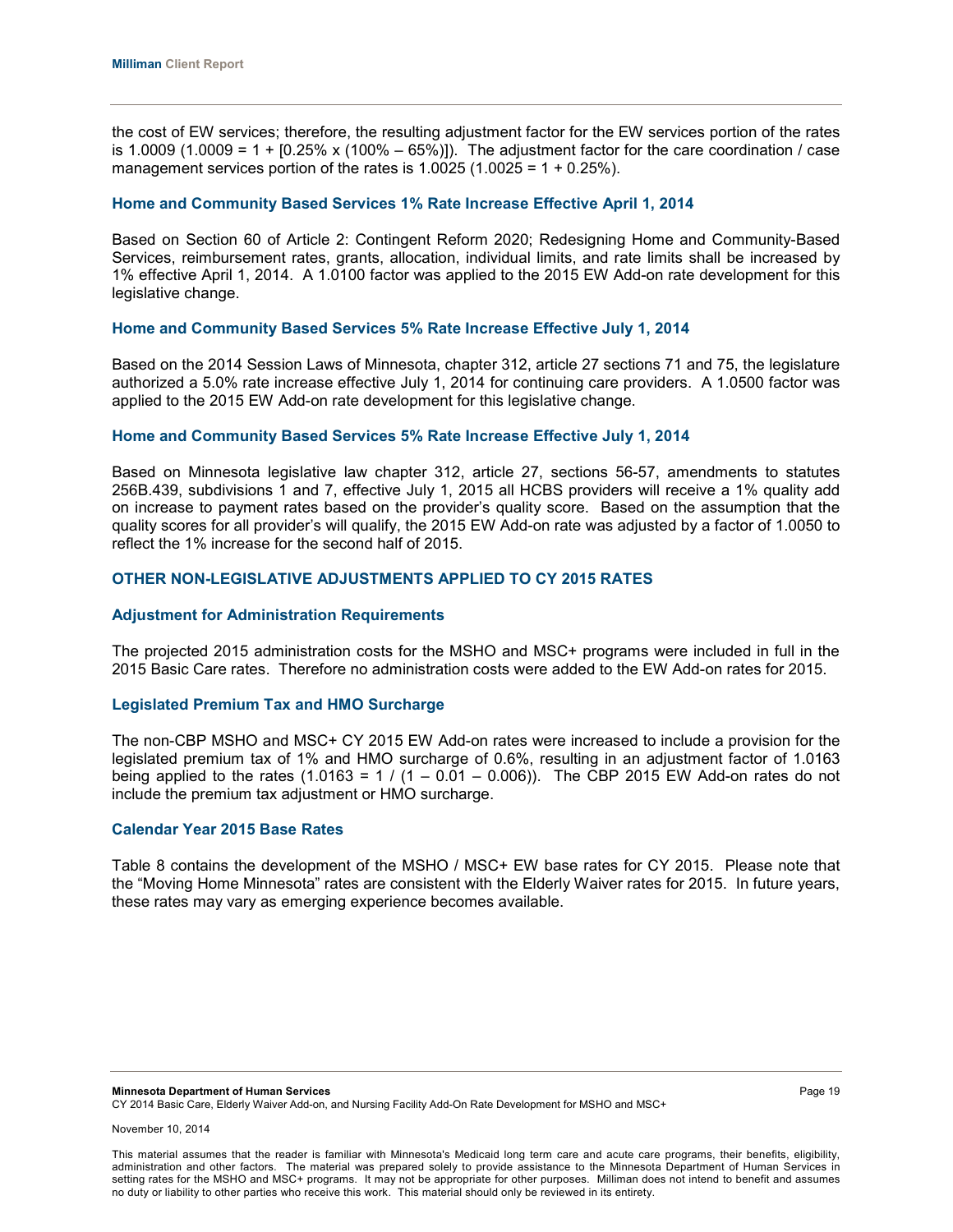the cost of EW services; therefore, the resulting adjustment factor for the EW services portion of the rates is 1.0009 (1.0009 =  $1 + [0.25\% \times (100\% - 65\%)]$ ). The adjustment factor for the care coordination / case management services portion of the rates is  $1.0025$  (1.0025 =  $1 + 0.25\%$ ).

#### **Home and Community Based Services 1% Rate Increase Effective April 1, 2014**

Based on Section 60 of Article 2: Contingent Reform 2020; Redesigning Home and Community-Based Services, reimbursement rates, grants, allocation, individual limits, and rate limits shall be increased by 1% effective April 1, 2014. A 1.0100 factor was applied to the 2015 EW Add-on rate development for this legislative change.

#### **Home and Community Based Services 5% Rate Increase Effective July 1, 2014**

Based on the 2014 Session Laws of Minnesota, chapter 312, article 27 sections 71 and 75, the legislature authorized a 5.0% rate increase effective July 1, 2014 for continuing care providers. A 1.0500 factor was applied to the 2015 EW Add-on rate development for this legislative change.

#### **Home and Community Based Services 5% Rate Increase Effective July 1, 2014**

Based on Minnesota legislative law chapter 312, article 27, sections 56-57, amendments to statutes 256B.439, subdivisions 1 and 7, effective July 1, 2015 all HCBS providers will receive a 1% quality add on increase to payment rates based on the provider's quality score. Based on the assumption that the quality scores for all provider's will qualify, the 2015 EW Add-on rate was adjusted by a factor of 1.0050 to reflect the 1% increase for the second half of 2015.

## **OTHER NON-LEGISLATIVE ADJUSTMENTS APPLIED TO CY 2015 RATES**

#### **Adjustment for Administration Requirements**

The projected 2015 administration costs for the MSHO and MSC+ programs were included in full in the 2015 Basic Care rates. Therefore no administration costs were added to the EW Add-on rates for 2015.

#### **Legislated Premium Tax and HMO Surcharge**

The non-CBP MSHO and MSC+ CY 2015 EW Add-on rates were increased to include a provision for the legislated premium tax of 1% and HMO surcharge of 0.6%, resulting in an adjustment factor of 1.0163 being applied to the rates  $(1.0163 = 1 / (1 - 0.01 - 0.006))$ . The CBP 2015 EW Add-on rates do not include the premium tax adjustment or HMO surcharge.

## **Calendar Year 2015 Base Rates**

Table 8 contains the development of the MSHO / MSC+ EW base rates for CY 2015. Please note that the "Moving Home Minnesota" rates are consistent with the Elderly Waiver rates for 2015. In future years, these rates may vary as emerging experience becomes available.

**Minnesota Department of Human Services** Page 19 CY 2014 Basic Care, Elderly Waiver Add-on, and Nursing Facility Add-On Rate Development for MSHO and MSC+

November 10, 2014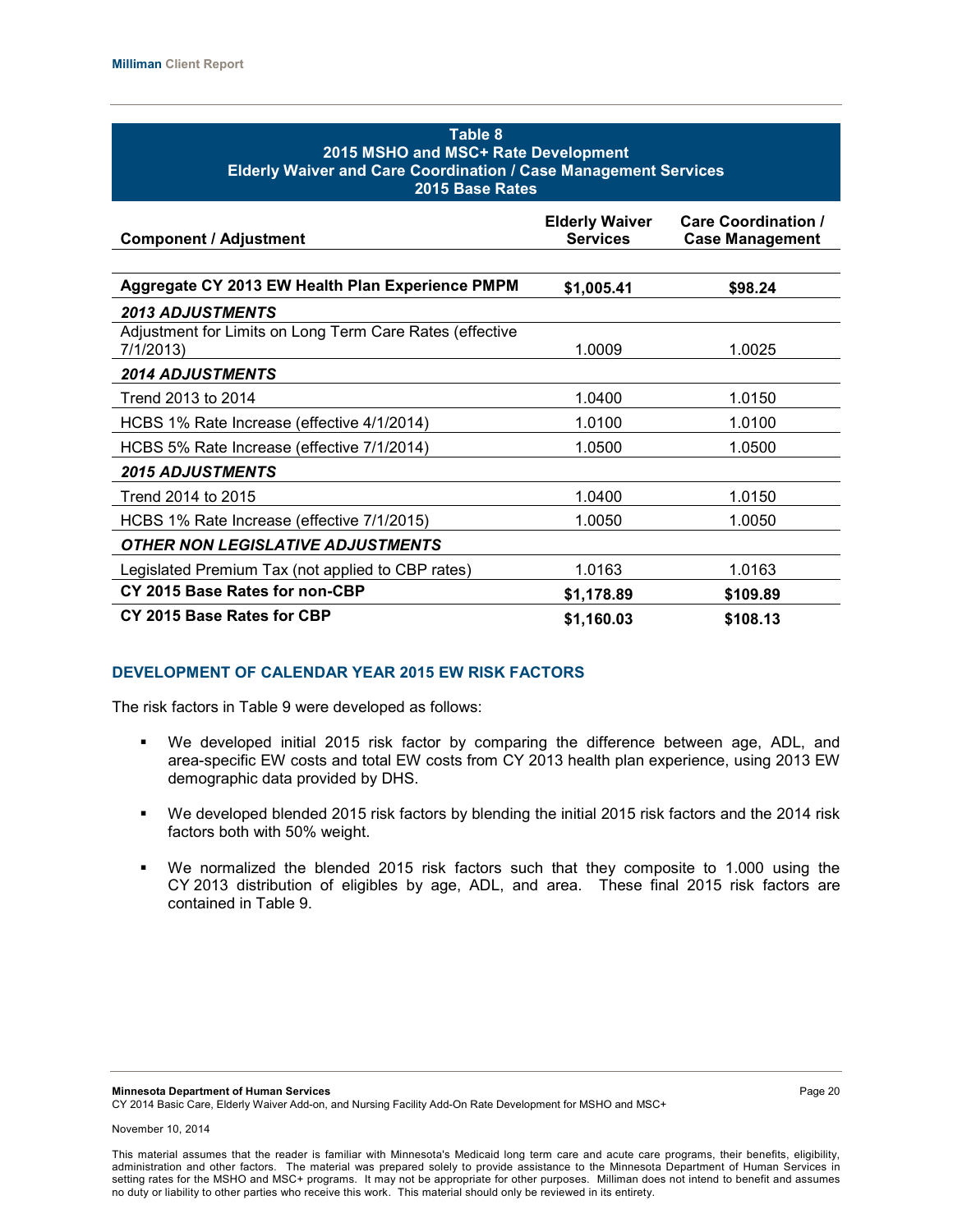| Table 8<br>2015 MSHO and MSC+ Rate Development<br><b>Elderly Waiver and Care Coordination / Case Management Services</b><br>2015 Base Rates |                                          |                                                      |  |  |  |
|---------------------------------------------------------------------------------------------------------------------------------------------|------------------------------------------|------------------------------------------------------|--|--|--|
| <b>Component / Adjustment</b>                                                                                                               | <b>Elderly Waiver</b><br><b>Services</b> | <b>Care Coordination /</b><br><b>Case Management</b> |  |  |  |
| Aggregate CY 2013 EW Health Plan Experience PMPM                                                                                            | \$1,005,41                               | \$98.24                                              |  |  |  |
| <b>2013 ADJUSTMENTS</b><br>Adjustment for Limits on Long Term Care Rates (effective<br>7/1/2013)                                            | 1.0009                                   | 1.0025                                               |  |  |  |
| <b>2014 ADJUSTMENTS</b>                                                                                                                     |                                          |                                                      |  |  |  |
| Trend 2013 to 2014                                                                                                                          | 1.0400                                   | 1.0150                                               |  |  |  |
| HCBS 1% Rate Increase (effective 4/1/2014)                                                                                                  | 1.0100                                   | 1.0100                                               |  |  |  |
| HCBS 5% Rate Increase (effective 7/1/2014)                                                                                                  | 1.0500                                   | 1.0500                                               |  |  |  |
| <b>2015 ADJUSTMENTS</b>                                                                                                                     |                                          |                                                      |  |  |  |
| Trend 2014 to 2015                                                                                                                          | 1.0400                                   | 1.0150                                               |  |  |  |
| HCBS 1% Rate Increase (effective 7/1/2015)                                                                                                  | 1.0050                                   | 1.0050                                               |  |  |  |
| <b>OTHER NON LEGISLATIVE ADJUSTMENTS</b>                                                                                                    |                                          |                                                      |  |  |  |
| Legislated Premium Tax (not applied to CBP rates)                                                                                           | 1.0163                                   | 1.0163                                               |  |  |  |
| CY 2015 Base Rates for non-CBP                                                                                                              | \$1,178.89                               | \$109.89                                             |  |  |  |
| CY 2015 Base Rates for CBP                                                                                                                  | \$1,160.03<br>\$108.13                   |                                                      |  |  |  |

## **DEVELOPMENT OF CALENDAR YEAR 2015 EW RISK FACTORS**

The risk factors in Table 9 were developed as follows:

- We developed initial 2015 risk factor by comparing the difference between age, ADL, and area-specific EW costs and total EW costs from CY 2013 health plan experience, using 2013 EW demographic data provided by DHS.
- We developed blended 2015 risk factors by blending the initial 2015 risk factors and the 2014 risk factors both with 50% weight.
- We normalized the blended 2015 risk factors such that they composite to 1.000 using the CY 2013 distribution of eligibles by age, ADL, and area. These final 2015 risk factors are contained in Table 9.

**Minnesota Department of Human Services** Page 20 CY 2014 Basic Care, Elderly Waiver Add-on, and Nursing Facility Add-On Rate Development for MSHO and MSC+

This material assumes that the reader is familiar with Minnesota's Medicaid long term care and acute care programs, their benefits, eligibility, administration and other factors. The material was prepared solely to provide assistance to the Minnesota Department of Human Services in setting rates for the MSHO and MSC+ programs. It may not be appropriate for other purposes. Milliman does not intend to benefit and assumes no duty or liability to other parties who receive this work. This material should only be reviewed in its entirety.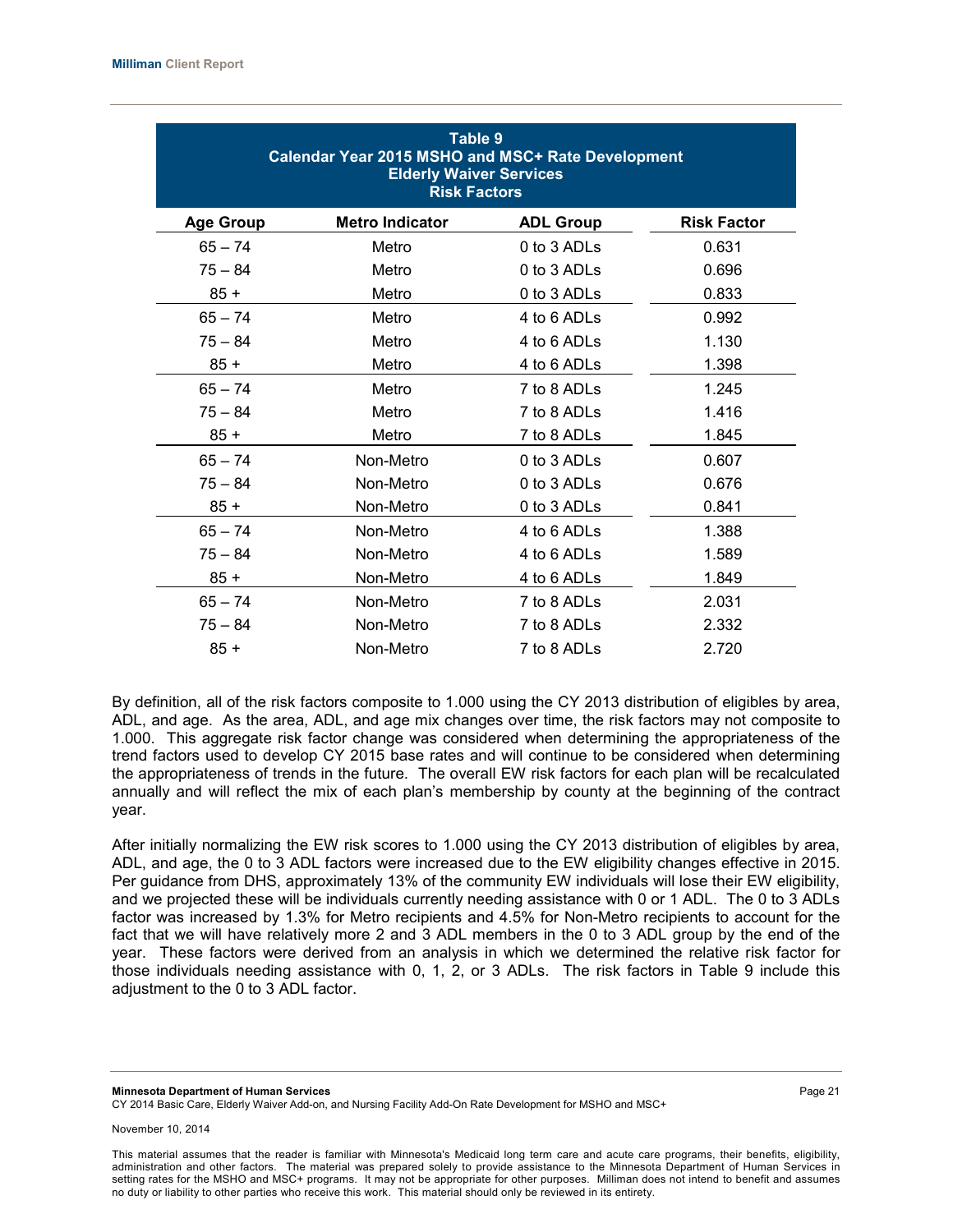| Table 9<br>Calendar Year 2015 MSHO and MSC+ Rate Development<br><b>Elderly Waiver Services</b><br><b>Risk Factors</b> |                        |                  |                    |  |  |
|-----------------------------------------------------------------------------------------------------------------------|------------------------|------------------|--------------------|--|--|
| <b>Age Group</b>                                                                                                      | <b>Metro Indicator</b> | <b>ADL Group</b> | <b>Risk Factor</b> |  |  |
| $65 - 74$                                                                                                             | Metro                  | 0 to 3 ADLs      | 0.631              |  |  |
| $75 - 84$                                                                                                             | Metro                  | 0 to 3 ADLs      | 0.696              |  |  |
| $85 +$                                                                                                                | Metro                  | 0 to 3 ADLs      | 0.833              |  |  |
| $65 - 74$                                                                                                             | Metro                  | 4 to 6 ADLs      | 0.992              |  |  |
| $75 - 84$                                                                                                             | Metro                  | 4 to 6 ADLs      | 1.130              |  |  |
| $85 +$                                                                                                                | Metro                  | 4 to 6 ADLs      | 1.398              |  |  |
| $65 - 74$                                                                                                             | Metro                  | 7 to 8 ADLs      | 1.245              |  |  |
| $75 - 84$                                                                                                             | Metro                  | 7 to 8 ADLs      | 1.416              |  |  |
| $85 +$                                                                                                                | Metro                  | 7 to 8 ADLs      | 1.845              |  |  |
| $65 - 74$                                                                                                             | Non-Metro              | 0 to 3 ADLs      | 0.607              |  |  |
| $75 - 84$                                                                                                             | Non-Metro              | 0 to 3 ADLs      | 0.676              |  |  |
| $85 +$                                                                                                                | Non-Metro              | 0 to 3 ADLs      | 0.841              |  |  |
| $65 - 74$                                                                                                             | Non-Metro              | 4 to 6 ADLs      | 1.388              |  |  |
| $75 - 84$                                                                                                             | Non-Metro              | 4 to 6 ADLs      | 1.589              |  |  |
| $85 +$                                                                                                                | Non-Metro              | 4 to 6 ADLs      | 1.849              |  |  |
| $65 - 74$                                                                                                             | Non-Metro              | 7 to 8 ADLs      | 2.031              |  |  |
| $75 - 84$                                                                                                             | Non-Metro              | 7 to 8 ADLs      | 2.332              |  |  |
| $85 +$                                                                                                                | Non-Metro              | 7 to 8 ADLs      | 2.720              |  |  |

By definition, all of the risk factors composite to 1.000 using the CY 2013 distribution of eligibles by area, ADL, and age. As the area, ADL, and age mix changes over time, the risk factors may not composite to 1.000. This aggregate risk factor change was considered when determining the appropriateness of the trend factors used to develop CY 2015 base rates and will continue to be considered when determining the appropriateness of trends in the future. The overall EW risk factors for each plan will be recalculated annually and will reflect the mix of each plan's membership by county at the beginning of the contract year.

After initially normalizing the EW risk scores to 1.000 using the CY 2013 distribution of eligibles by area, ADL, and age, the 0 to 3 ADL factors were increased due to the EW eligibility changes effective in 2015. Per guidance from DHS, approximately 13% of the community EW individuals will lose their EW eligibility, and we projected these will be individuals currently needing assistance with 0 or 1 ADL. The 0 to 3 ADLs factor was increased by 1.3% for Metro recipients and 4.5% for Non-Metro recipients to account for the fact that we will have relatively more 2 and 3 ADL members in the 0 to 3 ADL group by the end of the year. These factors were derived from an analysis in which we determined the relative risk factor for those individuals needing assistance with 0, 1, 2, or 3 ADLs. The risk factors in Table 9 include this adjustment to the 0 to 3 ADL factor.

**Minnesota Department of Human Services** Page 21 CY 2014 Basic Care, Elderly Waiver Add-on, and Nursing Facility Add-On Rate Development for MSHO and MSC+

November 10, 2014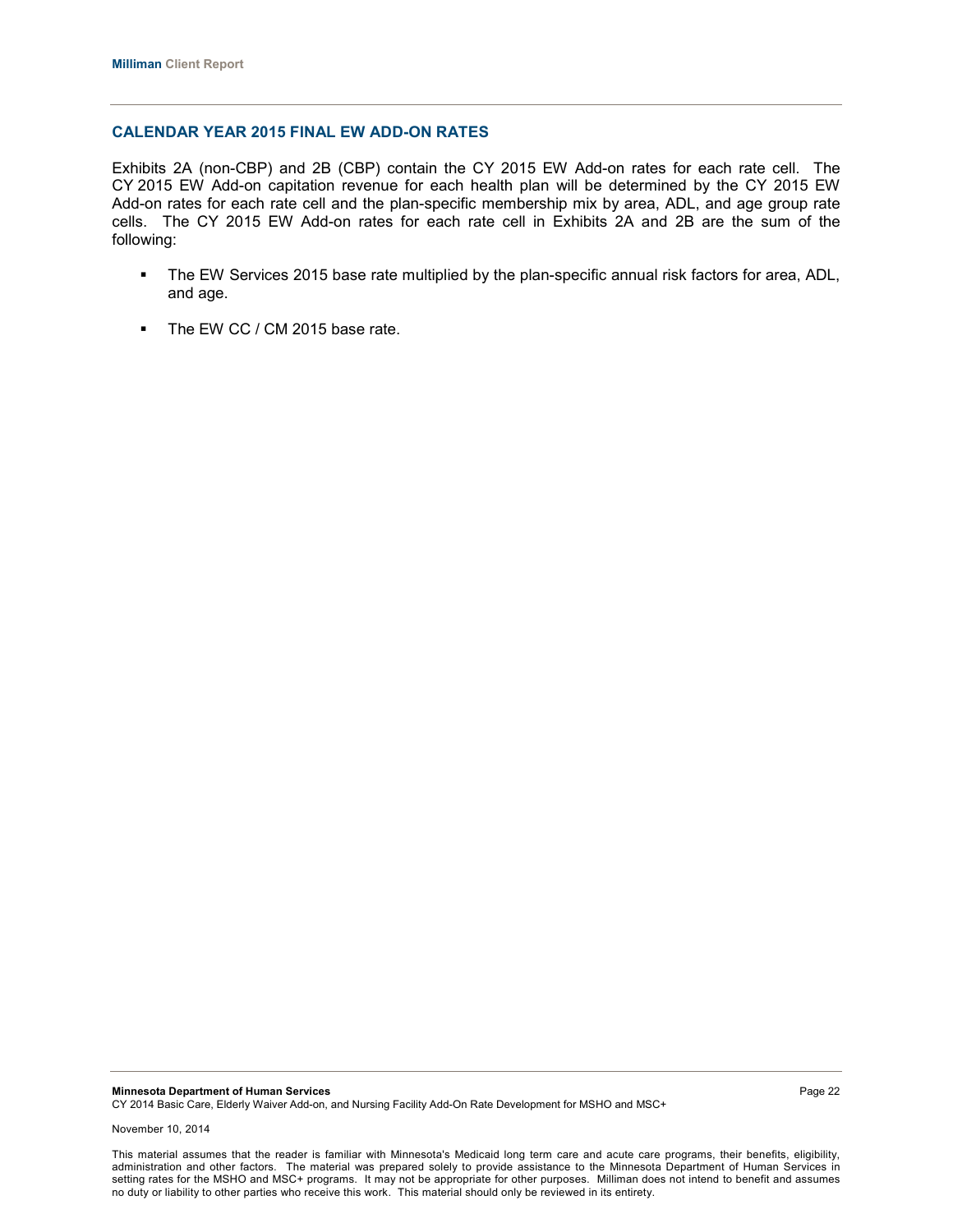### **CALENDAR YEAR 2015 FINAL EW ADD-ON RATES**

Exhibits 2A (non-CBP) and 2B (CBP) contain the CY 2015 EW Add-on rates for each rate cell. The CY 2015 EW Add-on capitation revenue for each health plan will be determined by the CY 2015 EW Add-on rates for each rate cell and the plan-specific membership mix by area, ADL, and age group rate cells. The CY 2015 EW Add-on rates for each rate cell in Exhibits 2A and 2B are the sum of the following:

- The EW Services 2015 base rate multiplied by the plan-specific annual risk factors for area, ADL, and age.
- The EW CC / CM 2015 base rate.

**Minnesota Department of Human Services** Page 22 CY 2014 Basic Care, Elderly Waiver Add-on, and Nursing Facility Add-On Rate Development for MSHO and MSC+

November 10, 2014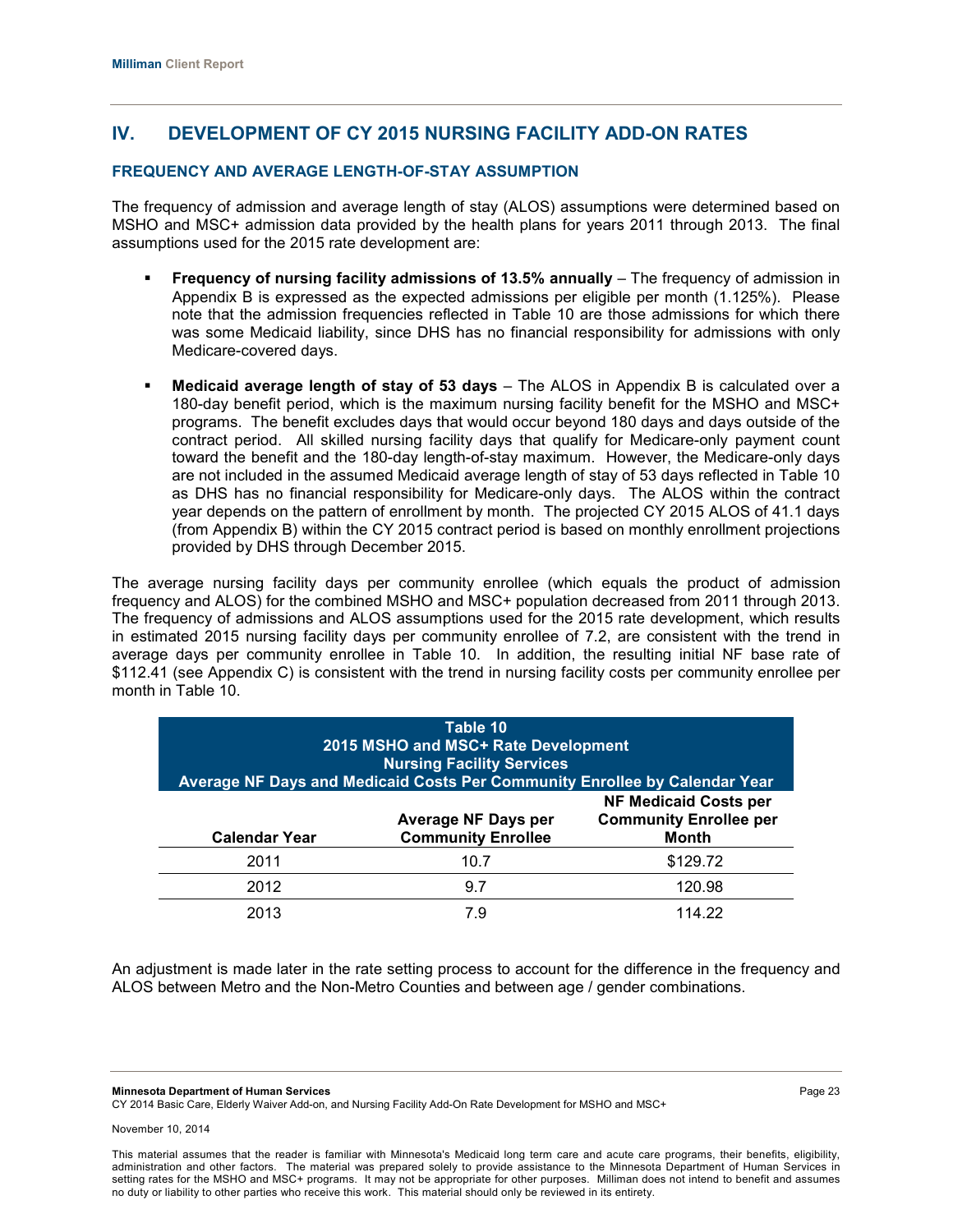# **IV. DEVELOPMENT OF CY 2015 NURSING FACILITY ADD-ON RATES**

## **FREQUENCY AND AVERAGE LENGTH-OF-STAY ASSUMPTION**

The frequency of admission and average length of stay (ALOS) assumptions were determined based on MSHO and MSC+ admission data provided by the health plans for years 2011 through 2013. The final assumptions used for the 2015 rate development are:

- **Frequency of nursing facility admissions of 13.5% annually** The frequency of admission in Appendix B is expressed as the expected admissions per eligible per month (1.125%). Please note that the admission frequencies reflected in Table 10 are those admissions for which there was some Medicaid liability, since DHS has no financial responsibility for admissions with only Medicare-covered days.
- **Medicaid average length of stay of 53 days** The ALOS in Appendix B is calculated over a 180-day benefit period, which is the maximum nursing facility benefit for the MSHO and MSC+ programs. The benefit excludes days that would occur beyond 180 days and days outside of the contract period. All skilled nursing facility days that qualify for Medicare-only payment count toward the benefit and the 180-day length-of-stay maximum. However, the Medicare-only days are not included in the assumed Medicaid average length of stay of 53 days reflected in Table 10 as DHS has no financial responsibility for Medicare-only days. The ALOS within the contract year depends on the pattern of enrollment by month. The projected CY 2015 ALOS of 41.1 days (from Appendix B) within the CY 2015 contract period is based on monthly enrollment projections provided by DHS through December 2015.

The average nursing facility days per community enrollee (which equals the product of admission frequency and ALOS) for the combined MSHO and MSC+ population decreased from 2011 through 2013. The frequency of admissions and ALOS assumptions used for the 2015 rate development, which results in estimated 2015 nursing facility days per community enrollee of 7.2, are consistent with the trend in average days per community enrollee in Table 10. In addition, the resulting initial NF base rate of \$112.41 (see Appendix C) is consistent with the trend in nursing facility costs per community enrollee per month in Table 10.

| Table 10<br>2015 MSHO and MSC+ Rate Development<br><b>Nursing Facility Services</b><br>Average NF Days and Medicaid Costs Per Community Enrollee by Calendar Year |                                                  |                                                                        |  |  |
|-------------------------------------------------------------------------------------------------------------------------------------------------------------------|--------------------------------------------------|------------------------------------------------------------------------|--|--|
| <b>Calendar Year</b>                                                                                                                                              | Average NF Days per<br><b>Community Enrollee</b> | <b>NF Medicaid Costs per</b><br><b>Community Enrollee per</b><br>Month |  |  |
| 2011                                                                                                                                                              | 10.7                                             | \$129.72                                                               |  |  |
| 2012                                                                                                                                                              | 9.7                                              | 120.98                                                                 |  |  |
| 2013                                                                                                                                                              | 7 9                                              | 114.22                                                                 |  |  |

An adjustment is made later in the rate setting process to account for the difference in the frequency and ALOS between Metro and the Non-Metro Counties and between age / gender combinations.

**Minnesota Department of Human Services** Page 23

CY 2014 Basic Care, Elderly Waiver Add-on, and Nursing Facility Add-On Rate Development for MSHO and MSC+

November 10, 2014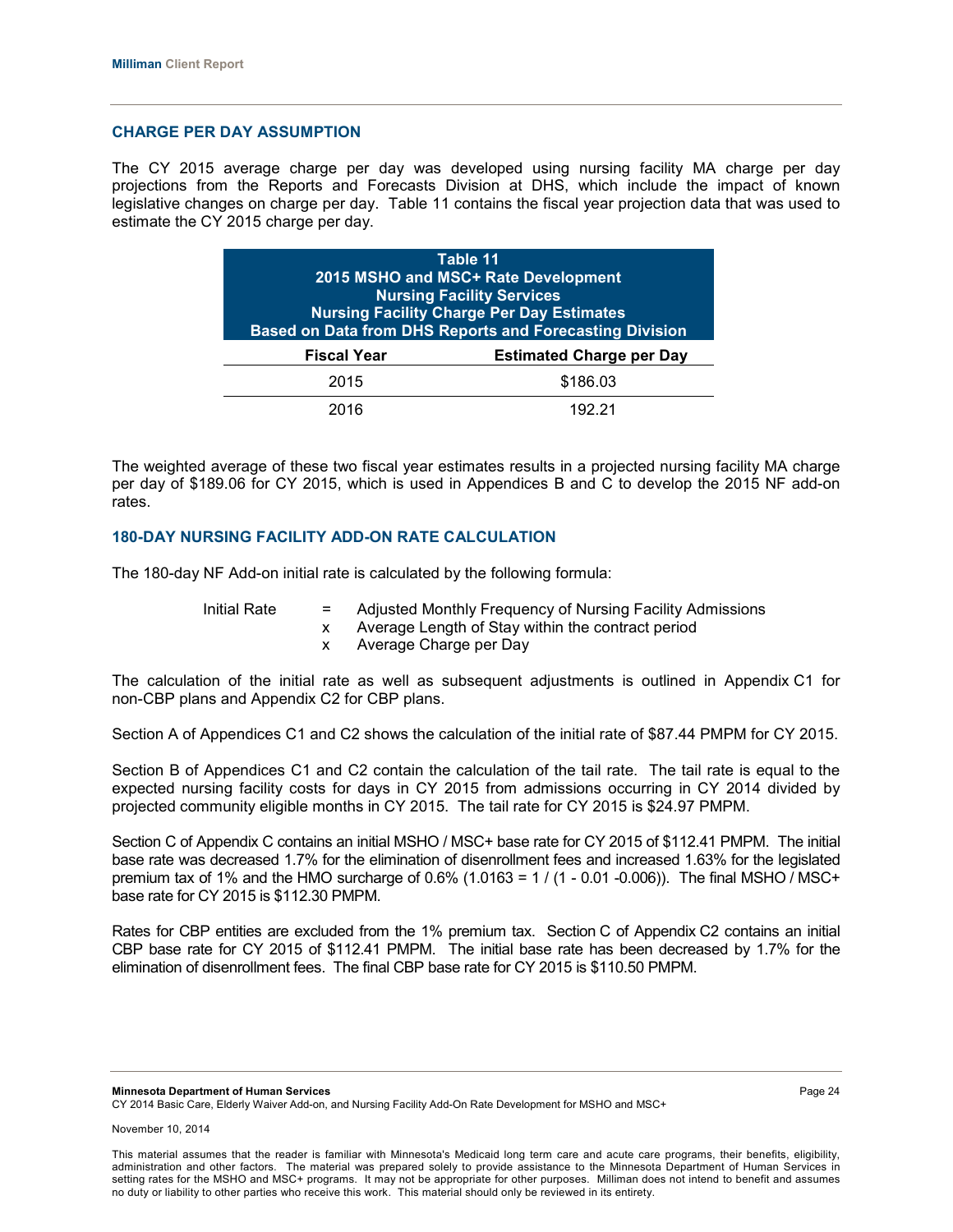#### **CHARGE PER DAY ASSUMPTION**

The CY 2015 average charge per day was developed using nursing facility MA charge per day projections from the Reports and Forecasts Division at DHS, which include the impact of known legislative changes on charge per day. Table 11 contains the fiscal year projection data that was used to estimate the CY 2015 charge per day.

| Table 11<br>2015 MSHO and MSC+ Rate Development<br><b>Nursing Facility Services</b><br><b>Nursing Facility Charge Per Day Estimates</b><br><b>Based on Data from DHS Reports and Forecasting Division</b> |                                 |  |  |  |  |
|-----------------------------------------------------------------------------------------------------------------------------------------------------------------------------------------------------------|---------------------------------|--|--|--|--|
| <b>Fiscal Year</b>                                                                                                                                                                                        | <b>Estimated Charge per Day</b> |  |  |  |  |
| 2015                                                                                                                                                                                                      | \$186.03                        |  |  |  |  |
| 2016                                                                                                                                                                                                      | 192.21                          |  |  |  |  |

The weighted average of these two fiscal year estimates results in a projected nursing facility MA charge per day of \$189.06 for CY 2015, which is used in Appendices B and C to develop the 2015 NF add-on rates.

## **180-DAY NURSING FACILITY ADD-ON RATE CALCULATION**

The 180-day NF Add-on initial rate is calculated by the following formula:

Initial Rate = Adjusted Monthly Frequency of Nursing Facility Admissions

- x Average Length of Stay within the contract period
- x Average Charge per Day

The calculation of the initial rate as well as subsequent adjustments is outlined in Appendix C1 for non-CBP plans and Appendix C2 for CBP plans.

Section A of Appendices C1 and C2 shows the calculation of the initial rate of \$87.44 PMPM for CY 2015.

Section B of Appendices C1 and C2 contain the calculation of the tail rate. The tail rate is equal to the expected nursing facility costs for days in CY 2015 from admissions occurring in CY 2014 divided by projected community eligible months in CY 2015. The tail rate for CY 2015 is \$24.97 PMPM.

Section C of Appendix C contains an initial MSHO / MSC+ base rate for CY 2015 of \$112.41 PMPM. The initial base rate was decreased 1.7% for the elimination of disenrollment fees and increased 1.63% for the legislated premium tax of 1% and the HMO surcharge of 0.6% (1.0163 =  $1/(1 - 0.01 - 0.006)$ ). The final MSHO / MSC+ base rate for CY 2015 is \$112.30 PMPM.

Rates for CBP entities are excluded from the 1% premium tax. Section C of Appendix C2 contains an initial CBP base rate for CY 2015 of \$112.41 PMPM. The initial base rate has been decreased by 1.7% for the elimination of disenrollment fees. The final CBP base rate for CY 2015 is \$110.50 PMPM.

**Minnesota Department of Human Services** Page 24

CY 2014 Basic Care, Elderly Waiver Add-on, and Nursing Facility Add-On Rate Development for MSHO and MSC+

This material assumes that the reader is familiar with Minnesota's Medicaid long term care and acute care programs, their benefits, eligibility, administration and other factors. The material was prepared solely to provide assistance to the Minnesota Department of Human Services in setting rates for the MSHO and MSC+ programs. It may not be appropriate for other purposes. Milliman does not intend to benefit and assumes no duty or liability to other parties who receive this work. This material should only be reviewed in its entirety.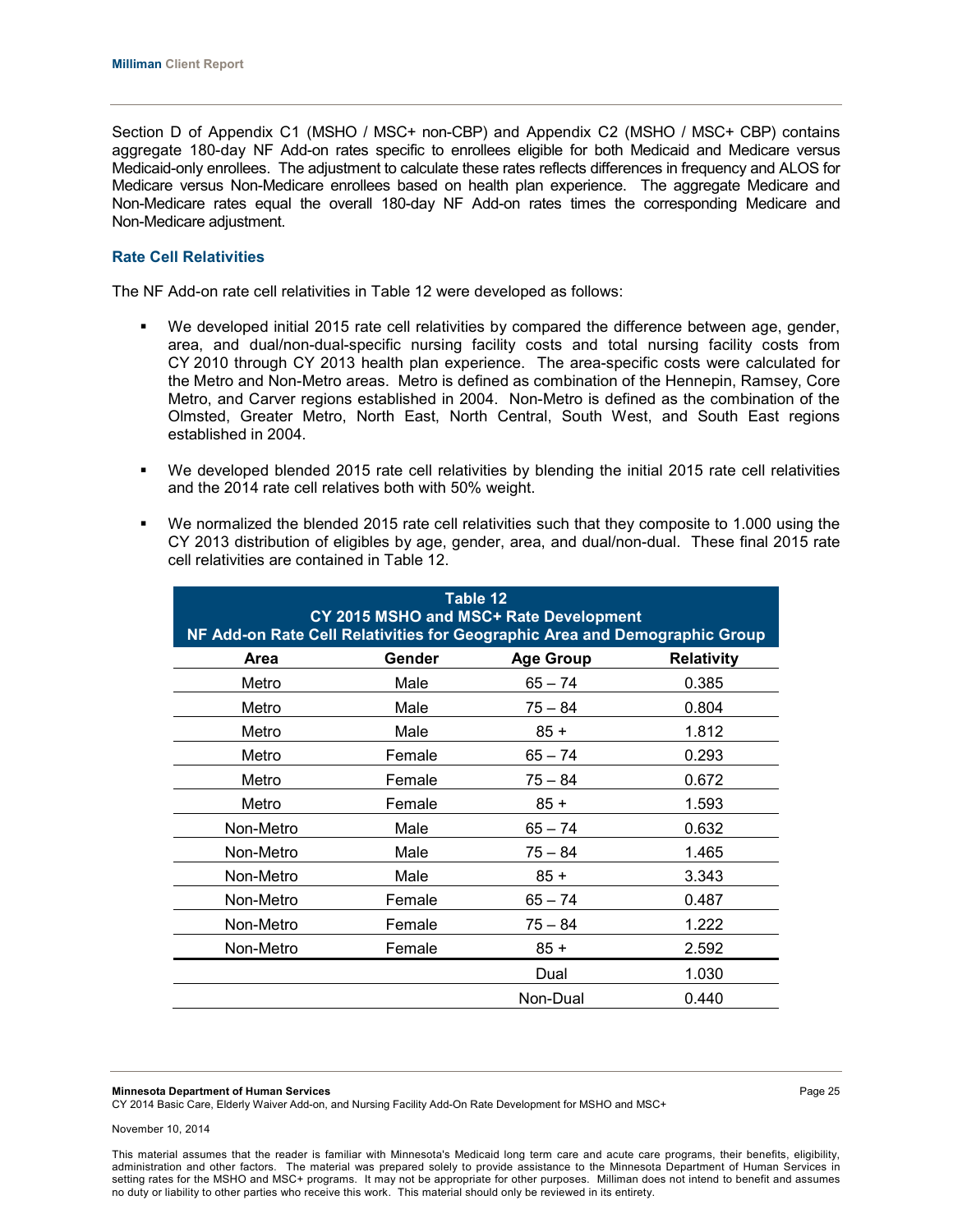Section D of Appendix C1 (MSHO / MSC+ non-CBP) and Appendix C2 (MSHO / MSC+ CBP) contains aggregate 180-day NF Add-on rates specific to enrollees eligible for both Medicaid and Medicare versus Medicaid-only enrollees. The adjustment to calculate these rates reflects differences in frequency and ALOS for Medicare versus Non-Medicare enrollees based on health plan experience. The aggregate Medicare and Non-Medicare rates equal the overall 180-day NF Add-on rates times the corresponding Medicare and Non-Medicare adjustment.

#### **Rate Cell Relativities**

The NF Add-on rate cell relativities in Table 12 were developed as follows:

- We developed initial 2015 rate cell relativities by compared the difference between age, gender, area, and dual/non-dual-specific nursing facility costs and total nursing facility costs from CY 2010 through CY 2013 health plan experience. The area-specific costs were calculated for the Metro and Non-Metro areas. Metro is defined as combination of the Hennepin, Ramsey, Core Metro, and Carver regions established in 2004. Non-Metro is defined as the combination of the Olmsted, Greater Metro, North East, North Central, South West, and South East regions established in 2004.
- We developed blended 2015 rate cell relativities by blending the initial 2015 rate cell relativities and the 2014 rate cell relatives both with 50% weight.
- We normalized the blended 2015 rate cell relativities such that they composite to 1.000 using the CY 2013 distribution of eligibles by age, gender, area, and dual/non-dual. These final 2015 rate cell relativities are contained in Table 12.

|           | Table 12<br>CY 2015 MSHO and MSC+ Rate Development<br>NF Add-on Rate Cell Relativities for Geographic Area and Demographic Group |                  |                   |  |  |  |  |  |  |  |  |
|-----------|----------------------------------------------------------------------------------------------------------------------------------|------------------|-------------------|--|--|--|--|--|--|--|--|
| Area      | Gender                                                                                                                           | <b>Age Group</b> | <b>Relativity</b> |  |  |  |  |  |  |  |  |
| Metro     | Male                                                                                                                             | $65 - 74$        | 0.385             |  |  |  |  |  |  |  |  |
| Metro     | Male                                                                                                                             | $75 - 84$        | 0.804             |  |  |  |  |  |  |  |  |
| Metro     | Male                                                                                                                             | $85 +$           | 1.812             |  |  |  |  |  |  |  |  |
| Metro     | Female                                                                                                                           | $65 - 74$        | 0.293             |  |  |  |  |  |  |  |  |
| Metro     | Female                                                                                                                           | $75 - 84$        | 0.672             |  |  |  |  |  |  |  |  |
| Metro     | Female                                                                                                                           | $85 +$           | 1.593             |  |  |  |  |  |  |  |  |
| Non-Metro | Male                                                                                                                             | $65 - 74$        | 0.632             |  |  |  |  |  |  |  |  |
| Non-Metro | Male                                                                                                                             | $75 - 84$        | 1.465             |  |  |  |  |  |  |  |  |
| Non-Metro | Male                                                                                                                             | $85 +$           | 3.343             |  |  |  |  |  |  |  |  |
| Non-Metro | Female                                                                                                                           | $65 - 74$        | 0.487             |  |  |  |  |  |  |  |  |
| Non-Metro | Female                                                                                                                           | $75 - 84$        | 1.222             |  |  |  |  |  |  |  |  |
| Non-Metro | Female                                                                                                                           | $85 +$           | 2.592             |  |  |  |  |  |  |  |  |
|           |                                                                                                                                  | Dual             | 1.030             |  |  |  |  |  |  |  |  |
|           |                                                                                                                                  | Non-Dual         | 0.440             |  |  |  |  |  |  |  |  |

**Minnesota Department of Human Services** Page 25

CY 2014 Basic Care, Elderly Waiver Add-on, and Nursing Facility Add-On Rate Development for MSHO and MSC+

November 10, 2014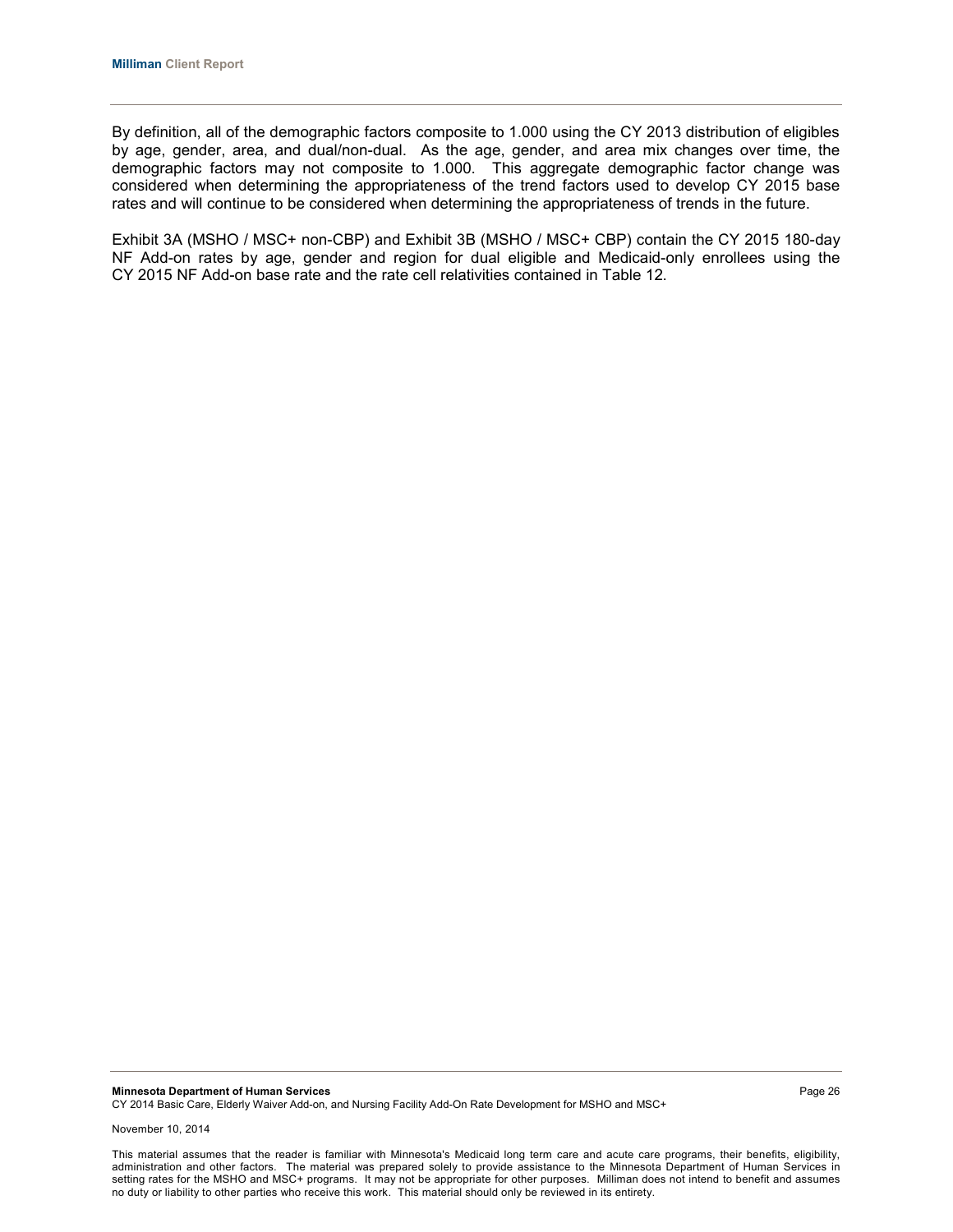By definition, all of the demographic factors composite to 1.000 using the CY 2013 distribution of eligibles by age, gender, area, and dual/non-dual. As the age, gender, and area mix changes over time, the demographic factors may not composite to 1.000. This aggregate demographic factor change was considered when determining the appropriateness of the trend factors used to develop CY 2015 base rates and will continue to be considered when determining the appropriateness of trends in the future.

Exhibit 3A (MSHO / MSC+ non-CBP) and Exhibit 3B (MSHO / MSC+ CBP) contain the CY 2015 180-day NF Add-on rates by age, gender and region for dual eligible and Medicaid-only enrollees using the CY 2015 NF Add-on base rate and the rate cell relativities contained in Table 12.

**Minnesota Department of Human Services** Page 26 CY 2014 Basic Care, Elderly Waiver Add-on, and Nursing Facility Add-On Rate Development for MSHO and MSC+

November 10, 2014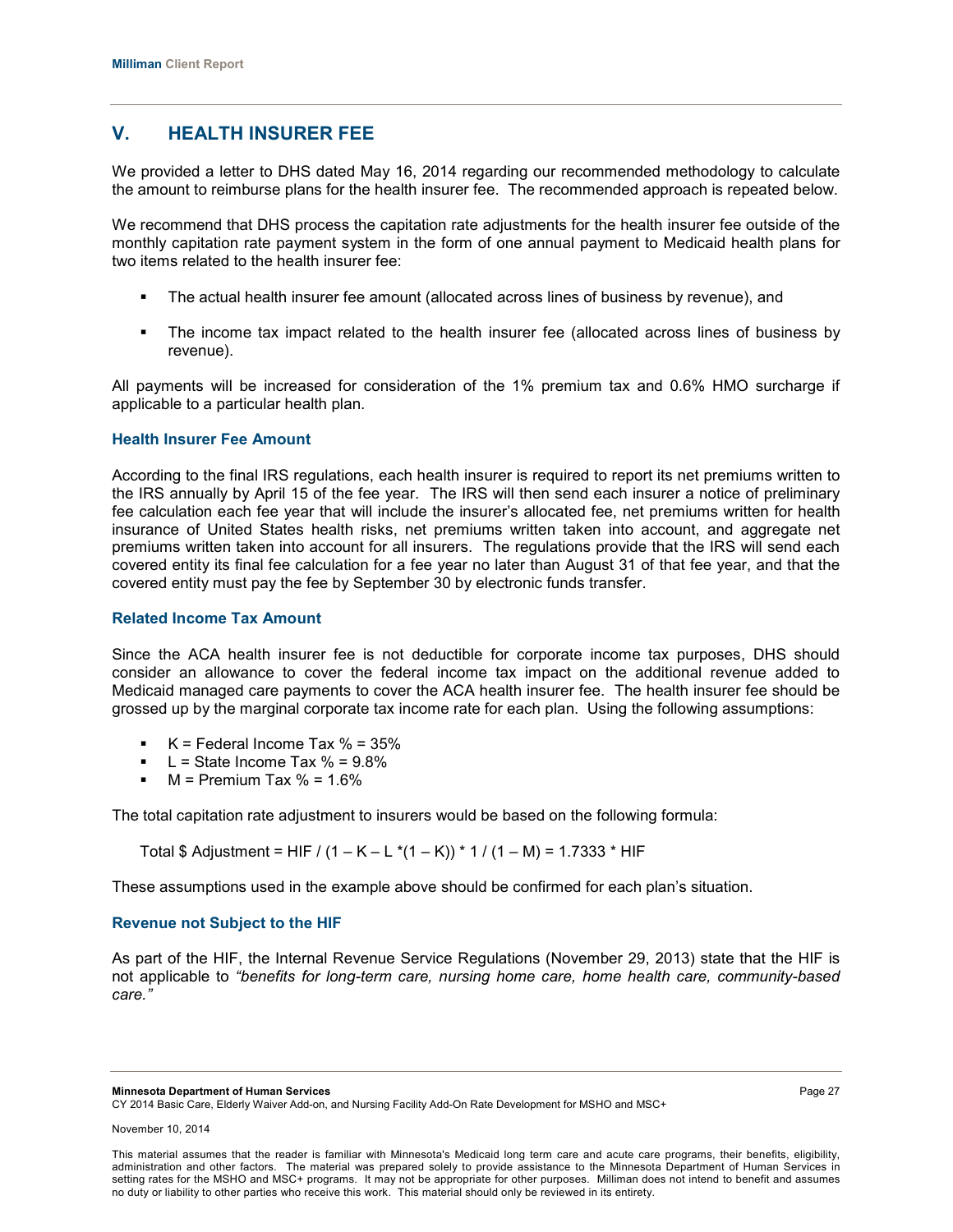# **V. HEALTH INSURER FEE**

We provided a letter to DHS dated May 16, 2014 regarding our recommended methodology to calculate the amount to reimburse plans for the health insurer fee. The recommended approach is repeated below.

We recommend that DHS process the capitation rate adjustments for the health insurer fee outside of the monthly capitation rate payment system in the form of one annual payment to Medicaid health plans for two items related to the health insurer fee:

- The actual health insurer fee amount (allocated across lines of business by revenue), and
- The income tax impact related to the health insurer fee (allocated across lines of business by revenue).

All payments will be increased for consideration of the 1% premium tax and 0.6% HMO surcharge if applicable to a particular health plan.

## **Health Insurer Fee Amount**

According to the final IRS regulations, each health insurer is required to report its net premiums written to the IRS annually by April 15 of the fee year. The IRS will then send each insurer a notice of preliminary fee calculation each fee year that will include the insurer's allocated fee, net premiums written for health insurance of United States health risks, net premiums written taken into account, and aggregate net premiums written taken into account for all insurers. The regulations provide that the IRS will send each covered entity its final fee calculation for a fee year no later than August 31 of that fee year, and that the covered entity must pay the fee by September 30 by electronic funds transfer.

#### **Related Income Tax Amount**

Since the ACA health insurer fee is not deductible for corporate income tax purposes, DHS should consider an allowance to cover the federal income tax impact on the additional revenue added to Medicaid managed care payments to cover the ACA health insurer fee. The health insurer fee should be grossed up by the marginal corporate tax income rate for each plan. Using the following assumptions:

- $\blacktriangleright$  K = Federal Income Tax % = 35%
- L = State Income Tax  $% = 9.8\%$
- $M =$  Premium Tax  $% = 1.6%$

The total capitation rate adjustment to insurers would be based on the following formula:

Total \$ Adjustment = HIF /  $(1 - K - L^*(1 - K))$  \* 1 /  $(1 - M)$  = 1.7333 \* HIF

These assumptions used in the example above should be confirmed for each plan's situation.

## **Revenue not Subject to the HIF**

As part of the HIF, the Internal Revenue Service Regulations (November 29, 2013) state that the HIF is not applicable to *"benefits for long-term care, nursing home care, home health care, community-based care."*

**Minnesota Department of Human Services** Page 27

CY 2014 Basic Care, Elderly Waiver Add-on, and Nursing Facility Add-On Rate Development for MSHO and MSC+

This material assumes that the reader is familiar with Minnesota's Medicaid long term care and acute care programs, their benefits, eligibility, administration and other factors. The material was prepared solely to provide assistance to the Minnesota Department of Human Services in setting rates for the MSHO and MSC+ programs. It may not be appropriate for other purposes. Milliman does not intend to benefit and assumes no duty or liability to other parties who receive this work. This material should only be reviewed in its entirety.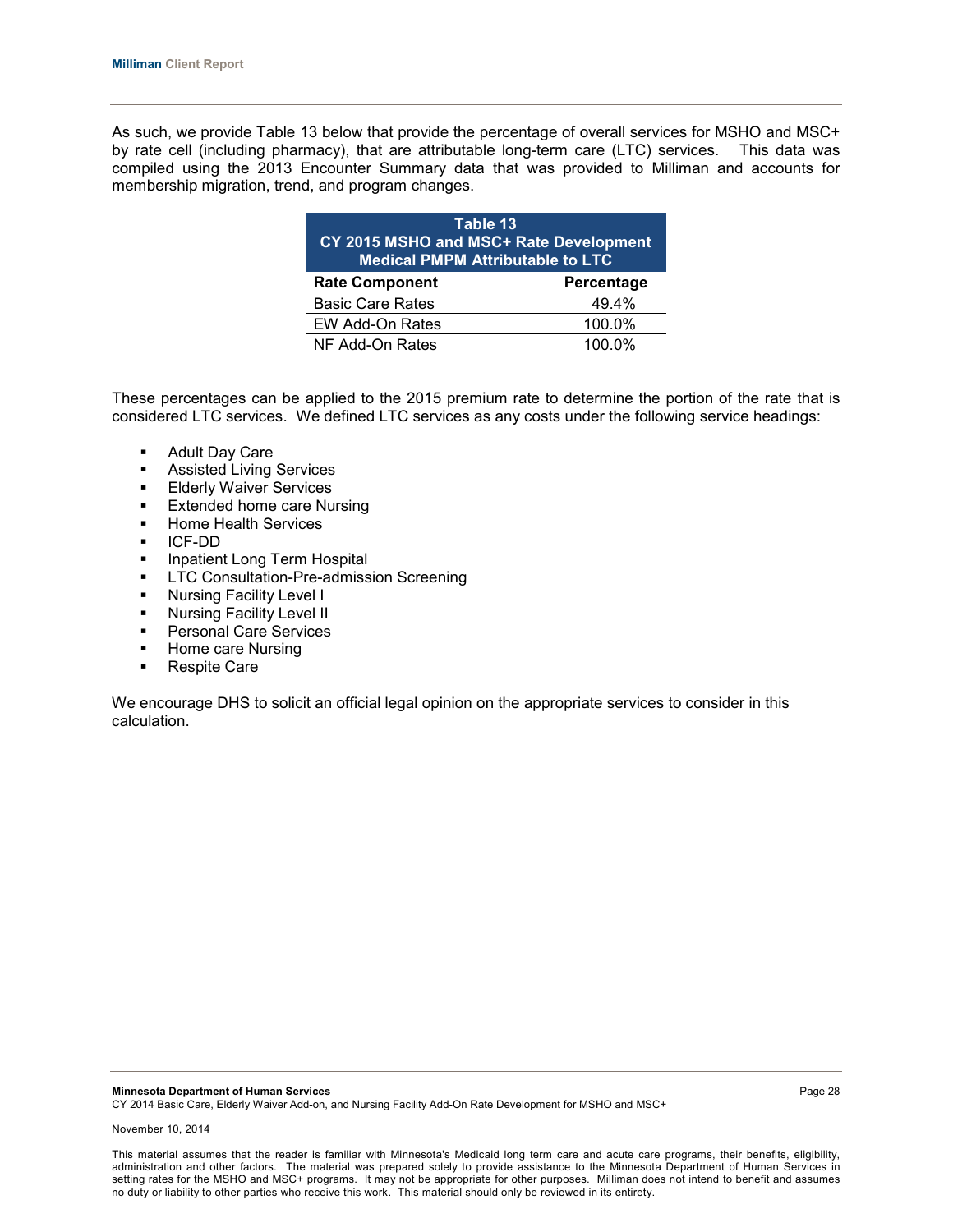As such, we provide Table 13 below that provide the percentage of overall services for MSHO and MSC+ by rate cell (including pharmacy), that are attributable long-term care (LTC) services. This data was compiled using the 2013 Encounter Summary data that was provided to Milliman and accounts for membership migration, trend, and program changes.

| Table 13                | CY 2015 MSHO and MSC+ Rate Development<br><b>Medical PMPM Attributable to LTC</b> |  |  |  |  |  |  |  |
|-------------------------|-----------------------------------------------------------------------------------|--|--|--|--|--|--|--|
| <b>Rate Component</b>   | Percentage                                                                        |  |  |  |  |  |  |  |
| <b>Basic Care Rates</b> | 49.4%                                                                             |  |  |  |  |  |  |  |
| EW Add-On Rates         | 100.0%                                                                            |  |  |  |  |  |  |  |
| NF Add-On Rates         | $100.0\%$                                                                         |  |  |  |  |  |  |  |

These percentages can be applied to the 2015 premium rate to determine the portion of the rate that is considered LTC services. We defined LTC services as any costs under the following service headings:

- Adult Day Care
- **Assisted Living Services**
- **Elderly Waiver Services**
- **Extended home care Nursing**
- **Home Health Services**
- ICF-DD
- **Inpatient Long Term Hospital**
- **-** LTC Consultation-Pre-admission Screening
- **Nursing Facility Level I**
- **Nursing Facility Level II**
- **Personal Care Services**
- Home care Nursing<br>• Respite Care
- Respite Care

We encourage DHS to solicit an official legal opinion on the appropriate services to consider in this calculation.

This material assumes that the reader is familiar with Minnesota's Medicaid long term care and acute care programs, their benefits, eligibility, administration and other factors. The material was prepared solely to provide assistance to the Minnesota Department of Human Services in setting rates for the MSHO and MSC+ programs. It may not be appropriate for other purposes. Milliman does not intend to benefit and assumes no duty or liability to other parties who receive this work. This material should only be reviewed in its entirety.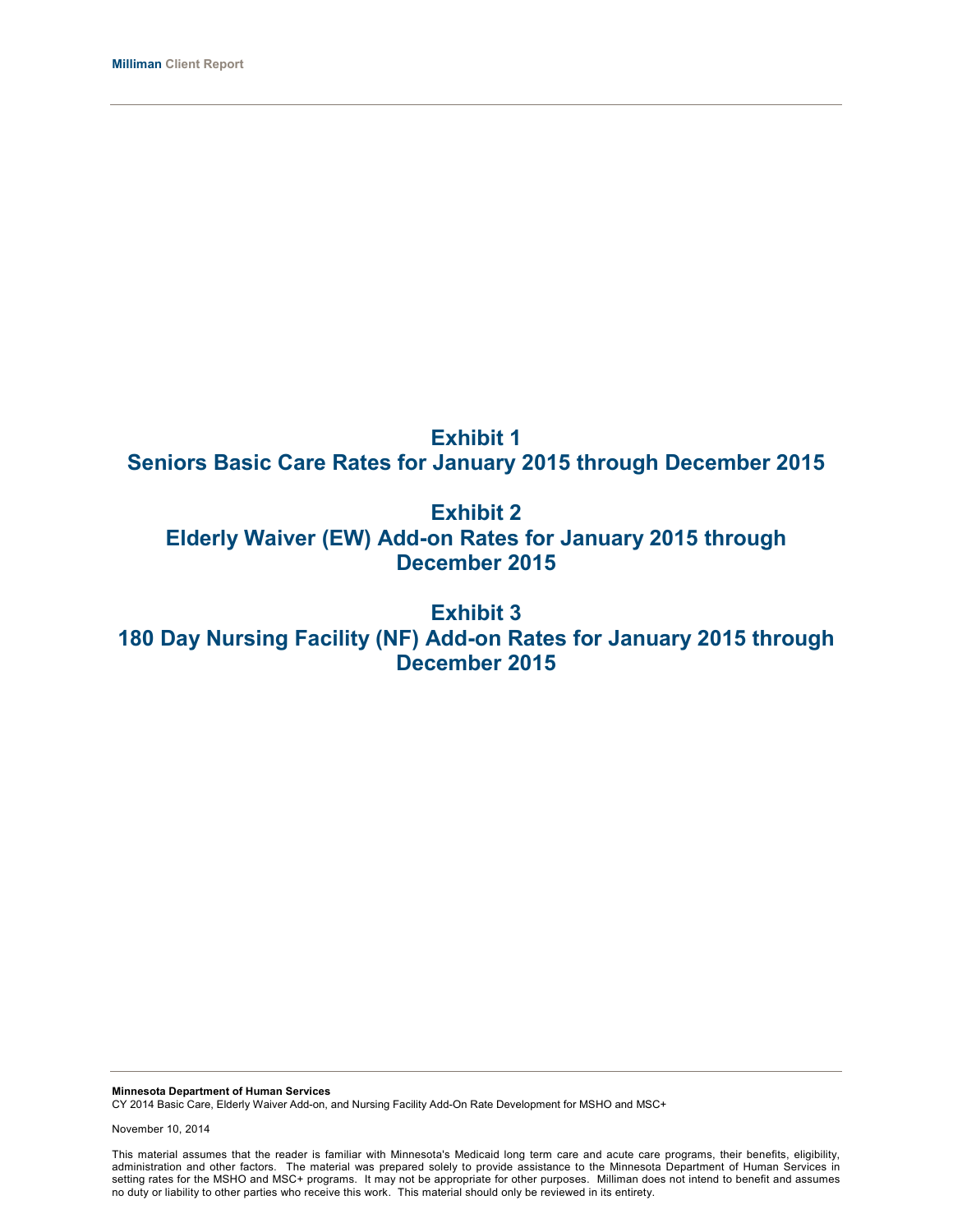# **Exhibit 1 Seniors Basic Care Rates for January 2015 through December 2015**

**Exhibit 2 Elderly Waiver (EW) Add-on Rates for January 2015 through December 2015**

**Exhibit 3 180 Day Nursing Facility (NF) Add-on Rates for January 2015 through December 2015**

**Minnesota Department of Human Services** CY 2014 Basic Care, Elderly Waiver Add-on, and Nursing Facility Add-On Rate Development for MSHO and MSC+

November 10, 2014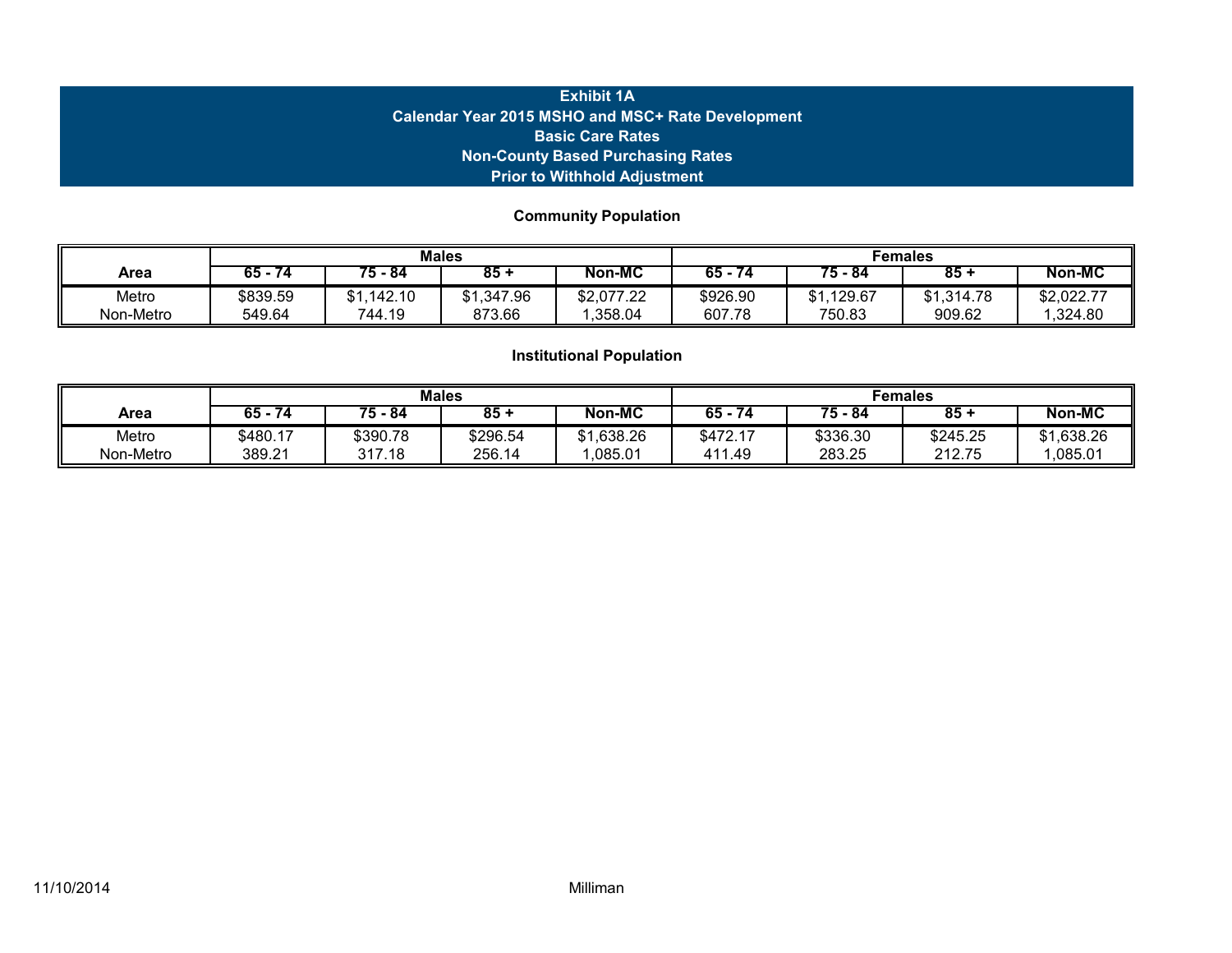# **Exhibit 1A Calendar Year 2015 MSHO and MSC+ Rate Development Basic Care Rates Non-County Based Purchasing Rates Prior to Withhold Adjustment**

# **Community Population**

|                    |                    |                          | <b>Males</b>             |                       | Females            |                          |                      |                       |
|--------------------|--------------------|--------------------------|--------------------------|-----------------------|--------------------|--------------------------|----------------------|-----------------------|
| Area               | 65 -<br>74         | $75 - 84$                | $85 +$                   | Non-MC                | $65 -$<br>74       | $75 - 84$                | $85 -$               | Non-MC                |
| Metro<br>Non-Metro | \$839.59<br>549.64 | ,142.10<br>\$1<br>744.19 | ,347.96<br>\$1<br>873.66 | \$2,077.22<br>.358.04 | \$926.90<br>607.78 | .129.67<br>\$1<br>750.83 | \$1,314.78<br>909.62 | \$2,022.77<br>,324.80 |

|           |             |          | <b>Males</b> |                | Females      |           |          |            |
|-----------|-------------|----------|--------------|----------------|--------------|-----------|----------|------------|
| Area      | 65 -<br>-74 | 75 - 84  | $85 -$       | <b>Non-MC</b>  | $65 -$<br>74 | $75 - 84$ | $85 -$   | Non-MC     |
| Metro     | \$480.17    | \$390.78 | \$296.54     | ,638.26<br>\$1 | \$472.17     | \$336.30  | \$245.25 | \$1,638.26 |
| Non-Metro | 389.21      | 317.18   | 256.14       | ,085.01        | 411.49       | 283.25    | 212.75   | ,085.01    |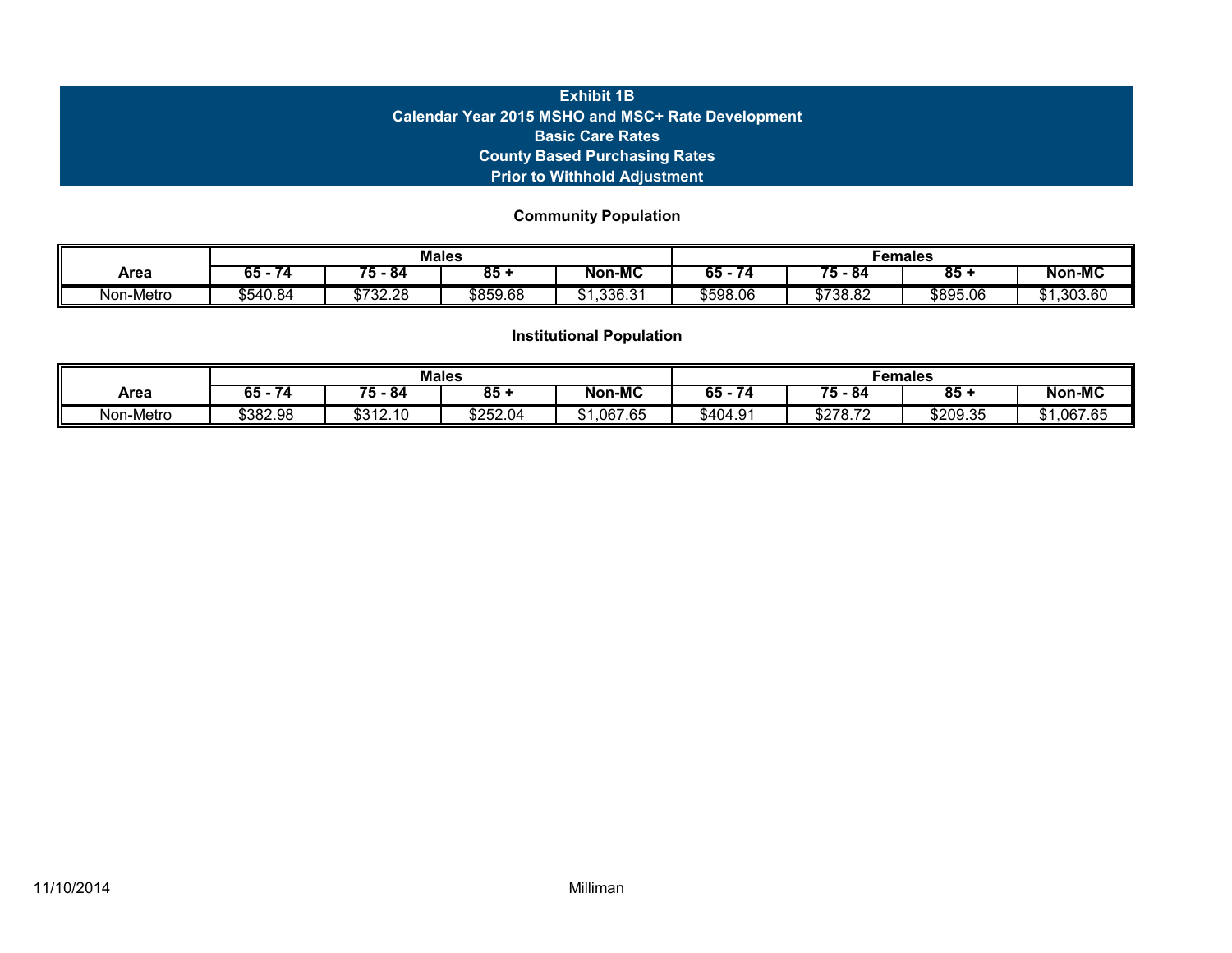# **Exhibit 1B Calendar Year 2015 MSHO and MSC+ Rate Development Basic Care Rates County Based Purchasing Rates Prior to Withhold Adjustment**

**Community Population**

|               |                |                   | <b>Males</b> |                    | Females  |          |          |              |
|---------------|----------------|-------------------|--------------|--------------------|----------|----------|----------|--------------|
| Area          | ^-<br>ხ5<br>74 | --<br>84          | 85           | <b>Non-MC</b>      | 65<br>74 | 75 - 84  | 85       | Non-MC       |
| Non<br>-Metro | \$540.84       | ሶ ንጋን ጋይ<br>72.ZO | \$859.68     | .336.31<br>灬<br>.D | \$598.06 | \$738.82 | \$895.06 | ,303.60<br>u |

|           |          |                | <b>Males</b>         |                          | Females           |                     |          |                     |
|-----------|----------|----------------|----------------------|--------------------------|-------------------|---------------------|----------|---------------------|
| Area      | 65<br>74 | ╼<br>84<br>э   | 85                   | <b>Non-MC</b>            | ^ -<br>ხ5 -<br>74 | - -<br>75 - 84      | 85       | <b>Non-MC</b>       |
| Non-Metro | \$382.98 | 0.010, 10<br>. | $$25\overline{2.04}$ | ,067.65<br>$\sim$<br>۰D. | \$404.91          | <b>COTO</b><br>0.12 | \$209.35 | ,067.65<br>ሰ ብ<br>w |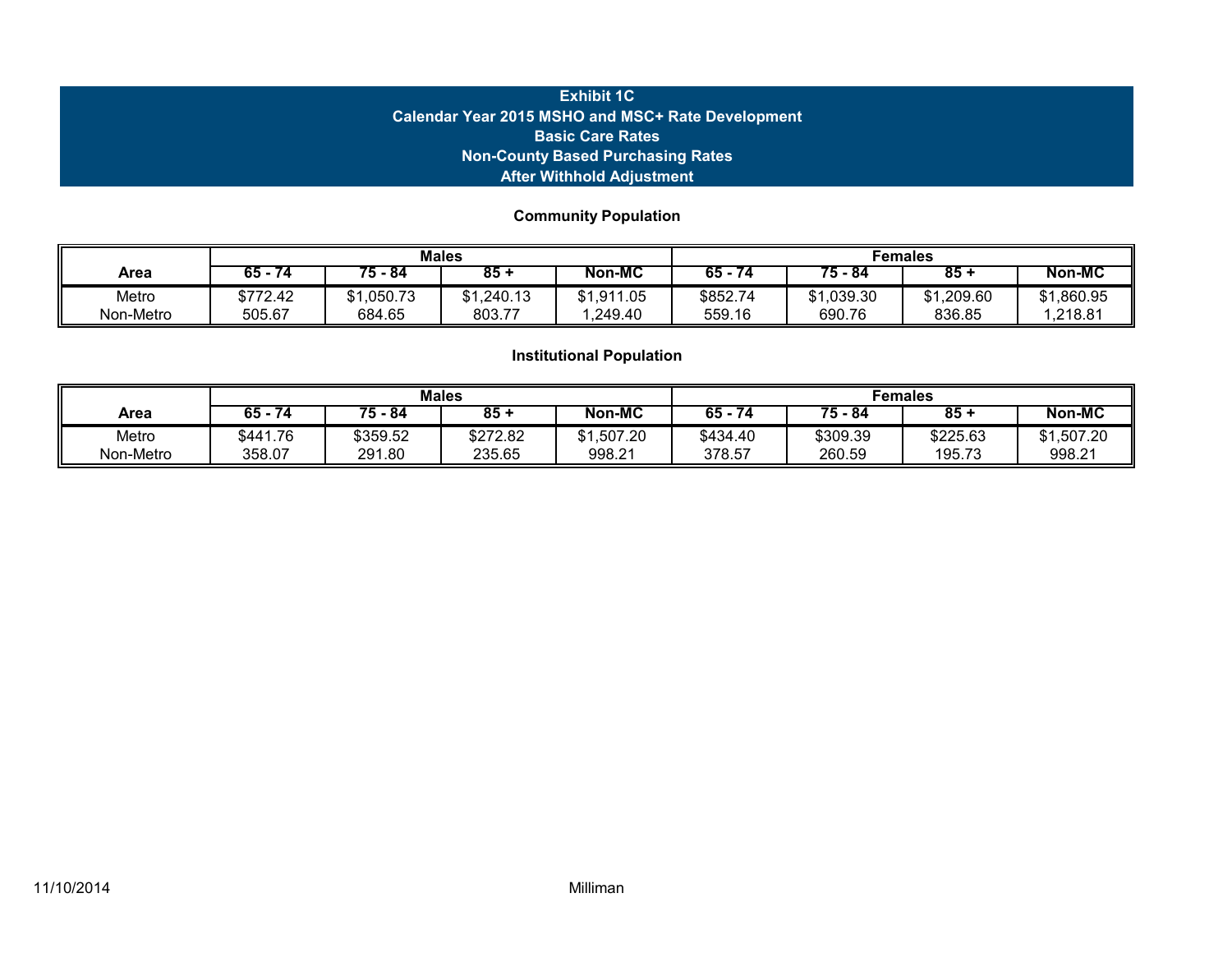# **Exhibit 1C Calendar Year 2015 MSHO and MSC+ Rate Development Basic Care Rates Non-County Based Purchasing Rates After Withhold Adjustment**

# **Community Population**

|                    |                    |                   | <b>Males</b>      |                           | Females            |                  |                      |                       |
|--------------------|--------------------|-------------------|-------------------|---------------------------|--------------------|------------------|----------------------|-----------------------|
| Area               | 74<br>65 -         | $75 - 84$         | 85 +              | Non-MC                    | - 65<br>74         | $75 - 84$        | 85 +                 | Non-MC                |
| Metro<br>Non-Metro | \$772.42<br>505.67 | .050.73<br>684.65 | .240.13<br>803.77 | .911.05<br>\$1<br>.249.40 | \$852.74<br>559.16 | 039.30<br>690.76 | \$1,209.60<br>836.85 | \$1,860.95<br>.218.81 |

|           |          |          | <b>Males</b> |                | Females  |           |          |                |
|-----------|----------|----------|--------------|----------------|----------|-----------|----------|----------------|
| Area      | 65 -     | 75 - 84  | $85 -$       | Non-MC         | $65 -$   | $75 - 84$ | $85 -$   | <b>Non-MC</b>  |
| Metro     | \$441.76 | \$359.52 | \$272.82     | ,507.20<br>ሰ 4 | \$434.40 | \$309.39  | \$225.63 | ,507.20<br>\$1 |
| Non-Metro | 358.07   | 291.80   | 235.65       | 998.21         | 378.57   | 260.59    | 195.73   | 998.21         |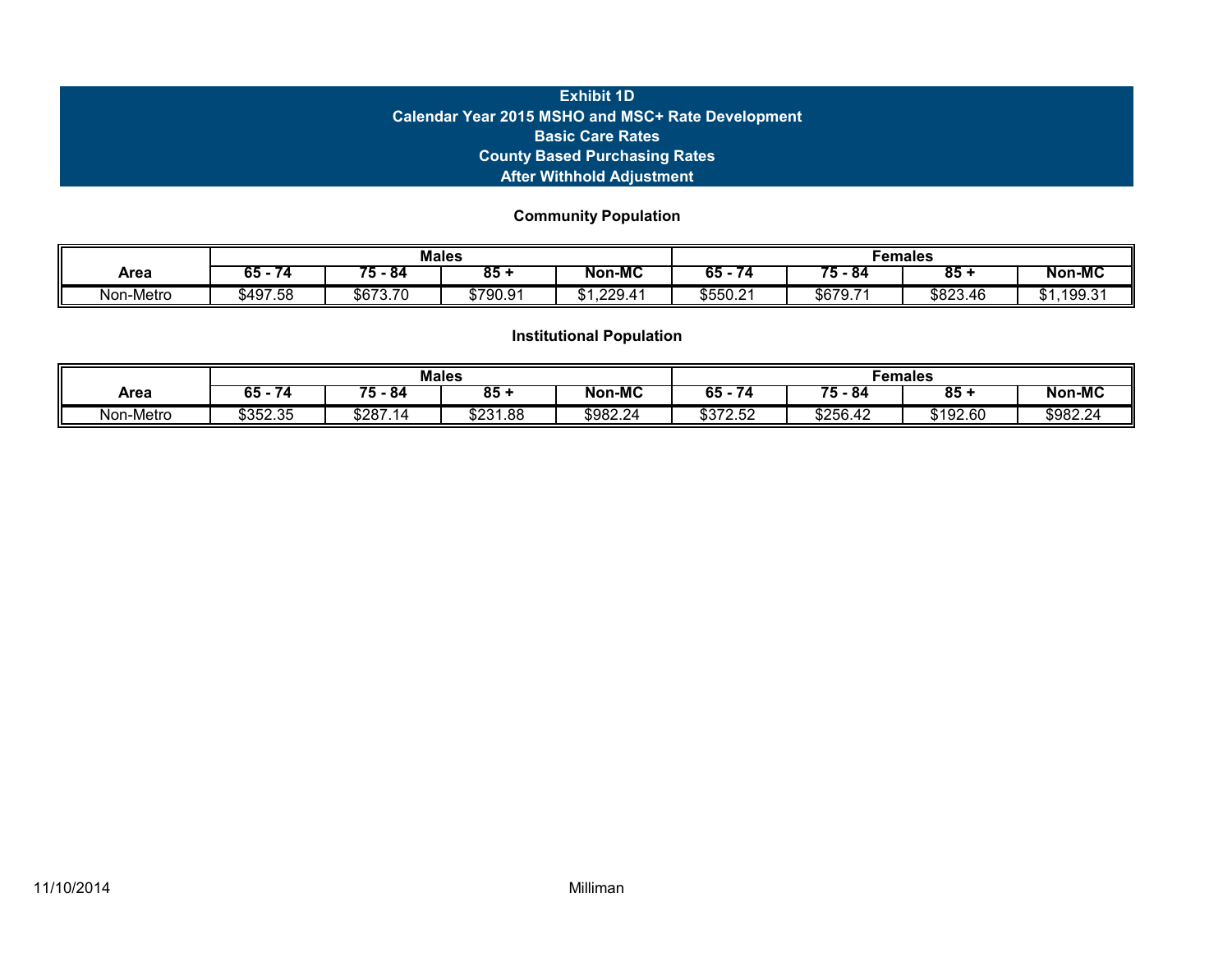# **Exhibit 1D Calendar Year 2015 MSHO and MSC+ Rate Development Basic Care Rates County Based Purchasing Rates After Withhold Adjustment**

**Community Population**

|               |           |          | <b>Males</b> |                  | Females   |            |          |                     |
|---------------|-----------|----------|--------------|------------------|-----------|------------|----------|---------------------|
| Area          | 65<br>74. | --<br>84 | 85           | Non-MC           | 65<br>74. | --<br>- 84 | 85       | <b>Non-MC</b>       |
| Non<br>-Metro | \$497.58  | \$673.70 | \$790.91     | 229.<br>∸<br>JD. | \$550.21  | \$679.7    | \$823.46 | ,199.31<br>∩ ⊿<br>u |

|           |                        |                 | <b>Males</b> |               | Females  |                  |                          |               |
|-----------|------------------------|-----------------|--------------|---------------|----------|------------------|--------------------------|---------------|
| Area      | ~-<br>65<br>$\sqrt{4}$ | ≖<br>- 84<br>э. | 85           | <b>Non-MC</b> | 65<br>74 | --<br>-84<br>′ ე | $\overline{\textbf{85}}$ | <b>Non-MC</b> |
| Non-Metro | \$352.35               | \$287           | \$231.88     | \$982.24      | mozo ro  | \$256.42         | \$192.60                 | \$982.24      |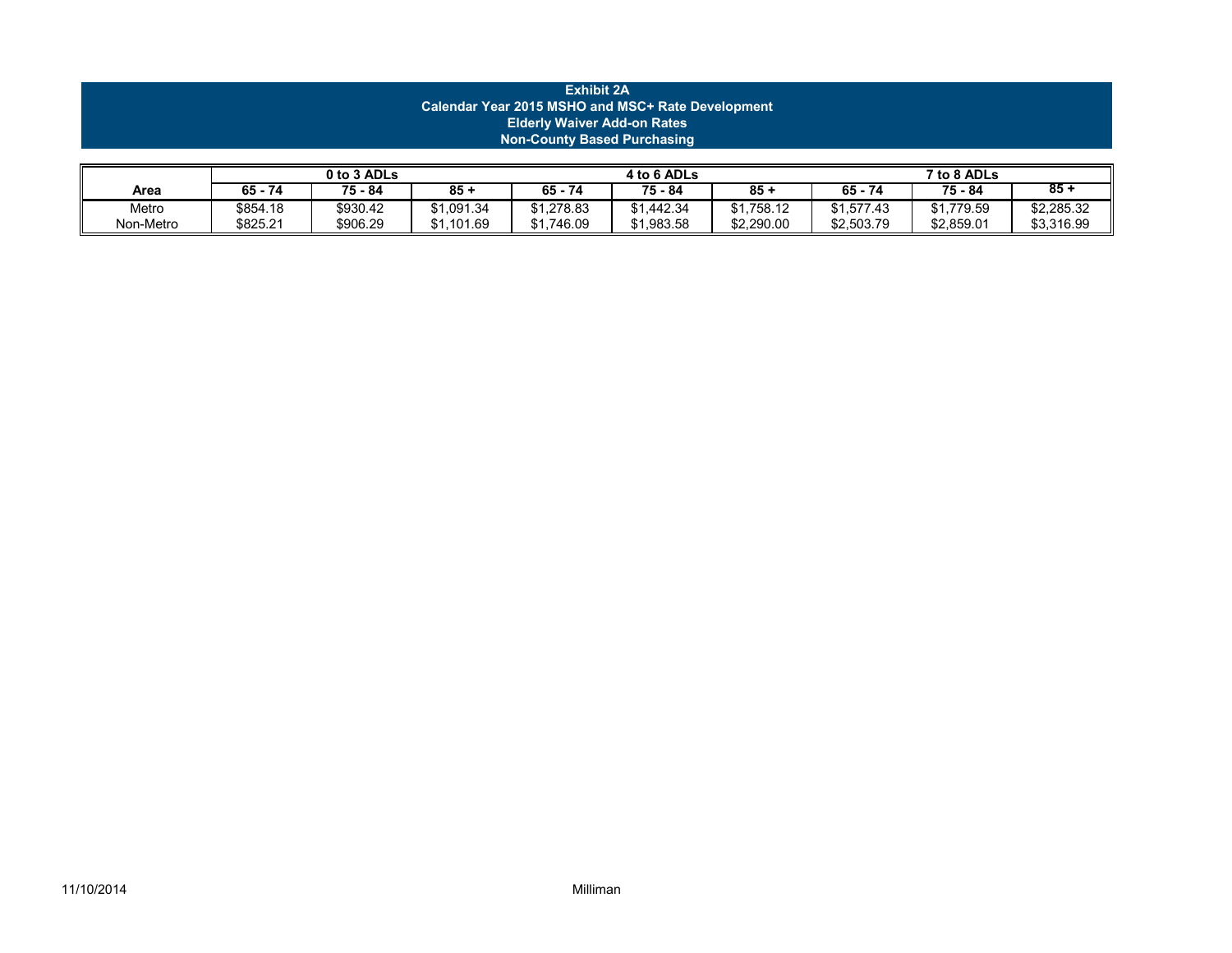|                                                                                                                                                     | <b>Exhibit 2A</b><br>Calendar Year 2015 MSHO and MSC+ Rate Development<br><b>Elderly Waiver Add-on Rates</b><br><b>Non-County Based Purchasing</b> |  |  |  |  |  |  |  |  |  |
|-----------------------------------------------------------------------------------------------------------------------------------------------------|----------------------------------------------------------------------------------------------------------------------------------------------------|--|--|--|--|--|--|--|--|--|
| 0 to 3 ADLs<br>4 to 6 ADLs<br>7 to 8 ADLs<br>$85 +$<br>$65 - 74$<br>65 - 74<br>75 - 84<br>$85 +$<br>75 - 84<br>$85 +$<br>75 - 84<br>65 - 74<br>Area |                                                                                                                                                    |  |  |  |  |  |  |  |  |  |

Metro \$854.18 \$930.42 \$1,091.34 \$1,278.83 \$1,442.34 \$1,758.12 \$1,577.43 | \$1,779.59 \$2,285.32 Non-Metro | \$825.21 | \$906.29 | \$1,101.69 | \$1,746.09 | \$1,983.58 | \$2,290.00 | \$2,503.79 | \$2,859.01 | \$3,316.99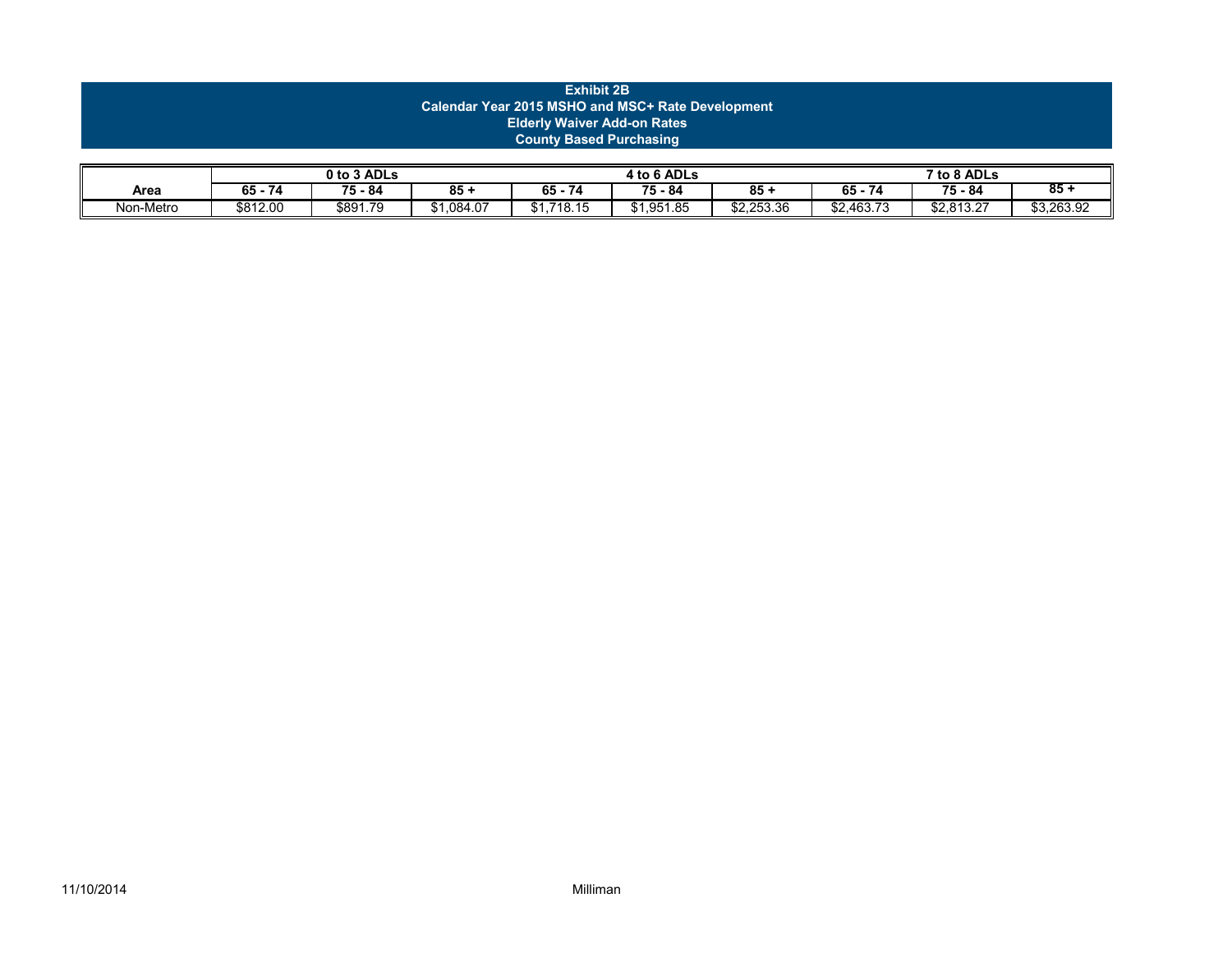|      |                                                   |             |        | <b>Exhibit 2B</b>                  |             |        |         |             |        |
|------|---------------------------------------------------|-------------|--------|------------------------------------|-------------|--------|---------|-------------|--------|
|      | Calendar Year 2015 MSHO and MSC+ Rate Development |             |        |                                    |             |        |         |             |        |
|      |                                                   |             |        | <b>Elderly Waiver Add-on Rates</b> |             |        |         |             |        |
|      | <b>County Based Purchasing</b>                    |             |        |                                    |             |        |         |             |        |
|      |                                                   |             |        |                                    |             |        |         |             |        |
|      |                                                   | 0 to 3 ADLs |        |                                    | 4 to 6 ADLs |        |         | 7 to 8 ADLs |        |
| Area | $65 - 74$                                         | 75 - 84     | $85 +$ | $65 - 74$                          | 75 - 84     | $85 +$ | 65 - 74 | 75 - 84     | $85 -$ |

Non-Metro | \$812.00 | \$891.79 | \$1,084.07 | \$1,718.15 | \$1,951.85 | \$2,253.36 | \$2,463.73 | \$2,813.27 | \$3,263.92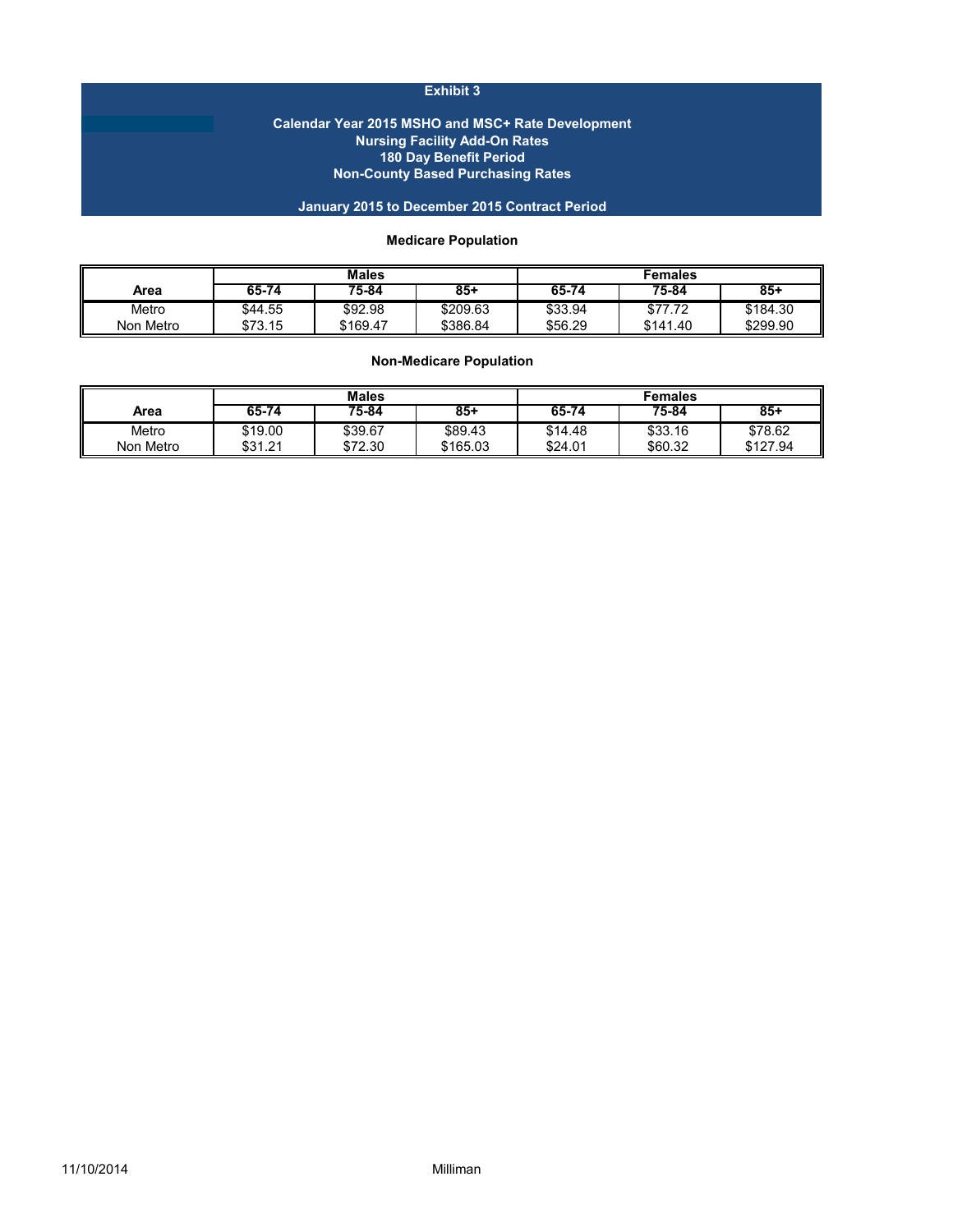## **Exhibit 3**

#### **Calendar Year 2015 MSHO and MSC+ Rate Development Nursing Facility Add-On Rates 180 Day Benefit Period Non-County Based Purchasing Rates**

## **January 2015 to December 2015 Contract Period**

## **Medicare Population**

|           |           | <b>Males</b> |          | Females |          |          |
|-----------|-----------|--------------|----------|---------|----------|----------|
| Area      | $65 - 74$ | 75-84        | $85+$    | 65-74   | 75-84    | $85 +$   |
| Metro     | \$44.55   | \$92.98      | \$209.63 | \$33.94 | \$77.72  | \$184.30 |
| Non Metro | \$73.15   | \$169.47     | \$386.84 | \$56.29 | \$141.40 | \$299.90 |

## **Non-Medicare Population**

|           | <b>Males</b> |         |          | Females |         |          |
|-----------|--------------|---------|----------|---------|---------|----------|
| Area      | $65 - 74$    | 75-84   | $85+$    | 65-74   | 75-84   | 85+      |
| Metro     | \$19.00      | \$39.67 | \$89.43  | \$14.48 | \$33.16 | \$78.62  |
| Non Metro | \$31.21      | \$72.30 | \$165.03 | \$24.01 | \$60.32 | \$127.94 |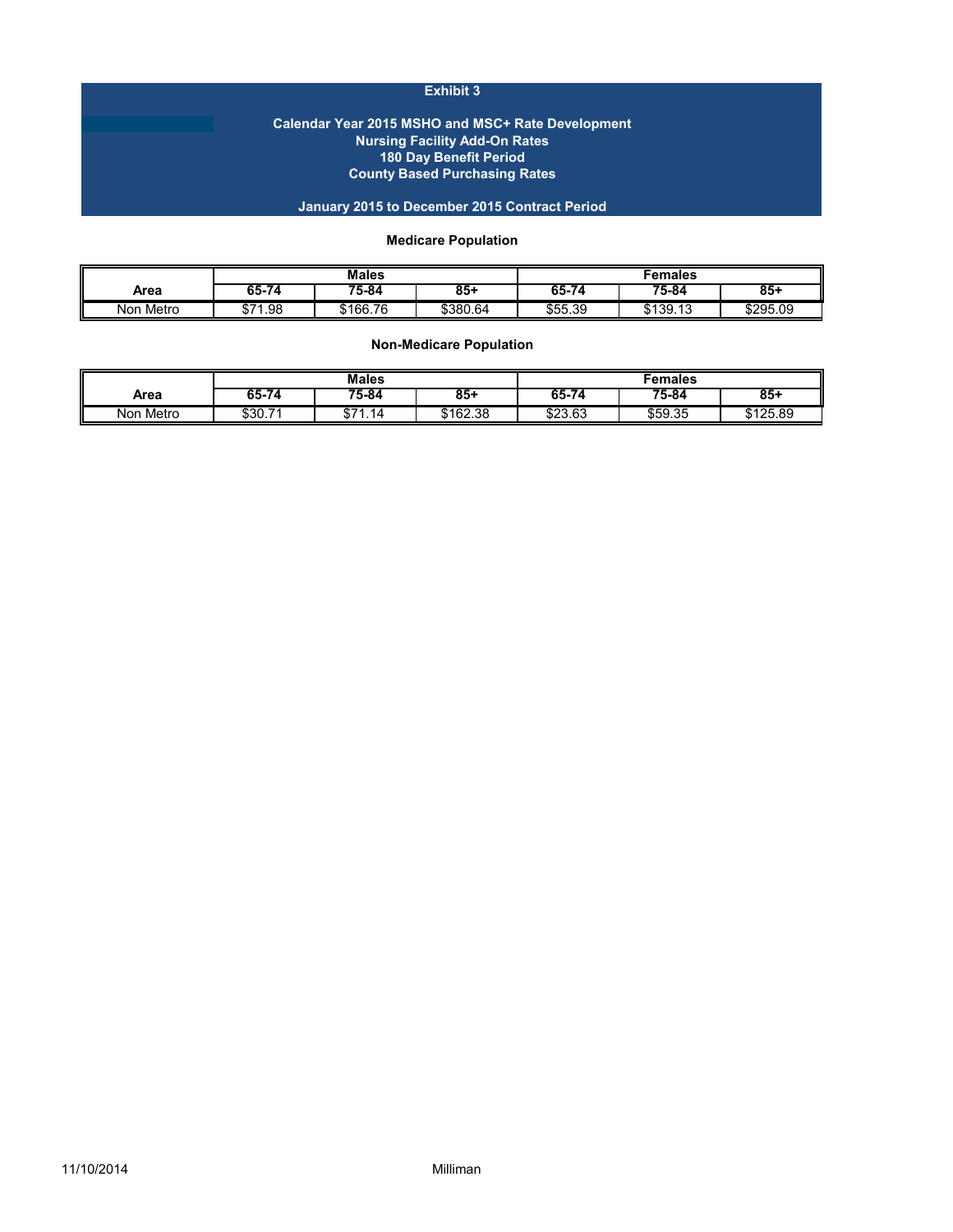## **Exhibit 3**

#### **Calendar Year 2015 MSHO and MSC+ Rate Development Nursing Facility Add-On Rates 180 Day Benefit Period County Based Purchasing Rates**

## **January 2015 to December 2015 Contract Period**

## **Medicare Population**

|              | <b>Males</b>         |           |          | Females |          |          |
|--------------|----------------------|-----------|----------|---------|----------|----------|
| Area         | 65-74                | $75 - 84$ | $85 +$   | 65-74   | 75-84    | 85+      |
| Non<br>Metro | $\sim$<br>1.98<br>ΦI | \$166.76  | \$380.64 | \$55.39 | \$139.13 | \$295.09 |

**Non-Medicare Population**

| ш            | <b>Males</b>   |               |          | Females |           |          |
|--------------|----------------|---------------|----------|---------|-----------|----------|
| Area         | 65-79          | 75-84         | 85+      | 65-74   | $75 - 84$ | 85+      |
| Metro<br>Non | - 7.<br>\$30., | ଳን<br>14<br>u | \$162.38 | \$23.63 | \$59.35   | \$125.89 |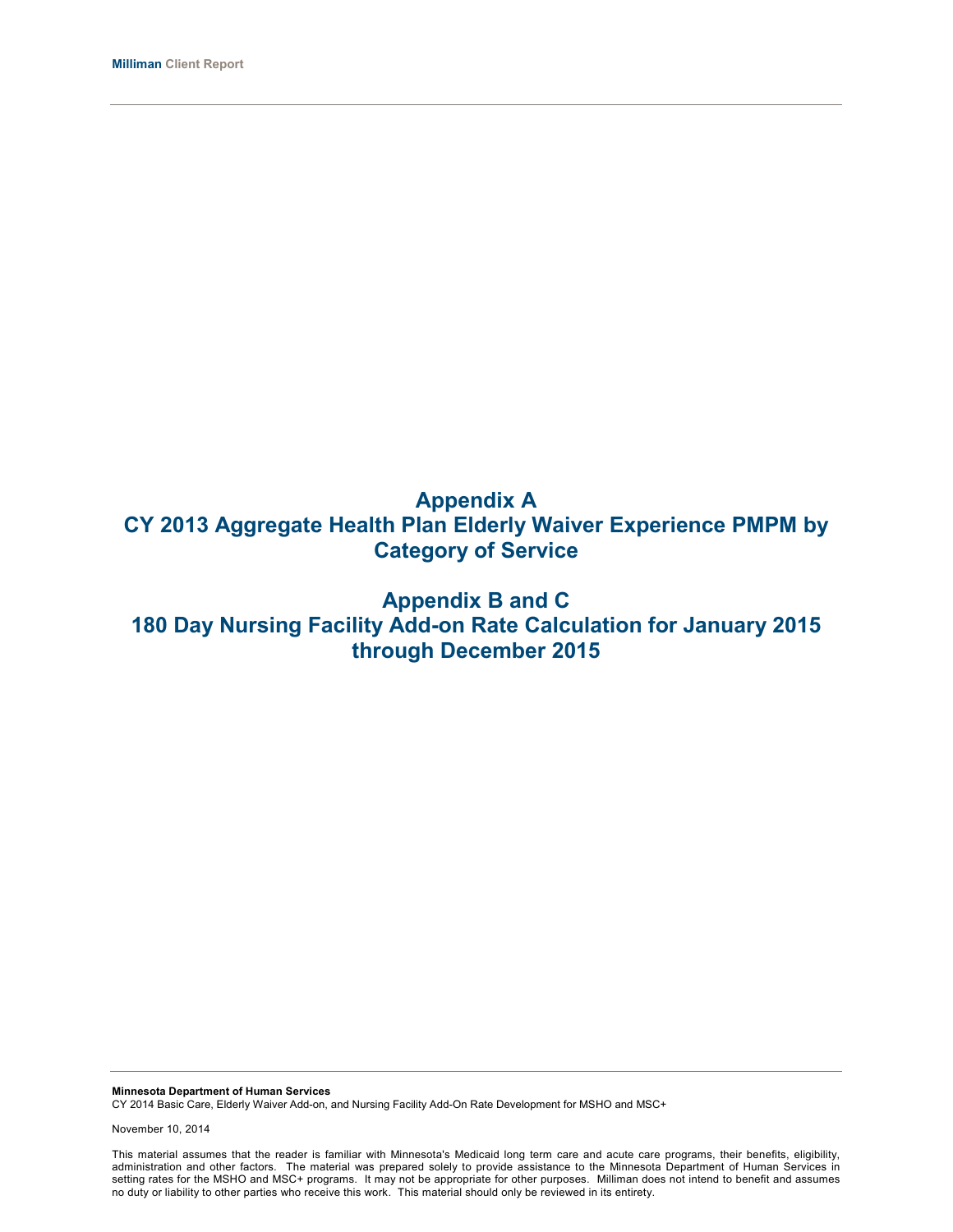# **Appendix A CY 2013 Aggregate Health Plan Elderly Waiver Experience PMPM by Category of Service**

# **Appendix B and C 180 Day Nursing Facility Add-on Rate Calculation for January 2015 through December 2015**

**Minnesota Department of Human Services** CY 2014 Basic Care, Elderly Waiver Add-on, and Nursing Facility Add-On Rate Development for MSHO and MSC+

November 10, 2014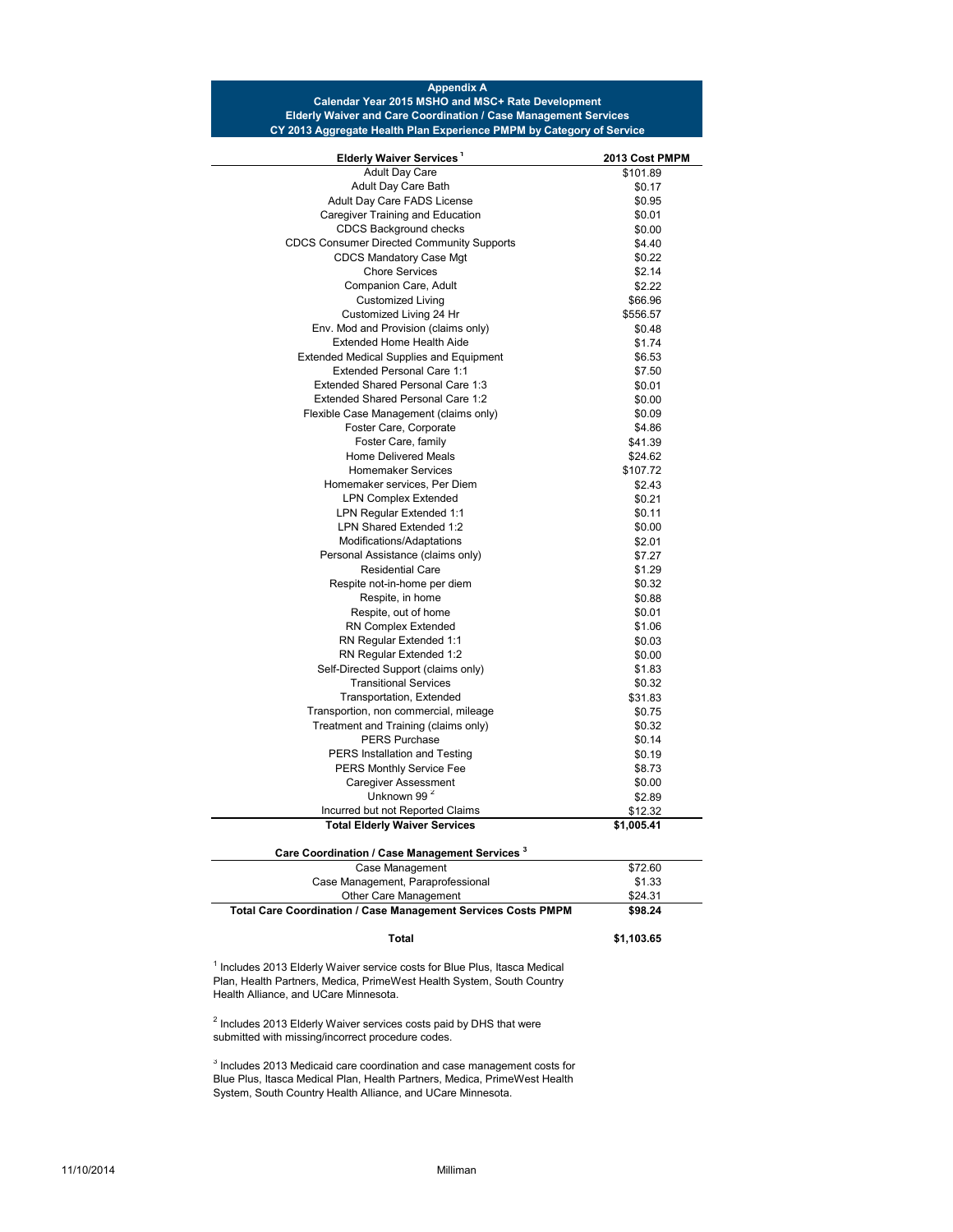#### **Appendix A Calendar Year 2015 MSHO and MSC+ Rate Development Elderly Waiver and Care Coordination / Case Management Services CY 2013 Aggregate Health Plan Experience PMPM by Category of Service**

| Elderly Waiver Services <sup>1</sup>                                     | 2013 Cost PMPM |
|--------------------------------------------------------------------------|----------------|
| <b>Adult Day Care</b>                                                    | \$101.89       |
| Adult Day Care Bath                                                      | \$0.17         |
| Adult Day Care FADS License                                              | \$0.95         |
| Caregiver Training and Education                                         | \$0.01         |
| <b>CDCS Background checks</b>                                            | \$0.00         |
| <b>CDCS Consumer Directed Community Supports</b>                         | \$4.40         |
| <b>CDCS Mandatory Case Mgt</b>                                           | \$0.22         |
| <b>Chore Services</b>                                                    | \$2.14         |
| Companion Care, Adult                                                    | \$2.22         |
| <b>Customized Living</b>                                                 | \$66.96        |
| Customized Living 24 Hr                                                  | \$556.57       |
| Env. Mod and Provision (claims only)                                     | \$0.48         |
| <b>Extended Home Health Aide</b>                                         | \$1.74         |
| <b>Extended Medical Supplies and Equipment</b>                           | \$6.53         |
| Extended Personal Care 1:1                                               | \$7.50         |
| Extended Shared Personal Care 1:3                                        | \$0.01         |
| Extended Shared Personal Care 1:2                                        | \$0.00         |
| Flexible Case Management (claims only)                                   | \$0.09         |
| Foster Care, Corporate                                                   | \$4.86         |
| Foster Care, family                                                      | \$41.39        |
| <b>Home Delivered Meals</b>                                              | \$24.62        |
| <b>Homemaker Services</b>                                                | \$107.72       |
| Homemaker services. Per Diem                                             | \$2.43         |
| <b>LPN Complex Extended</b>                                              | \$0.21         |
| LPN Regular Extended 1:1                                                 | \$0.11         |
| LPN Shared Extended 1:2                                                  | \$0.00         |
| Modifications/Adaptations                                                | \$2.01         |
| Personal Assistance (claims only)                                        | \$7.27         |
| <b>Residential Care</b>                                                  | \$1.29         |
| Respite not-in-home per diem                                             | \$0.32         |
| Respite, in home                                                         |                |
|                                                                          | \$0.88         |
| Respite, out of home                                                     | \$0.01         |
| RN Complex Extended                                                      | \$1.06         |
| RN Regular Extended 1:1                                                  | \$0.03         |
| RN Regular Extended 1:2                                                  | \$0.00         |
| Self-Directed Support (claims only)                                      | \$1.83         |
| <b>Transitional Services</b>                                             | \$0.32         |
| Transportation, Extended                                                 | \$31.83        |
| Transportion, non commercial, mileage                                    | \$0.75         |
| Treatment and Training (claims only)                                     | \$0.32         |
| <b>PERS Purchase</b>                                                     | \$0.14         |
| PERS Installation and Testing                                            | \$0.19         |
| PERS Monthly Service Fee                                                 | \$8.73         |
| <b>Caregiver Assessment</b>                                              | \$0.00         |
| Unknown 99 <sup>2</sup>                                                  | \$2.89         |
| Incurred but not Reported Claims                                         | \$12.32        |
| <b>Total Elderly Waiver Services</b>                                     | \$1,005.41     |
| Care Coordination / Case Management Services <sup>3</sup>                |                |
| Case Management                                                          | \$72.60        |
| Case Management, Paraprofessional                                        | \$1.33         |
| Other Care Management                                                    | \$24.31        |
| Total Care Coordination / Case Management Services Costs PMPM            | \$98.24        |
| <b>Total</b>                                                             | \$1,103.65     |
| Includes 2013 Elderly Waiver service costs for Blue Plus, Itasca Medical |                |

 $1$  Inclu Plan, Health Partners, Medica, PrimeWest Health System, South Country Health Alliance, and UCare Minnesota.

 $2$  Includes 2013 Elderly Waiver services costs paid by DHS that were submitted with missing/incorrect procedure codes.

 $3$  Includes 2013 Medicaid care coordination and case management costs for Blue Plus, Itasca Medical Plan, Health Partners, Medica, PrimeWest Health System, South Country Health Alliance, and UCare Minnesota.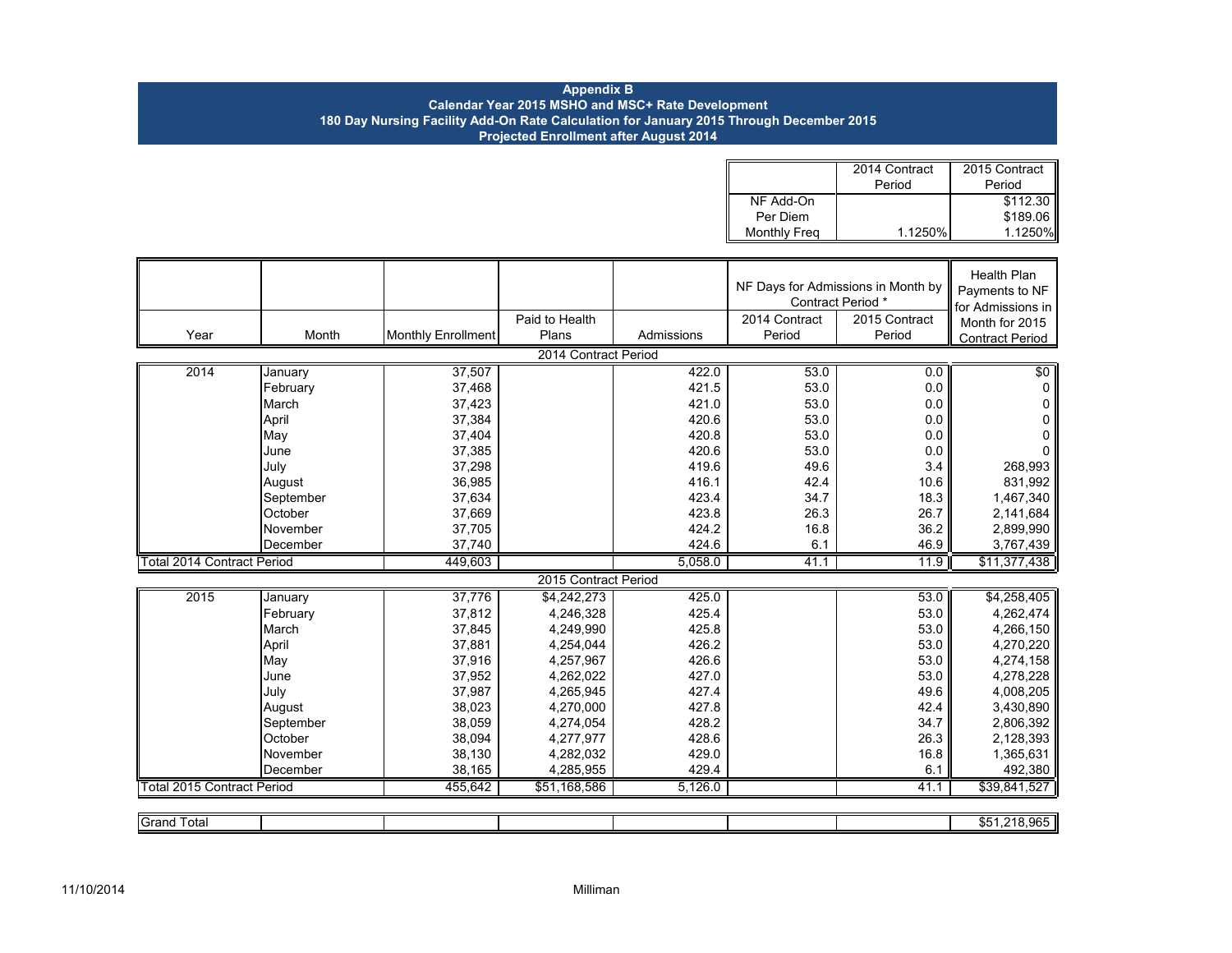#### **Appendix B Calendar Year 2015 MSHO and MSC+ Rate Development 180 Day Nursing Facility Add-On Rate Calculation for January 2015 Through December 2015 Projected Enrollment after August 2014**

|                     | 2014 Contract | 2015 Contract<br><b>III</b> |
|---------------------|---------------|-----------------------------|
|                     | Period        | Period                      |
| NF Add-On           |               | \$112.30                    |
| Per Diem            |               | \$189.06                    |
| <b>Monthly Freg</b> | 1.1250%       | 1.1250%                     |

|                                   |           |                           |                      |            |               | NF Days for Admissions in Month by<br>Contract Period * | <b>Health Plan</b><br>Payments to NF<br>for Admissions in |
|-----------------------------------|-----------|---------------------------|----------------------|------------|---------------|---------------------------------------------------------|-----------------------------------------------------------|
|                                   |           |                           | Paid to Health       |            | 2014 Contract | 2015 Contract                                           | Month for 2015                                            |
| Year                              | Month     | <b>Monthly Enrollment</b> | Plans                | Admissions | Period        | Period                                                  | <b>Contract Period</b>                                    |
|                                   |           |                           | 2014 Contract Period |            |               |                                                         |                                                           |
| 2014                              | January   | 37,507                    |                      | 422.0      | 53.0          | 0.0                                                     | \$0                                                       |
|                                   | February  | 37,468                    |                      | 421.5      | 53.0          | 0.0                                                     | $\mathbf 0$                                               |
|                                   | March     | 37,423                    |                      | 421.0      | 53.0          | 0.0                                                     | 0                                                         |
|                                   | April     | 37,384                    |                      | 420.6      | 53.0          | 0.0                                                     | 0                                                         |
|                                   | May       | 37,404                    |                      | 420.8      | 53.0          | 0.0                                                     | 0                                                         |
|                                   | June      | 37,385                    |                      | 420.6      | 53.0          | 0.0                                                     | 0                                                         |
|                                   | July      | 37,298                    |                      | 419.6      | 49.6          | 3.4                                                     | 268,993                                                   |
|                                   | August    | 36,985                    |                      | 416.1      | 42.4          | 10.6                                                    | 831,992                                                   |
|                                   | September | 37,634                    |                      | 423.4      | 34.7          | 18.3                                                    | 1,467,340                                                 |
|                                   | October   | 37,669                    |                      | 423.8      | 26.3          | 26.7                                                    | 2,141,684                                                 |
|                                   | November  | 37,705                    |                      | 424.2      | 16.8          | 36.2                                                    | 2,899,990                                                 |
|                                   | December  | 37,740                    |                      | 424.6      | 6.1           | 46.9                                                    | 3,767,439                                                 |
| <b>Total 2014 Contract Period</b> |           | 449,603                   |                      | 5,058.0    | 41.1          | 11.9                                                    | \$11,377,438                                              |
|                                   |           |                           | 2015 Contract Period |            |               |                                                         |                                                           |
| 2015                              | January   | 37,776                    | \$4,242,273          | 425.0      |               | 53.0                                                    | \$4,258,405                                               |
|                                   | February  | 37,812                    | 4,246,328            | 425.4      |               | 53.0                                                    | 4,262,474                                                 |
|                                   | March     | 37,845                    | 4,249,990            | 425.8      |               | 53.0                                                    | 4,266,150                                                 |
|                                   | April     | 37,881                    | 4,254,044            | 426.2      |               | 53.0                                                    | 4,270,220                                                 |
|                                   | May       | 37,916                    | 4,257,967            | 426.6      |               | 53.0                                                    | 4,274,158                                                 |
|                                   | June      | 37,952                    | 4,262,022            | 427.0      |               | 53.0                                                    | 4,278,228                                                 |
|                                   | July      | 37,987                    | 4,265,945            | 427.4      |               | 49.6                                                    | 4,008,205                                                 |
|                                   | August    | 38,023                    | 4,270,000            | 427.8      |               | 42.4                                                    | 3,430,890                                                 |
|                                   | September | 38,059                    | 4,274,054            | 428.2      |               | 34.7                                                    | 2,806,392                                                 |
|                                   | October   | 38,094                    | 4,277,977            | 428.6      |               | 26.3                                                    | 2,128,393                                                 |
|                                   | November  | 38,130                    | 4,282,032            | 429.0      |               | 16.8                                                    | 1,365,631                                                 |
|                                   | December  | 38,165                    | 4,285,955            | 429.4      |               | 6.1                                                     | 492,380                                                   |
| <b>Total 2015 Contract Period</b> |           | 455,642                   | \$51,168,586         | 5.126.0    |               | 41.1                                                    | \$39,841,527                                              |
|                                   |           |                           |                      |            |               |                                                         |                                                           |
| <b>Grand Total</b>                |           |                           |                      |            |               |                                                         | \$51,218,965                                              |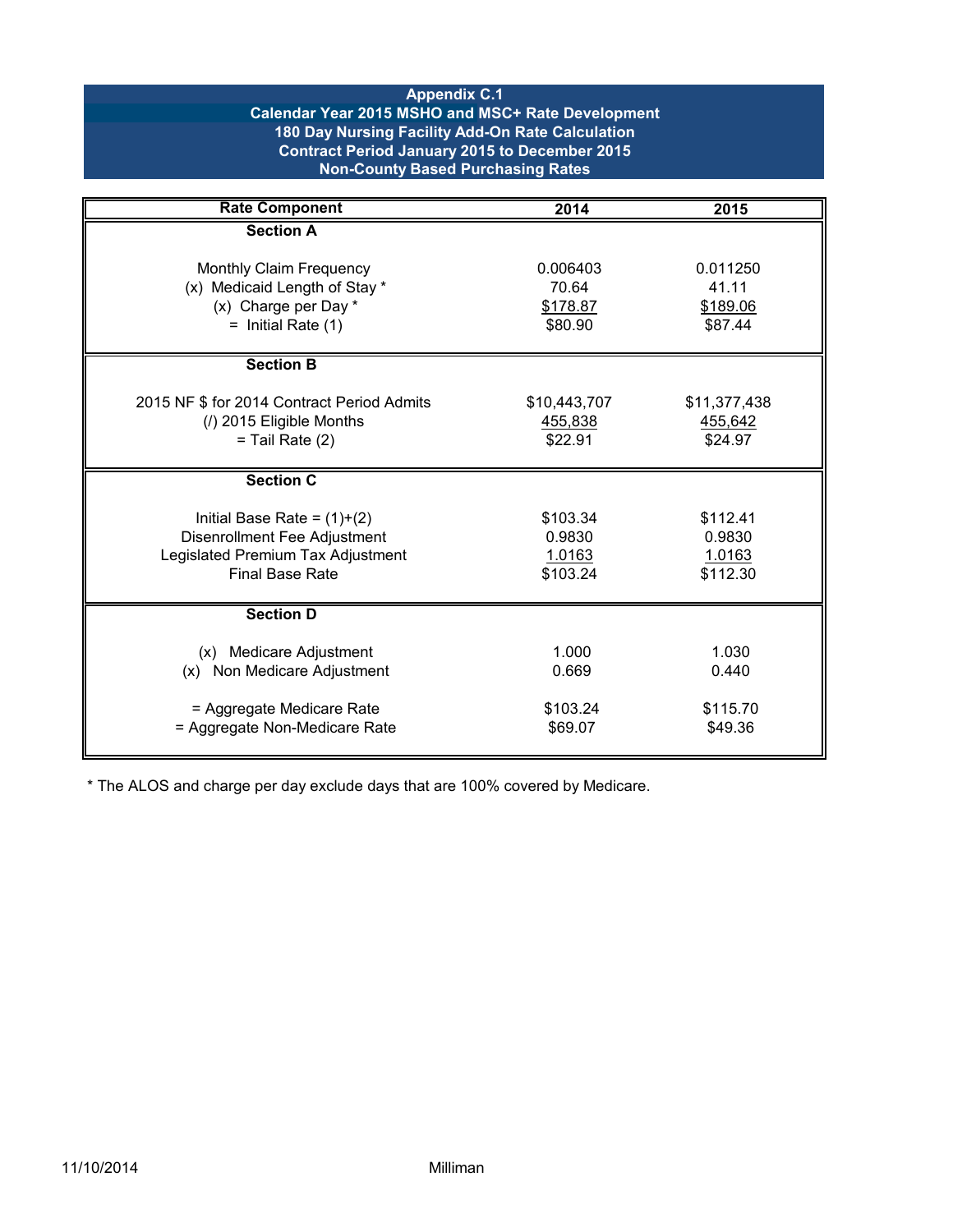## **Appendix C.1 Calendar Year 2015 MSHO and MSC+ Rate Development 180 Day Nursing Facility Add-On Rate Calculation Contract Period January 2015 to December 2015 Non-County Based Purchasing Rates**

| <b>Rate Component</b>                                                                                                        | 2014                                     | 2015                                     |
|------------------------------------------------------------------------------------------------------------------------------|------------------------------------------|------------------------------------------|
| <b>Section A</b>                                                                                                             |                                          |                                          |
| Monthly Claim Frequency<br>(x) Medicaid Length of Stay *<br>(x) Charge per Day *<br>$=$ Initial Rate (1)                     | 0.006403<br>70.64<br>\$178.87<br>\$80.90 | 0.011250<br>41.11<br>\$189.06<br>\$87.44 |
| <b>Section B</b>                                                                                                             |                                          |                                          |
| 2015 NF \$ for 2014 Contract Period Admits<br>(/) 2015 Eligible Months<br>$=$ Tail Rate $(2)$                                | \$10,443,707<br>455,838<br>\$22.91       | \$11,377,438<br>455,642<br>\$24.97       |
| <b>Section C</b>                                                                                                             |                                          |                                          |
| Initial Base Rate = $(1)+(2)$<br>Disenrollment Fee Adjustment<br>Legislated Premium Tax Adjustment<br><b>Final Base Rate</b> | \$103.34<br>0.9830<br>1.0163<br>\$103.24 | \$112.41<br>0.9830<br>1.0163<br>\$112.30 |
| <b>Section D</b>                                                                                                             |                                          |                                          |
| (x) Medicare Adjustment<br>(x) Non Medicare Adjustment<br>= Aggregate Medicare Rate                                          | 1.000<br>0.669<br>\$103.24               | 1.030<br>0.440<br>\$115.70               |
| = Aggregate Non-Medicare Rate                                                                                                | \$69.07                                  | \$49.36                                  |

\* The ALOS and charge per day exclude days that are 100% covered by Medicare.